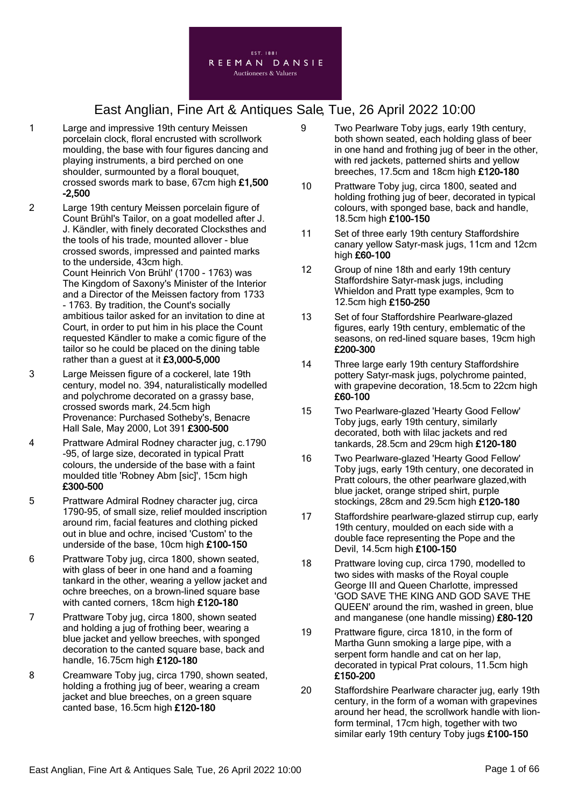

- 1 Large and impressive 19th century Meissen porcelain clock, floral encrusted with scrollwork moulding, the base with four figures dancing and playing instruments, a bird perched on one shoulder, surmounted by a floral bouquet, crossed swords mark to base, 67cm high £1,500 -2,500
- 2 Large 19th century Meissen porcelain figure of Count Brühl's Tailor, on a goat modelled after J. J. Kändler, with finely decorated Clocksthes and the tools of his trade, mounted allover - blue crossed swords, impressed and painted marks to the underside, 43cm high. Count Heinrich Von Brühl' (1700 - 1763) was The Kingdom of Saxony's Minister of the Interior and a Director of the Meissen factory from 1733 - 1763. By tradition, the Count's socially ambitious tailor asked for an invitation to dine at Court, in order to put him in his place the Count requested Kändler to make a comic figure of the tailor so he could be placed on the dining table rather than a guest at it £3,000-5,000
- 3 Large Meissen figure of a cockerel, late 19th century, model no. 394, naturalistically modelled and polychrome decorated on a grassy base, crossed swords mark, 24.5cm high Provenance: Purchased Sotheby's, Benacre Hall Sale, May 2000, Lot 391 £300-500
- 4 Prattware Admiral Rodney character jug, c.1790 -95, of large size, decorated in typical Pratt colours, the underside of the base with a faint moulded title 'Robney Abm [sic]', 15cm high £300-500
- 5 Prattware Admiral Rodney character jug, circa 1790-95, of small size, relief moulded inscription around rim, facial features and clothing picked out in blue and ochre, incised 'Custom' to the underside of the base, 10cm high £100-150
- 6 Prattware Toby jug, circa 1800, shown seated, with glass of beer in one hand and a foaming tankard in the other, wearing a yellow jacket and ochre breeches, on a brown-lined square base with canted corners, 18cm high £120-180
- 7 Prattware Toby jug, circa 1800, shown seated and holding a jug of frothing beer, wearing a blue jacket and yellow breeches, with sponged decoration to the canted square base, back and handle, 16.75cm high £120-180
- 8 Creamware Toby jug, circa 1790, shown seated, holding a frothing jug of beer, wearing a cream jacket and blue breeches, on a green square canted base, 16.5cm high £120-180
- 9 Two Pearlware Toby jugs, early 19th century, both shown seated, each holding glass of beer in one hand and frothing jug of beer in the other, with red jackets, patterned shirts and yellow breeches, 17.5cm and 18cm high £120-180
- 10 Prattware Toby jug, circa 1800, seated and holding frothing jug of beer, decorated in typical colours, with sponged base, back and handle, 18.5cm high £100-150
- 11 Set of three early 19th century Staffordshire canary yellow Satyr-mask jugs, 11cm and 12cm high £60-100
- 12 Group of nine 18th and early 19th century Staffordshire Satyr-mask jugs, including Whieldon and Pratt type examples, 9cm to 12.5cm high £150-250
- 13 Set of four Staffordshire Pearlware-glazed figures, early 19th century, emblematic of the seasons, on red-lined square bases, 19cm high £200-300
- 14 Three large early 19th century Staffordshire pottery Satyr-mask jugs, polychrome painted, with grapevine decoration, 18.5cm to 22cm high £60-100
- 15 Two Pearlware-glazed 'Hearty Good Fellow' Toby jugs, early 19th century, similarly decorated, both with lilac jackets and red tankards, 28.5cm and 29cm high £120-180
- 16 Two Pearlware-glazed 'Hearty Good Fellow' Toby jugs, early 19th century, one decorated in Pratt colours, the other pearlware glazed,with blue jacket, orange striped shirt, purple stockings, 28cm and 29.5cm high £120-180
- 17 Staffordshire pearlware-glazed stirrup cup, early 19th century, moulded on each side with a double face representing the Pope and the Devil, 14.5cm high £100-150
- 18 Prattware loving cup, circa 1790, modelled to two sides with masks of the Royal couple George III and Queen Charlotte, impressed 'GOD SAVE THE KING AND GOD SAVE THE QUEEN' around the rim, washed in green, blue and manganese (one handle missing) £80-120
- 19 Prattware figure, circa 1810, in the form of Martha Gunn smoking a large pipe, with a serpent form handle and cat on her lap, decorated in typical Prat colours, 11.5cm high £150-200
- 20 Staffordshire Pearlware character jug, early 19th century, in the form of a woman with grapevines around her head, the scrollwork handle with lionform terminal, 17cm high, together with two similar early 19th century Toby jugs £100-150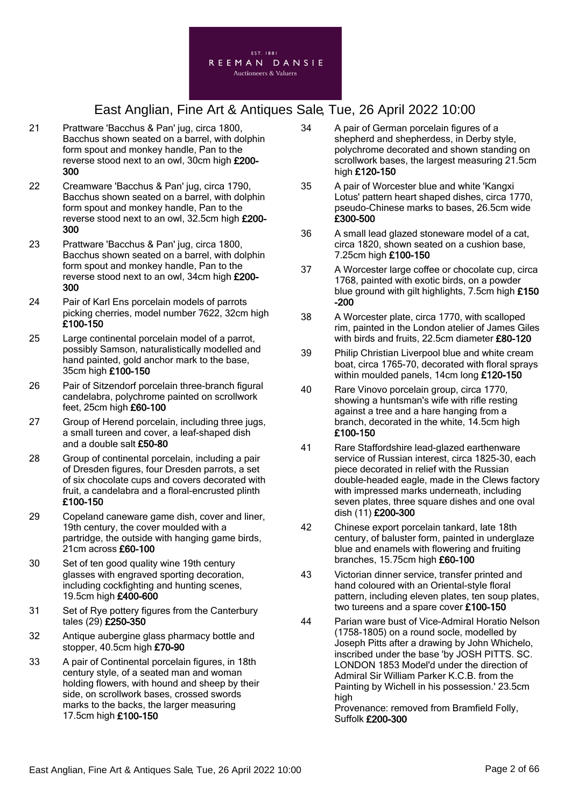

- 21 Prattware 'Bacchus & Pan' jug, circa 1800, Bacchus shown seated on a barrel, with dolphin form spout and monkey handle, Pan to the reverse stood next to an owl, 30cm high £200- 300
- 22 Creamware 'Bacchus & Pan' jug, circa 1790, Bacchus shown seated on a barrel, with dolphin form spout and monkey handle, Pan to the reverse stood next to an owl, 32.5cm high £200- 300
- 23 Prattware 'Bacchus & Pan' jug, circa 1800, Bacchus shown seated on a barrel, with dolphin form spout and monkey handle, Pan to the reverse stood next to an owl, 34cm high £200- 300
- 24 Pair of Karl Ens porcelain models of parrots picking cherries, model number 7622, 32cm high £100-150
- 25 Large continental porcelain model of a parrot, possibly Samson, naturalistically modelled and hand painted, gold anchor mark to the base, 35cm high £100-150
- 26 Pair of Sitzendorf porcelain three-branch figural candelabra, polychrome painted on scrollwork feet, 25cm high £60-100
- 27 Group of Herend porcelain, including three jugs, a small tureen and cover, a leaf-shaped dish and a double salt £50-80
- 28 Group of continental porcelain, including a pair of Dresden figures, four Dresden parrots, a set of six chocolate cups and covers decorated with fruit, a candelabra and a floral-encrusted plinth £100-150
- 29 Copeland caneware game dish, cover and liner, 19th century, the cover moulded with a partridge, the outside with hanging game birds, 21cm across £60-100
- 30 Set of ten good quality wine 19th century glasses with engraved sporting decoration, including cockfighting and hunting scenes, 19.5cm high £400-600
- 31 Set of Rye pottery figures from the Canterbury tales (29) £250-350
- 32 Antique aubergine glass pharmacy bottle and stopper, 40.5cm high £70-90
- 33 A pair of Continental porcelain figures, in 18th century style, of a seated man and woman holding flowers, with hound and sheep by their side, on scrollwork bases, crossed swords marks to the backs, the larger measuring 17.5cm high £100-150
- 34 A pair of German porcelain figures of a shepherd and shepherdess, in Derby style, polychrome decorated and shown standing on scrollwork bases, the largest measuring 21.5cm high £120-150
- 35 A pair of Worcester blue and white 'Kangxi Lotus' pattern heart shaped dishes, circa 1770, pseudo-Chinese marks to bases, 26.5cm wide £300-500
- 36 A small lead glazed stoneware model of a cat, circa 1820, shown seated on a cushion base, 7.25cm high £100-150
- 37 A Worcester large coffee or chocolate cup, circa 1768, painted with exotic birds, on a powder blue ground with gilt highlights, 7.5cm high £150 -200
- 38 A Worcester plate, circa 1770, with scalloped rim, painted in the London atelier of James Giles with birds and fruits, 22.5cm diameter £80-120
- 39 Philip Christian Liverpool blue and white cream boat, circa 1765-70, decorated with floral sprays within moulded panels, 14cm long £120-150
- 40 Rare Vinovo porcelain group, circa 1770, showing a huntsman's wife with rifle resting against a tree and a hare hanging from a branch, decorated in the white, 14.5cm high £100-150
- 41 Rare Staffordshire lead-glazed earthenware service of Russian interest, circa 1825-30, each piece decorated in relief with the Russian double-headed eagle, made in the Clews factory with impressed marks underneath, including seven plates, three square dishes and one oval dish (11) £200-300
- 42 Chinese export porcelain tankard, late 18th century, of baluster form, painted in underglaze blue and enamels with flowering and fruiting branches, 15.75cm high £60-100
- 43 Victorian dinner service, transfer printed and hand coloured with an Oriental-style floral pattern, including eleven plates, ten soup plates, two tureens and a spare cover £100-150
- 44 Parian ware bust of Vice-Admiral Horatio Nelson (1758-1805) on a round socle, modelled by Joseph Pitts after a drawing by John Whichelo, inscribed under the base 'by JOSH PITTS. SC. LONDON 1853 Model'd under the direction of Admiral Sir William Parker K.C.B. from the Painting by Wichell in his possession.' 23.5cm high

Provenance: removed from Bramfield Folly, Suffolk £200-300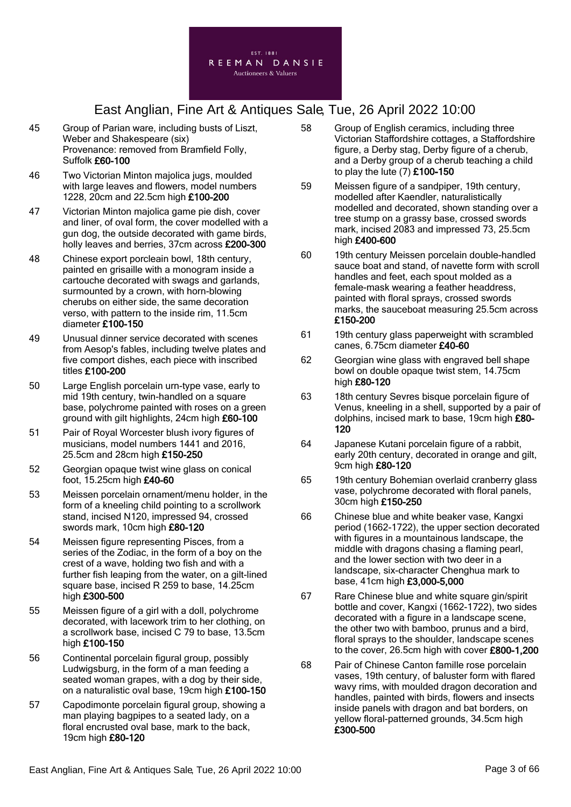

- 45 Group of Parian ware, including busts of Liszt, Weber and Shakespeare (six) Provenance: removed from Bramfield Folly, Suffolk £60-100
- 46 Two Victorian Minton majolica jugs, moulded with large leaves and flowers, model numbers 1228, 20cm and 22.5cm high £100-200
- 47 Victorian Minton majolica game pie dish, cover and liner, of oval form, the cover modelled with a gun dog, the outside decorated with game birds, holly leaves and berries, 37cm across £200-300
- 48 Chinese export porcleain bowl, 18th century, painted en grisaille with a monogram inside a cartouche decorated with swags and garlands, surmounted by a crown, with horn-blowing cherubs on either side, the same decoration verso, with pattern to the inside rim, 11.5cm diameter £100-150
- 49 Unusual dinner service decorated with scenes from Aesop's fables, including twelve plates and five comport dishes, each piece with inscribed titles £100-200
- 50 Large English porcelain urn-type vase, early to mid 19th century, twin-handled on a square base, polychrome painted with roses on a green ground with gilt highlights, 24cm high £60-100
- 51 Pair of Royal Worcester blush ivory figures of musicians, model numbers 1441 and 2016, 25.5cm and 28cm high £150-250
- 52 Georgian opaque twist wine glass on conical foot, 15.25cm high £40-60
- 53 Meissen porcelain ornament/menu holder, in the form of a kneeling child pointing to a scrollwork stand, incised N120, impressed 94, crossed swords mark, 10cm high £80-120
- 54 Meissen figure representing Pisces, from a series of the Zodiac, in the form of a boy on the crest of a wave, holding two fish and with a further fish leaping from the water, on a gilt-lined square base, incised R 259 to base, 14.25cm high £300-500
- 55 Meissen figure of a girl with a doll, polychrome decorated, with lacework trim to her clothing, on a scrollwork base, incised C 79 to base, 13.5cm high £100-150
- 56 Continental porcelain figural group, possibly Ludwigsburg, in the form of a man feeding a seated woman grapes, with a dog by their side, on a naturalistic oval base, 19cm high £100-150
- 57 Capodimonte porcelain figural group, showing a man playing bagpipes to a seated lady, on a floral encrusted oval base, mark to the back, 19cm high £80-120
- 58 Group of English ceramics, including three Victorian Staffordshire cottages, a Staffordshire figure, a Derby stag, Derby figure of a cherub, and a Derby group of a cherub teaching a child to play the lute  $(7)$  £100-150
- 59 Meissen figure of a sandpiper, 19th century, modelled after Kaendler, naturalistically modelled and decorated, shown standing over a tree stump on a grassy base, crossed swords mark, incised 2083 and impressed 73, 25.5cm high £400-600
- 60 19th century Meissen porcelain double-handled sauce boat and stand, of navette form with scroll handles and feet, each spout molded as a female-mask wearing a feather headdress, painted with floral sprays, crossed swords marks, the sauceboat measuring 25.5cm across £150-200
- 61 19th century glass paperweight with scrambled canes, 6.75cm diameter £40-60
- 62 Georgian wine glass with engraved bell shape bowl on double opaque twist stem, 14.75cm high £80-120
- 63 18th century Sevres bisque porcelain figure of Venus, kneeling in a shell, supported by a pair of dolphins, incised mark to base, 19cm high £80- 120
- 64 Japanese Kutani porcelain figure of a rabbit, early 20th century, decorated in orange and gilt, 9cm high £80-120
- 65 19th century Bohemian overlaid cranberry glass vase, polychrome decorated with floral panels, 30cm high £150-250
- 66 Chinese blue and white beaker vase, Kangxi period (1662-1722), the upper section decorated with figures in a mountainous landscape, the middle with dragons chasing a flaming pearl, and the lower section with two deer in a landscape, six-character Chenghua mark to base, 41cm high £3,000-5,000
- 67 Rare Chinese blue and white square gin/spirit bottle and cover, Kangxi (1662-1722), two sides decorated with a figure in a landscape scene, the other two with bamboo, prunus and a bird, floral sprays to the shoulder, landscape scenes to the cover, 26.5cm high with cover £800-1,200
- 68 Pair of Chinese Canton famille rose porcelain vases, 19th century, of baluster form with flared wavy rims, with moulded dragon decoration and handles, painted with birds, flowers and insects inside panels with dragon and bat borders, on yellow floral-patterned grounds, 34.5cm high £300-500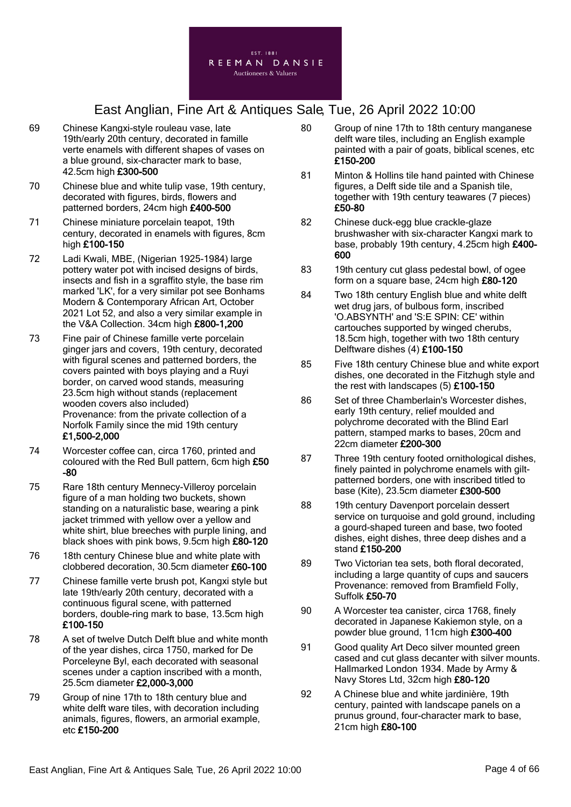

- 69 Chinese Kangxi-style rouleau vase, late 19th/early 20th century, decorated in famille verte enamels with different shapes of vases on a blue ground, six-character mark to base, 42.5cm high £300-500
- 70 Chinese blue and white tulip vase, 19th century, decorated with figures, birds, flowers and patterned borders, 24cm high £400-500
- 71 Chinese miniature porcelain teapot, 19th century, decorated in enamels with figures, 8cm high £100-150
- 72 Ladi Kwali, MBE, (Nigerian 1925-1984) large pottery water pot with incised designs of birds, insects and fish in a sgraffito style, the base rim marked 'LK', for a very similar pot see Bonhams Modern & Contemporary African Art, October 2021 Lot 52, and also a very similar example in the V&A Collection. 34cm high £800-1,200
- 73 Fine pair of Chinese famille verte porcelain ginger jars and covers, 19th century, decorated with figural scenes and patterned borders, the covers painted with boys playing and a Ruyi border, on carved wood stands, measuring 23.5cm high without stands (replacement wooden covers also included) Provenance: from the private collection of a Norfolk Family since the mid 19th century £1,500-2,000
- 74 Worcester coffee can, circa 1760, printed and coloured with the Red Bull pattern, 6cm high £50 -80
- 75 Rare 18th century Mennecy-Villeroy porcelain figure of a man holding two buckets, shown standing on a naturalistic base, wearing a pink jacket trimmed with yellow over a yellow and white shirt, blue breeches with purple lining, and black shoes with pink bows, 9.5cm high £80-120
- 76 18th century Chinese blue and white plate with clobbered decoration, 30.5cm diameter £60-100
- 77 Chinese famille verte brush pot, Kangxi style but late 19th/early 20th century, decorated with a continuous figural scene, with patterned borders, double-ring mark to base, 13.5cm high £100-150
- 78 A set of twelve Dutch Delft blue and white month of the year dishes, circa 1750, marked for De Porceleyne Byl, each decorated with seasonal scenes under a caption inscribed with a month, 25.5cm diameter £2,000-3,000
- 79 Group of nine 17th to 18th century blue and white delft ware tiles, with decoration including animals, figures, flowers, an armorial example, etc £150-200
- 80 Group of nine 17th to 18th century manganese delft ware tiles, including an English example painted with a pair of goats, biblical scenes, etc £150-200
- 81 Minton & Hollins tile hand painted with Chinese figures, a Delft side tile and a Spanish tile, together with 19th century teawares (7 pieces) £50-80
- 82 Chinese duck-egg blue crackle-glaze brushwasher with six-character Kangxi mark to base, probably 19th century, 4.25cm high £400- 600
- 83 19th century cut glass pedestal bowl, of ogee form on a square base, 24cm high £80-120
- 84 Two 18th century English blue and white delft wet drug jars, of bulbous form, inscribed 'O.ABSYNTH' and 'S:E SPIN: CE' within cartouches supported by winged cherubs, 18.5cm high, together with two 18th century Delftware dishes (4) £100-150
- 85 Five 18th century Chinese blue and white export dishes, one decorated in the Fitzhugh style and the rest with landscapes  $(5)$  £100-150
- 86 Set of three Chamberlain's Worcester dishes, early 19th century, relief moulded and polychrome decorated with the Blind Earl pattern, stamped marks to bases, 20cm and 22cm diameter £200-300
- 87 Three 19th century footed ornithological dishes, finely painted in polychrome enamels with giltpatterned borders, one with inscribed titled to base (Kite), 23.5cm diameter £300-500
- 88 19th century Davenport porcelain dessert service on turquoise and gold ground, including a gourd-shaped tureen and base, two footed dishes, eight dishes, three deep dishes and a stand £150-200
- 89 Two Victorian tea sets, both floral decorated, including a large quantity of cups and saucers Provenance: removed from Bramfield Folly, Suffolk £50-70
- 90 A Worcester tea canister, circa 1768, finely decorated in Japanese Kakiemon style, on a powder blue ground, 11cm high £300-400
- 91 Good quality Art Deco silver mounted green cased and cut glass decanter with silver mounts. Hallmarked London 1934. Made by Army & Navy Stores Ltd, 32cm high £80-120
- 92 A Chinese blue and white jardinière, 19th century, painted with landscape panels on a prunus ground, four-character mark to base, 21cm high £80-100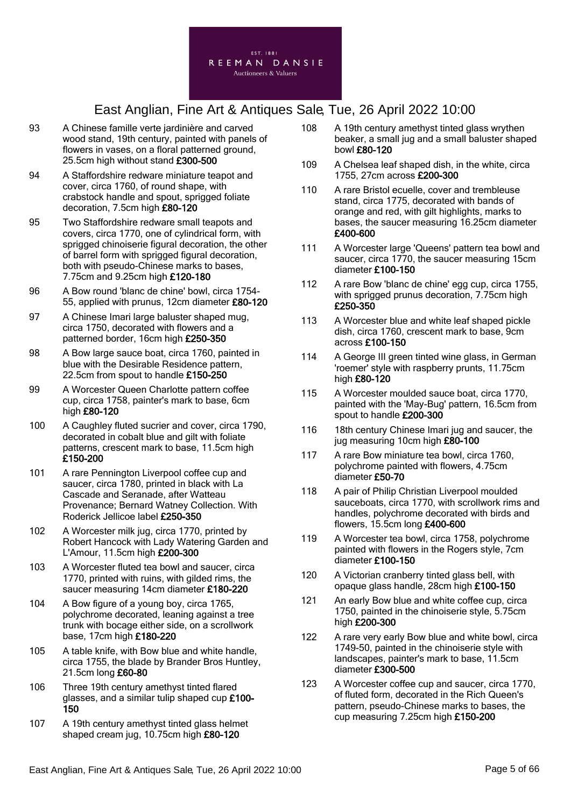

- 93 A Chinese famille verte jardinière and carved wood stand, 19th century, painted with panels of flowers in vases, on a floral patterned ground, 25.5cm high without stand £300-500
- 94 A Staffordshire redware miniature teapot and cover, circa 1760, of round shape, with crabstock handle and spout, sprigged foliate decoration, 7.5cm high £80-120
- 95 Two Staffordshire redware small teapots and covers, circa 1770, one of cylindrical form, with sprigged chinoiserie figural decoration, the other of barrel form with sprigged figural decoration, both with pseudo-Chinese marks to bases, 7.75cm and 9.25cm high £120-180
- 96 A Bow round 'blanc de chine' bowl, circa 1754- 55, applied with prunus, 12cm diameter £80-120
- 97 A Chinese Imari large baluster shaped mug, circa 1750, decorated with flowers and a patterned border, 16cm high £250-350
- 98 A Bow large sauce boat, circa 1760, painted in blue with the Desirable Residence pattern, 22.5cm from spout to handle £150-250
- 99 A Worcester Queen Charlotte pattern coffee cup, circa 1758, painter's mark to base, 6cm high £80-120
- 100 A Caughley fluted sucrier and cover, circa 1790, decorated in cobalt blue and gilt with foliate patterns, crescent mark to base, 11.5cm high £150-200
- 101 A rare Pennington Liverpool coffee cup and saucer, circa 1780, printed in black with La Cascade and Seranade, after Watteau Provenance; Bernard Watney Collection. With Roderick Jellicoe label £250-350
- 102 A Worcester milk jug, circa 1770, printed by Robert Hancock with Lady Watering Garden and L'Amour, 11.5cm high £200-300
- 103 A Worcester fluted tea bowl and saucer, circa 1770, printed with ruins, with gilded rims, the saucer measuring 14cm diameter £180-220
- 104 A Bow figure of a young boy, circa 1765, polychrome decorated, leaning against a tree trunk with bocage either side, on a scrollwork base, 17cm high £180-220
- 105 A table knife, with Bow blue and white handle, circa 1755, the blade by Brander Bros Huntley, 21.5cm long £60-80
- 106 Three 19th century amethyst tinted flared glasses, and a similar tulip shaped cup £100- 150
- 107 A 19th century amethyst tinted glass helmet shaped cream jug, 10.75cm high £80-120
- 108 A 19th century amethyst tinted glass wrythen beaker, a small jug and a small baluster shaped bowl £80-120
- 109 A Chelsea leaf shaped dish, in the white, circa 1755, 27cm across £200-300
- 110 A rare Bristol ecuelle, cover and trembleuse stand, circa 1775, decorated with bands of orange and red, with gilt highlights, marks to bases, the saucer measuring 16.25cm diameter £400-600
- 111 A Worcester large 'Queens' pattern tea bowl and saucer, circa 1770, the saucer measuring 15cm diameter £100-150
- 112 A rare Bow 'blanc de chine' egg cup, circa 1755, with sprigged prunus decoration, 7.75cm high £250-350
- 113 A Worcester blue and white leaf shaped pickle dish, circa 1760, crescent mark to base, 9cm across £100-150
- 114 A George III green tinted wine glass, in German 'roemer' style with raspberry prunts, 11.75cm high £80-120
- 115 A Worcester moulded sauce boat, circa 1770, painted with the 'May-Bug' pattern, 16.5cm from spout to handle £200-300
- 116 18th century Chinese Imari jug and saucer, the jug measuring 10cm high £80-100
- 117 A rare Bow miniature tea bowl, circa 1760, polychrome painted with flowers, 4.75cm diameter £50-70
- 118 A pair of Philip Christian Liverpool moulded sauceboats, circa 1770, with scrollwork rims and handles, polychrome decorated with birds and flowers, 15.5cm long £400-600
- 119 A Worcester tea bowl, circa 1758, polychrome painted with flowers in the Rogers style, 7cm diameter £100-150
- 120 A Victorian cranberry tinted glass bell, with opaque glass handle, 28cm high £100-150
- 121 An early Bow blue and white coffee cup, circa 1750, painted in the chinoiserie style, 5.75cm high £200-300
- 122 A rare very early Bow blue and white bowl, circa 1749-50, painted in the chinoiserie style with landscapes, painter's mark to base, 11.5cm diameter £300-500
- 123 A Worcester coffee cup and saucer, circa 1770, of fluted form, decorated in the Rich Queen's pattern, pseudo-Chinese marks to bases, the cup measuring 7.25cm high £150-200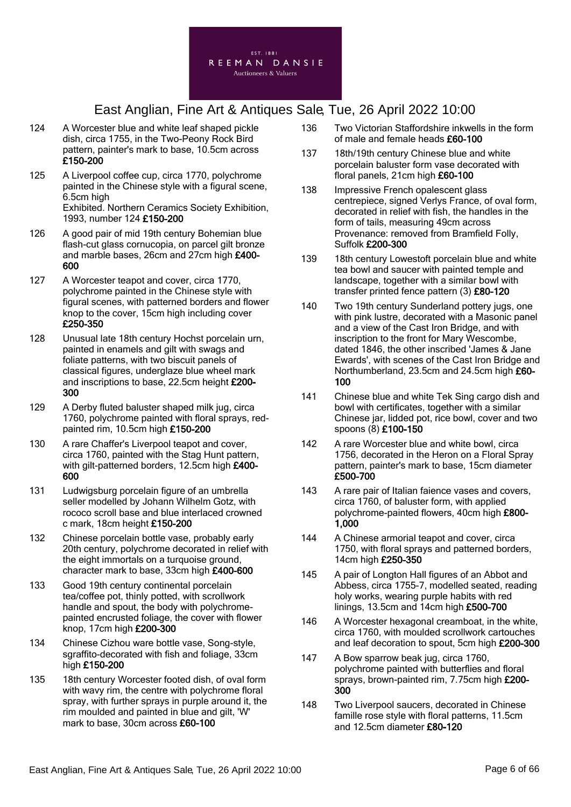

- 124 A Worcester blue and white leaf shaped pickle dish, circa 1755, in the Two-Peony Rock Bird pattern, painter's mark to base, 10.5cm across £150-200
- 125 A Liverpool coffee cup, circa 1770, polychrome painted in the Chinese style with a figural scene, 6.5cm high Exhibited. Northern Ceramics Society Exhibition, 1993, number 124 £150-200
- 126 A good pair of mid 19th century Bohemian blue flash-cut glass cornucopia, on parcel gilt bronze and marble bases, 26cm and 27cm high £400- 600
- 127 A Worcester teapot and cover, circa 1770, polychrome painted in the Chinese style with figural scenes, with patterned borders and flower knop to the cover, 15cm high including cover £250-350
- 128 Unusual late 18th century Hochst porcelain urn, painted in enamels and gilt with swags and foliate patterns, with two biscuit panels of classical figures, underglaze blue wheel mark and inscriptions to base, 22.5cm height £200- 300
- 129 A Derby fluted baluster shaped milk jug, circa 1760, polychrome painted with floral sprays, redpainted rim, 10.5cm high £150-200
- 130 A rare Chaffer's Liverpool teapot and cover, circa 1760, painted with the Stag Hunt pattern, with gilt-patterned borders, 12.5cm high £400-600
- 131 Ludwigsburg porcelain figure of an umbrella seller modelled by Johann Wilhelm Gotz, with rococo scroll base and blue interlaced crowned c mark, 18cm height £150-200
- 132 Chinese porcelain bottle vase, probably early 20th century, polychrome decorated in relief with the eight immortals on a turquoise ground, character mark to base, 33cm high £400-600
- 133 Good 19th century continental porcelain tea/coffee pot, thinly potted, with scrollwork handle and spout, the body with polychromepainted encrusted foliage, the cover with flower knop, 17cm high £200-300
- 134 Chinese Cizhou ware bottle vase, Song-style, sgraffito-decorated with fish and foliage, 33cm high £150-200
- 135 18th century Worcester footed dish, of oval form with wavy rim, the centre with polychrome floral spray, with further sprays in purple around it, the rim moulded and painted in blue and gilt, 'W' mark to base, 30cm across £60-100
- 136 Two Victorian Staffordshire inkwells in the form of male and female heads £60-100
- 137 18th/19th century Chinese blue and white porcelain baluster form vase decorated with floral panels, 21cm high £60-100
- 138 Impressive French opalescent glass centrepiece, signed Verlys France, of oval form, decorated in relief with fish, the handles in the form of tails, measuring 49cm across Provenance: removed from Bramfield Folly, Suffolk £200-300
- 139 18th century Lowestoft porcelain blue and white tea bowl and saucer with painted temple and landscape, together with a similar bowl with transfer printed fence pattern (3) £80-120
- 140 Two 19th century Sunderland pottery jugs, one with pink lustre, decorated with a Masonic panel and a view of the Cast Iron Bridge, and with inscription to the front for Mary Wescombe, dated 1846, the other inscribed 'James & Jane Ewards', with scenes of the Cast Iron Bridge and Northumberland, 23.5cm and 24.5cm high £60- 100
- 141 Chinese blue and white Tek Sing cargo dish and bowl with certificates, together with a similar Chinese jar, lidded pot, rice bowl, cover and two spoons (8) £100-150
- 142 A rare Worcester blue and white bowl, circa 1756, decorated in the Heron on a Floral Spray pattern, painter's mark to base, 15cm diameter £500-700
- 143 A rare pair of Italian faience vases and covers, circa 1760, of baluster form, with applied polychrome-painted flowers, 40cm high £800- 1,000
- 144 A Chinese armorial teapot and cover, circa 1750, with floral sprays and patterned borders, 14cm high £250-350
- 145 A pair of Longton Hall figures of an Abbot and Abbess, circa 1755-7, modelled seated, reading holy works, wearing purple habits with red linings, 13.5cm and 14cm high £500-700
- 146 A Worcester hexagonal creamboat, in the white, circa 1760, with moulded scrollwork cartouches and leaf decoration to spout, 5cm high £200-300
- 147 A Bow sparrow beak jug, circa 1760. polychrome painted with butterflies and floral sprays, brown-painted rim, 7.75cm high £200-300
- 148 Two Liverpool saucers, decorated in Chinese famille rose style with floral patterns, 11.5cm and 12.5cm diameter £80-120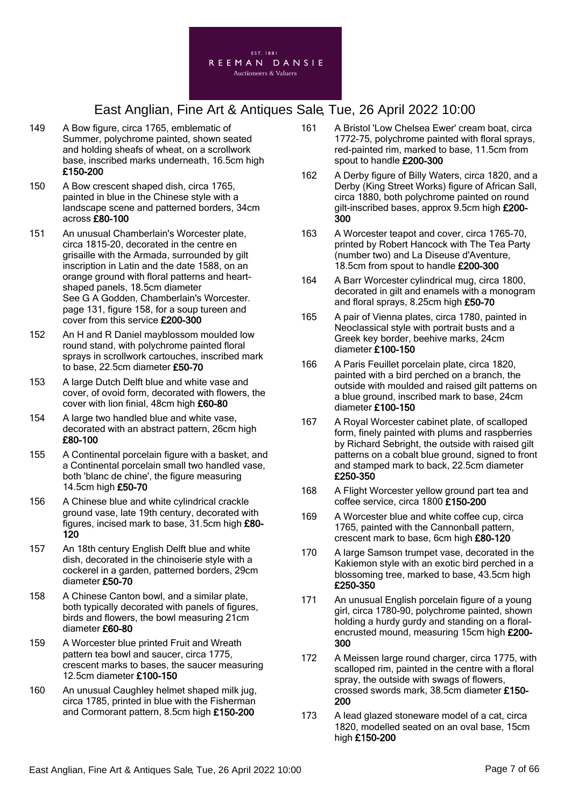

- 149 A Bow figure, circa 1765, emblematic of Summer, polychrome painted, shown seated and holding sheafs of wheat, on a scrollwork base, inscribed marks underneath, 16.5cm high £150-200
- 150 A Bow crescent shaped dish, circa 1765, painted in blue in the Chinese style with a landscape scene and patterned borders, 34cm across £80-100
- 151 An unusual Chamberlain's Worcester plate, circa 1815-20, decorated in the centre en grisaille with the Armada, surrounded by gilt inscription in Latin and the date 1588, on an orange ground with floral patterns and heartshaped panels, 18.5cm diameter See G A Godden, Chamberlain's Worcester. page 131, figure 158, for a soup tureen and cover from this service £200-300
- 152 An H and R Daniel mayblossom moulded low round stand, with polychrome painted floral sprays in scrollwork cartouches, inscribed mark to base, 22.5cm diameter £50-70
- 153 A large Dutch Delft blue and white vase and cover, of ovoid form, decorated with flowers, the cover with lion finial, 48cm high £60-80
- 154 A large two handled blue and white vase, decorated with an abstract pattern, 26cm high £80-100
- 155 A Continental porcelain figure with a basket, and a Continental porcelain small two handled vase, both 'blanc de chine', the figure measuring 14.5cm high £50-70
- 156 A Chinese blue and white cylindrical crackle ground vase, late 19th century, decorated with figures, incised mark to base, 31.5cm high £80- 120
- 157 An 18th century English Delft blue and white dish, decorated in the chinoiserie style with a cockerel in a garden, patterned borders, 29cm diameter £50-70
- 158 A Chinese Canton bowl, and a similar plate, both typically decorated with panels of figures, birds and flowers, the bowl measuring 21cm diameter £60-80
- 159 A Worcester blue printed Fruit and Wreath pattern tea bowl and saucer, circa 1775, crescent marks to bases, the saucer measuring 12.5cm diameter £100-150
- 160 An unusual Caughley helmet shaped milk jug, circa 1785, printed in blue with the Fisherman and Cormorant pattern, 8.5cm high £150-200
- 161 A Bristol 'Low Chelsea Ewer' cream boat, circa 1772-75, polychrome painted with floral sprays, red-painted rim, marked to base, 11.5cm from spout to handle £200-300
- 162 A Derby figure of Billy Waters, circa 1820, and a Derby (King Street Works) figure of African Sall, circa 1880, both polychrome painted on round gilt-inscribed bases, approx 9.5cm high £200- 300
- 163 A Worcester teapot and cover, circa 1765-70, printed by Robert Hancock with The Tea Party (number two) and La Diseuse d'Aventure, 18.5cm from spout to handle £200-300
- 164 A Barr Worcester cylindrical mug, circa 1800, decorated in gilt and enamels with a monogram and floral sprays, 8.25cm high £50-70
- 165 A pair of Vienna plates, circa 1780, painted in Neoclassical style with portrait busts and a Greek key border, beehive marks, 24cm diameter £100-150
- 166 A Paris Feuillet porcelain plate, circa 1820, painted with a bird perched on a branch, the outside with moulded and raised gilt patterns on a blue ground, inscribed mark to base, 24cm diameter £100-150
- 167 A Royal Worcester cabinet plate, of scalloped form, finely painted with plums and raspberries by Richard Sebright, the outside with raised gilt patterns on a cobalt blue ground, signed to front and stamped mark to back, 22.5cm diameter £250-350
- 168 A Flight Worcester yellow ground part tea and coffee service, circa 1800 £150-200
- 169 A Worcester blue and white coffee cup, circa 1765, painted with the Cannonball pattern, crescent mark to base, 6cm high £80-120
- 170 A large Samson trumpet vase, decorated in the Kakiemon style with an exotic bird perched in a blossoming tree, marked to base, 43.5cm high £250-350
- 171 An unusual English porcelain figure of a young girl, circa 1780-90, polychrome painted, shown holding a hurdy gurdy and standing on a floralencrusted mound, measuring 15cm high £200- 300
- 172 A Meissen large round charger, circa 1775, with scalloped rim, painted in the centre with a floral spray, the outside with swags of flowers, crossed swords mark, 38.5cm diameter £150- 200
- 173 A lead glazed stoneware model of a cat, circa 1820, modelled seated on an oval base, 15cm high £150-200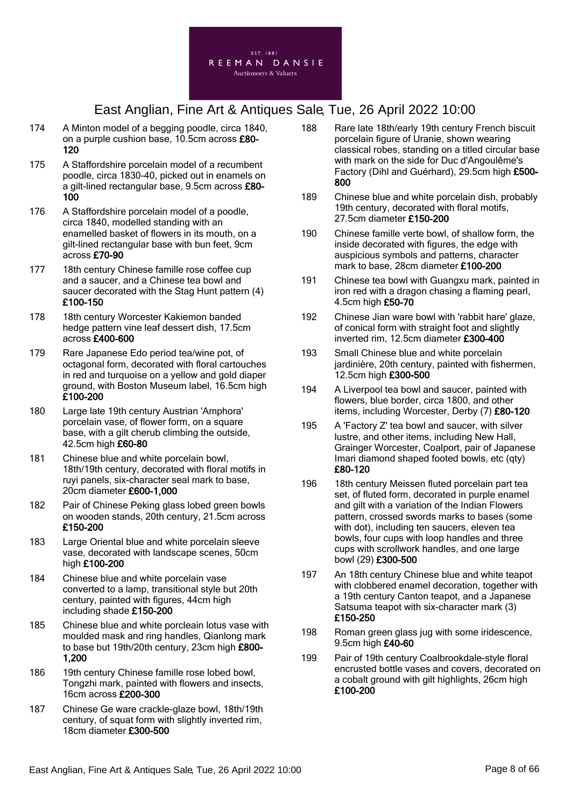

- 174 A Minton model of a begging poodle, circa 1840, on a purple cushion base, 10.5cm across £80- 120
- 175 A Staffordshire porcelain model of a recumbent poodle, circa 1830-40, picked out in enamels on a gilt-lined rectangular base, 9.5cm across £80- 100
- 176 A Staffordshire porcelain model of a poodle, circa 1840, modelled standing with an enamelled basket of flowers in its mouth, on a gilt-lined rectangular base with bun feet, 9cm across £70-90
- 177 18th century Chinese famille rose coffee cup and a saucer, and a Chinese tea bowl and saucer decorated with the Stag Hunt pattern (4) £100-150
- 178 18th century Worcester Kakiemon banded hedge pattern vine leaf dessert dish, 17.5cm across £400-600
- 179 Rare Japanese Edo period tea/wine pot, of octagonal form, decorated with floral cartouches in red and turquoise on a yellow and gold diaper ground, with Boston Museum label, 16.5cm high £100-200
- 180 Large late 19th century Austrian 'Amphora' porcelain vase, of flower form, on a square base, with a gilt cherub climbing the outside, 42.5cm high £60-80
- 181 Chinese blue and white porcelain bowl, 18th/19th century, decorated with floral motifs in ruyi panels, six-character seal mark to base, 20cm diameter £600-1,000
- 182 Pair of Chinese Peking glass lobed green bowls on wooden stands, 20th century, 21.5cm across £150-200
- 183 Large Oriental blue and white porcelain sleeve vase, decorated with landscape scenes, 50cm high £100-200
- 184 Chinese blue and white porcelain vase converted to a lamp, transitional style but 20th century, painted with figures, 44cm high including shade £150-200
- 185 Chinese blue and white porcleain lotus vase with moulded mask and ring handles, Qianlong mark to base but 19th/20th century, 23cm high £800- 1,200
- 186 19th century Chinese famille rose lobed bowl, Tongzhi mark, painted with flowers and insects, 16cm across £200-300
- 187 Chinese Ge ware crackle-glaze bowl, 18th/19th century, of squat form with slightly inverted rim, 18cm diameter £300-500
- 188 Rare late 18th/early 19th century French biscuit porcelain figure of Uranie, shown wearing classical robes, standing on a titled circular base with mark on the side for Duc d'Angoulême's Factory (Dihl and Guérhard), 29.5cm high £500- 800
- 189 Chinese blue and white porcelain dish, probably 19th century, decorated with floral motifs, 27.5cm diameter £150-200
- 190 Chinese famille verte bowl, of shallow form, the inside decorated with figures, the edge with auspicious symbols and patterns, character mark to base, 28cm diameter £100-200
- 191 Chinese tea bowl with Guangxu mark, painted in iron red with a dragon chasing a flaming pearl, 4.5cm high £50-70
- 192 Chinese Jian ware bowl with 'rabbit hare' glaze, of conical form with straight foot and slightly inverted rim, 12.5cm diameter £300-400
- 193 Small Chinese blue and white porcelain jardinière, 20th century, painted with fishermen, 12.5cm high £300-500
- 194 A Liverpool tea bowl and saucer, painted with flowers, blue border, circa 1800, and other items, including Worcester, Derby (7) £80-120
- 195 A 'Factory Z' tea bowl and saucer, with silver lustre, and other items, including New Hall, Grainger Worcester, Coalport, pair of Japanese Imari diamond shaped footed bowls, etc (qty) £80-120
- 196 18th century Meissen fluted porcelain part tea set, of fluted form, decorated in purple enamel and gilt with a variation of the Indian Flowers pattern, crossed swords marks to bases (some with dot), including ten saucers, eleven tea bowls, four cups with loop handles and three cups with scrollwork handles, and one large bowl (29) £300-500
- 197 An 18th century Chinese blue and white teapot with clobbered enamel decoration, together with a 19th century Canton teapot, and a Japanese Satsuma teapot with six-character mark (3) £150-250
- 198 Roman green glass jug with some iridescence, 9.5cm high £40-60
- 199 Pair of 19th century Coalbrookdale-style floral encrusted bottle vases and covers, decorated on a cobalt ground with gilt highlights, 26cm high £100-200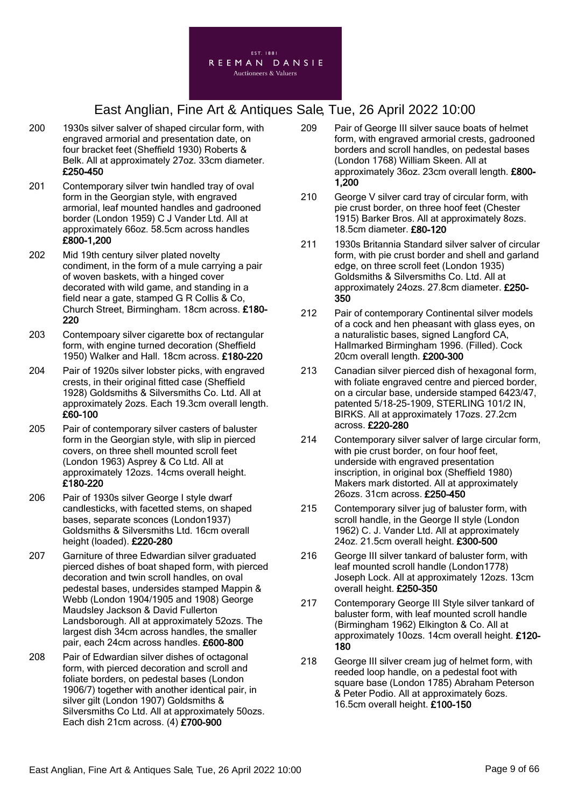

- 200 1930s silver salver of shaped circular form, with engraved armorial and presentation date, on four bracket feet (Sheffield 1930) Roberts & Belk. All at approximately 27oz. 33cm diameter. £250-450
- 201 Contemporary silver twin handled tray of oval form in the Georgian style, with engraved armorial, leaf mounted handles and gadrooned border (London 1959) C J Vander Ltd. All at approximately 66oz. 58.5cm across handles £800-1,200
- 202 Mid 19th century silver plated novelty condiment, in the form of a mule carrying a pair of woven baskets, with a hinged cover decorated with wild game, and standing in a field near a gate, stamped G R Collis & Co, Church Street, Birmingham. 18cm across. £180- 220
- 203 Contempoary silver cigarette box of rectangular form, with engine turned decoration (Sheffield 1950) Walker and Hall. 18cm across. £180-220
- 204 Pair of 1920s silver lobster picks, with engraved crests, in their original fitted case (Sheffield 1928) Goldsmiths & Silversmiths Co. Ltd. All at approximately 2ozs. Each 19.3cm overall length. £60-100
- 205 Pair of contemporary silver casters of baluster form in the Georgian style, with slip in pierced covers, on three shell mounted scroll feet (London 1963) Asprey & Co Ltd. All at approximately 12ozs. 14cms overall height. £180-220
- 206 Pair of 1930s silver George I style dwarf candlesticks, with facetted stems, on shaped bases, separate sconces (London1937) Goldsmiths & Silversmiths Ltd. 16cm overall height (loaded). £220-280
- 207 Garniture of three Edwardian silver graduated pierced dishes of boat shaped form, with pierced decoration and twin scroll handles, on oval pedestal bases, undersides stamped Mappin & Webb (London 1904/1905 and 1908) George Maudsley Jackson & David Fullerton Landsborough. All at approximately 52ozs. The largest dish 34cm across handles, the smaller pair, each 24cm across handles. £600-800
- 208 Pair of Edwardian silver dishes of octagonal form, with pierced decoration and scroll and foliate borders, on pedestal bases (London 1906/7) together with another identical pair, in silver gilt (London 1907) Goldsmiths & Silversmiths Co Ltd. All at approximately 50ozs. Each dish 21cm across. (4) £700-900
- 209 Pair of George III silver sauce boats of helmet form, with engraved armorial crests, gadrooned borders and scroll handles, on pedestal bases (London 1768) William Skeen. All at approximately 36oz. 23cm overall length. £800- 1,200
- 210 George V silver card tray of circular form, with pie crust border, on three hoof feet (Chester 1915) Barker Bros. All at approximately 8ozs. 18.5cm diameter. £80-120
- 211 1930s Britannia Standard silver salver of circular form, with pie crust border and shell and garland edge, on three scroll feet (London 1935) Goldsmiths & Silversmiths Co. Ltd. All at approximately 24ozs. 27.8cm diameter. £250- 350
- 212 Pair of contemporary Continental silver models of a cock and hen pheasant with glass eyes, on a naturalistic bases, signed Langford CA, Hallmarked Birmingham 1996. (Filled). Cock 20cm overall length. £200-300
- 213 Canadian silver pierced dish of hexagonal form, with foliate engraved centre and pierced border, on a circular base, underside stamped 6423/47, patented 5/18-25-1909, STERLING 101/2 IN, BIRKS. All at approximately 17ozs. 27.2cm across. £220-280
- 214 Contemporary silver salver of large circular form, with pie crust border, on four hoof feet, underside with engraved presentation inscription, in original box (Sheffield 1980) Makers mark distorted. All at approximately 26ozs. 31cm across. £250-450
- 215 Contemporary silver jug of baluster form, with scroll handle, in the George II style (London 1962) C. J. Vander Ltd. All at approximately 24oz. 21.5cm overall height. £300-500
- 216 George III silver tankard of baluster form, with leaf mounted scroll handle (London1778) Joseph Lock. All at approximately 12ozs. 13cm overall height. £250-350
- 217 Contemporary George III Style silver tankard of baluster form, with leaf mounted scroll handle (Birmingham 1962) Elkington & Co. All at approximately 10ozs. 14cm overall height. £120- 180
- 218 George III silver cream jug of helmet form, with reeded loop handle, on a pedestal foot with square base (London 1785) Abraham Peterson & Peter Podio. All at approximately 6ozs. 16.5cm overall height. £100-150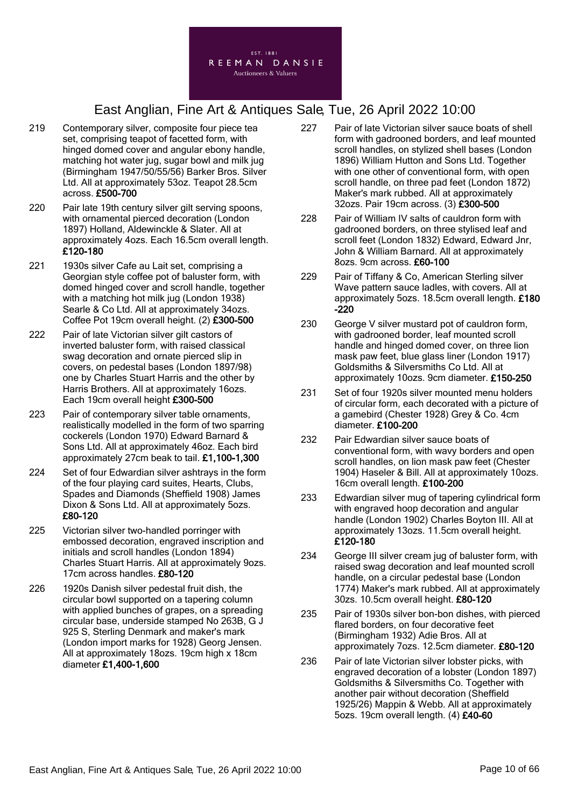

- 219 Contemporary silver, composite four piece tea set, comprising teapot of facetted form, with hinged domed cover and angular ebony handle, matching hot water jug, sugar bowl and milk jug (Birmingham 1947/50/55/56) Barker Bros. Silver Ltd. All at approximately 53oz. Teapot 28.5cm across. £500-700
- 220 Pair late 19th century silver gilt serving spoons, with ornamental pierced decoration (London 1897) Holland, Aldewinckle & Slater. All at approximately 4ozs. Each 16.5cm overall length. £120-180
- 221 1930s silver Cafe au Lait set, comprising a Georgian style coffee pot of baluster form, with domed hinged cover and scroll handle, together with a matching hot milk jug (London 1938) Searle & Co Ltd. All at approximately 34ozs. Coffee Pot 19cm overall height. (2) £300-500
- 222 Pair of late Victorian silver gilt castors of inverted baluster form, with raised classical swag decoration and ornate pierced slip in covers, on pedestal bases (London 1897/98) one by Charles Stuart Harris and the other by Harris Brothers. All at approximately 16ozs. Each 19cm overall height £300-500
- 223 Pair of contemporary silver table ornaments, realistically modelled in the form of two sparring cockerels (London 1970) Edward Barnard & Sons Ltd. All at approximately 46oz. Each bird approximately 27cm beak to tail. £1,100-1,300
- 224 Set of four Edwardian silver ashtrays in the form of the four playing card suites, Hearts, Clubs, Spades and Diamonds (Sheffield 1908) James Dixon & Sons Ltd. All at approximately 5ozs. £80-120
- 225 Victorian silver two-handled porringer with embossed decoration, engraved inscription and initials and scroll handles (London 1894) Charles Stuart Harris. All at approximately 9ozs. 17cm across handles. £80-120
- 226 1920s Danish silver pedestal fruit dish, the circular bowl supported on a tapering column with applied bunches of grapes, on a spreading circular base, underside stamped No 263B, G J 925 S, Sterling Denmark and maker's mark (London import marks for 1928) Georg Jensen. All at approximately 18ozs. 19cm high x 18cm diameter £1,400-1,600
- 227 Pair of late Victorian silver sauce boats of shell form with gadrooned borders, and leaf mounted scroll handles, on stylized shell bases (London 1896) William Hutton and Sons Ltd. Together with one other of conventional form, with open scroll handle, on three pad feet (London 1872) Maker's mark rubbed. All at approximately 32ozs. Pair 19cm across. (3) £300-500
- 228 Pair of William IV salts of cauldron form with gadrooned borders, on three stylised leaf and scroll feet (London 1832) Edward, Edward Jnr, John & William Barnard. All at approximately 8ozs. 9cm across. £60-100
- 229 Pair of Tiffany & Co, American Sterling silver Wave pattern sauce ladles, with covers. All at approximately 5ozs. 18.5cm overall length. £180  $-220$
- 230 George V silver mustard pot of cauldron form, with gadrooned border, leaf mounted scroll handle and hinged domed cover, on three lion mask paw feet, blue glass liner (London 1917) Goldsmiths & Silversmiths Co Ltd. All at approximately 10ozs. 9cm diameter. £150-250
- 231 Set of four 1920s silver mounted menu holders of circular form, each decorated with a picture of a gamebird (Chester 1928) Grey & Co. 4cm diameter. £100-200
- 232 Pair Edwardian silver sauce boats of conventional form, with wavy borders and open scroll handles, on lion mask paw feet (Chester 1904) Haseler & Bill. All at approximately 10ozs. 16cm overall length. £100-200
- 233 Edwardian silver mug of tapering cylindrical form with engraved hoop decoration and angular handle (London 1902) Charles Boyton III. All at approximately 13ozs. 11.5cm overall height. £120-180
- 234 George III silver cream jug of baluster form, with raised swag decoration and leaf mounted scroll handle, on a circular pedestal base (London 1774) Maker's mark rubbed. All at approximately 30zs. 10.5cm overall height. £80-120
- 235 Pair of 1930s silver bon-bon dishes, with pierced flared borders, on four decorative feet (Birmingham 1932) Adie Bros. All at approximately 7ozs. 12.5cm diameter. £80-120
- 236 Pair of late Victorian silver lobster picks, with engraved decoration of a lobster (London 1897) Goldsmiths & Silversmiths Co. Together with another pair without decoration (Sheffield 1925/26) Mappin & Webb. All at approximately 5ozs. 19cm overall length. (4) £40-60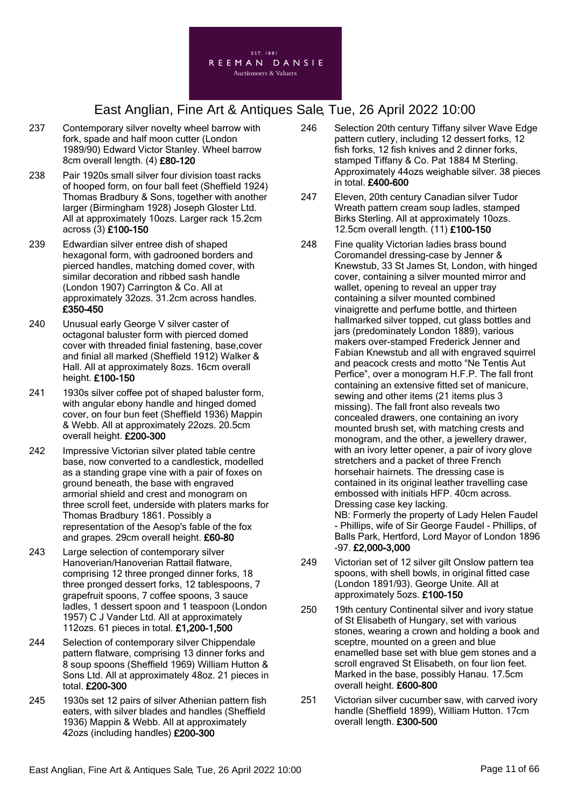

- 237 Contemporary silver novelty wheel barrow with fork, spade and half moon cutter (London 1989/90) Edward Victor Stanley. Wheel barrow 8cm overall length. (4) £80-120
- 238 Pair 1920s small silver four division toast racks of hooped form, on four ball feet (Sheffield 1924) Thomas Bradbury & Sons, together with another larger (Birmingham 1928) Joseph Gloster Ltd. All at approximately 10ozs. Larger rack 15.2cm across (3) £100-150
- 239 Edwardian silver entree dish of shaped hexagonal form, with gadrooned borders and pierced handles, matching domed cover, with similar decoration and ribbed sash handle (London 1907) Carrington & Co. All at approximately 32ozs. 31.2cm across handles. £350-450
- 240 Unusual early George V silver caster of octagonal baluster form with pierced domed cover with threaded finial fastening, base,cover and finial all marked (Sheffield 1912) Walker & Hall. All at approximately 8ozs. 16cm overall height. £100-150
- 241 1930s silver coffee pot of shaped baluster form, with angular ebony handle and hinged domed cover, on four bun feet (Sheffield 1936) Mappin & Webb. All at approximately 22ozs. 20.5cm overall height. £200-300
- 242 Impressive Victorian silver plated table centre base, now converted to a candlestick, modelled as a standing grape vine with a pair of foxes on ground beneath, the base with engraved armorial shield and crest and monogram on three scroll feet, underside with platers marks for Thomas Bradbury 1861. Possibly a representation of the Aesop's fable of the fox and grapes. 29cm overall height. £60-80
- 243 Large selection of contemporary silver Hanoverian/Hanoverian Rattail flatware, comprising 12 three pronged dinner forks, 18 three pronged dessert forks, 12 tablespoons, 7 grapefruit spoons, 7 coffee spoons, 3 sauce ladles, 1 dessert spoon and 1 teaspoon (London 1957) C J Vander Ltd. All at approximately 112ozs. 61 pieces in total. £1,200-1,500
- 244 Selection of contemporary silver Chippendale pattern flatware, comprising 13 dinner forks and 8 soup spoons (Sheffield 1969) William Hutton & Sons Ltd. All at approximately 48oz. 21 pieces in total. £200-300
- 245 1930s set 12 pairs of silver Athenian pattern fish eaters, with silver blades and handles (Sheffield 1936) Mappin & Webb. All at approximately 42ozs (including handles) £200-300
- 246 Selection 20th century Tiffany silver Wave Edge pattern cutlery, including 12 dessert forks, 12 fish forks, 12 fish knives and 2 dinner forks, stamped Tiffany & Co. Pat 1884 M Sterling. Approximately 44ozs weighable silver. 38 pieces in total. £400-600
- 247 Eleven, 20th century Canadian silver Tudor Wreath pattern cream soup ladles, stamped Birks Sterling. All at approximately 10ozs. 12.5cm overall length. (11) £100-150
- 248 Fine quality Victorian ladies brass bound Coromandel dressing-case by Jenner & Knewstub, 33 St James St, London, with hinged cover, containing a silver mounted mirror and wallet, opening to reveal an upper tray containing a silver mounted combined vinaigrette and perfume bottle, and thirteen hallmarked silver topped, cut glass bottles and jars (predominately London 1889), various makers over-stamped Frederick Jenner and Fabian Knewstub and all with engraved squirrel and peacock crests and motto "Ne Tentis Aut Perfice", over a monogram H.F.P. The fall front containing an extensive fitted set of manicure, sewing and other items (21 items plus 3 missing). The fall front also reveals two concealed drawers, one containing an ivory mounted brush set, with matching crests and monogram, and the other, a jewellery drawer, with an ivory letter opener, a pair of ivory glove stretchers and a packet of three French horsehair hairnets. The dressing case is contained in its original leather travelling case embossed with initials HFP. 40cm across. Dressing case key lacking. NB: Formerly the property of Lady Helen Faudel - Phillips, wife of Sir George Faudel - Phillips, of Balls Park, Hertford, Lord Mayor of London 1896
- 249 Victorian set of 12 silver gilt Onslow pattern tea spoons, with shell bowls, in original fitted case (London 1891/93). George Unite. All at approximately 5ozs. £100-150

-97. £2,000-3,000

- 250 19th century Continental silver and ivory statue of St Elisabeth of Hungary, set with various stones, wearing a crown and holding a book and sceptre, mounted on a green and blue enamelled base set with blue gem stones and a scroll engraved St Elisabeth, on four lion feet. Marked in the base, possibly Hanau. 17.5cm overall height. £600-800
- 251 Victorian silver cucumber saw, with carved ivory handle (Sheffield 1899), William Hutton. 17cm overall length. £300-500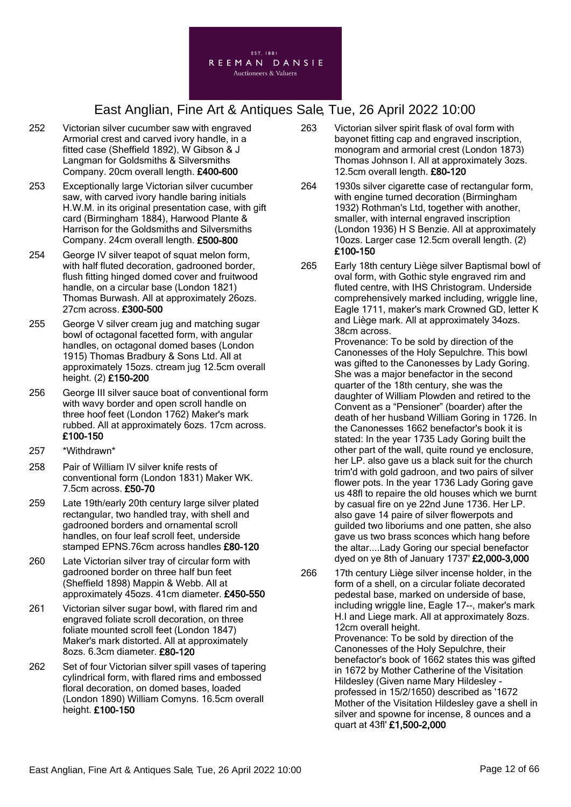

- 252 Victorian silver cucumber saw with engraved Armorial crest and carved ivory handle, in a fitted case (Sheffield 1892), W Gibson & J Langman for Goldsmiths & Silversmiths Company. 20cm overall length. £400-600
- 253 Exceptionally large Victorian silver cucumber saw, with carved ivory handle baring initials H.W.M. in its original presentation case, with gift card (Birmingham 1884), Harwood Plante & Harrison for the Goldsmiths and Silversmiths Company. 24cm overall length. £500-800
- 254 George IV silver teapot of squat melon form, with half fluted decoration, gadrooned border, flush fitting hinged domed cover and fruitwood handle, on a circular base (London 1821) Thomas Burwash. All at approximately 26ozs. 27cm across. £300-500
- 255 George V silver cream jug and matching sugar bowl of octagonal facetted form, with angular handles, on octagonal domed bases (London 1915) Thomas Bradbury & Sons Ltd. All at approximately 15ozs. ctream jug 12.5cm overall height. (2) £150-200
- 256 George III silver sauce boat of conventional form with wavy border and open scroll handle on three hoof feet (London 1762) Maker's mark rubbed. All at approximately 6ozs. 17cm across. £100-150
- 257 \*Withdrawn\*
- 258 Pair of William IV silver knife rests of conventional form (London 1831) Maker WK. 7.5cm across. £50-70
- 259 Late 19th/early 20th century large silver plated rectangular, two handled tray, with shell and gadrooned borders and ornamental scroll handles, on four leaf scroll feet, underside stamped EPNS.76cm across handles £80-120
- 260 Late Victorian silver tray of circular form with gadrooned border on three half bun feet (Sheffield 1898) Mappin & Webb. All at approximately 45ozs. 41cm diameter. £450-550
- 261 Victorian silver sugar bowl, with flared rim and engraved foliate scroll decoration, on three foliate mounted scroll feet (London 1847) Maker's mark distorted. All at approximately 8ozs. 6.3cm diameter. £80-120
- 262 Set of four Victorian silver spill vases of tapering cylindrical form, with flared rims and embossed floral decoration, on domed bases, loaded (London 1890) William Comyns. 16.5cm overall height. £100-150
- 263 Victorian silver spirit flask of oval form with bayonet fitting cap and engraved inscription, monogram and armorial crest (London 1873) Thomas Johnson I. All at approximately 3ozs. 12.5cm overall length. £80-120
- 264 1930s silver cigarette case of rectangular form, with engine turned decoration (Birmingham 1932) Rothman's Ltd, together with another, smaller, with internal engraved inscription (London 1936) H S Benzie. All at approximately 10ozs. Larger case 12.5cm overall length. (2) £100-150
- 265 Early 18th century Liège silver Baptismal bowl of oval form, with Gothic style engraved rim and fluted centre, with IHS Christogram. Underside comprehensively marked including, wriggle line, Eagle 1711, maker's mark Crowned GD, letter K and Liège mark. All at approximately 34ozs. 38cm across.

Provenance: To be sold by direction of the Canonesses of the Holy Sepulchre. This bowl was gifted to the Canonesses by Lady Goring. She was a major benefactor in the second quarter of the 18th century, she was the daughter of William Plowden and retired to the Convent as a "Pensioner" (boarder) after the death of her husband William Goring in 1726. In the Canonesses 1662 benefactor's book it is stated: In the year 1735 Lady Goring built the other part of the wall, quite round ye enclosure, her LP. also gave us a black suit for the church trim'd with gold gadroon, and two pairs of silver flower pots. In the year 1736 Lady Goring gave us 48fl to repaire the old houses which we burnt by casual fire on ye 22nd June 1736. Her LP. also gave 14 paire of silver flowerpots and guilded two liboriums and one patten, she also gave us two brass sconces which hang before the altar....Lady Goring our special benefactor dyed on ye 8th of January 1737' £2,000-3,000

266 17th century Liège silver incense holder, in the form of a shell, on a circular foliate decorated pedestal base, marked on underside of base, including wriggle line, Eagle 17--, maker's mark H.I and Liege mark. All at approximately 8ozs. 12cm overall height.

Provenance: To be sold by direction of the Canonesses of the Holy Sepulchre, their benefactor's book of 1662 states this was gifted in 1672 by Mother Catherine of the Visitation Hildesley (Given name Mary Hildesley professed in 15/2/1650) described as '1672 Mother of the Visitation Hildesley gave a shell in silver and spowne for incense, 8 ounces and a quart at 43fl' £1,500-2,000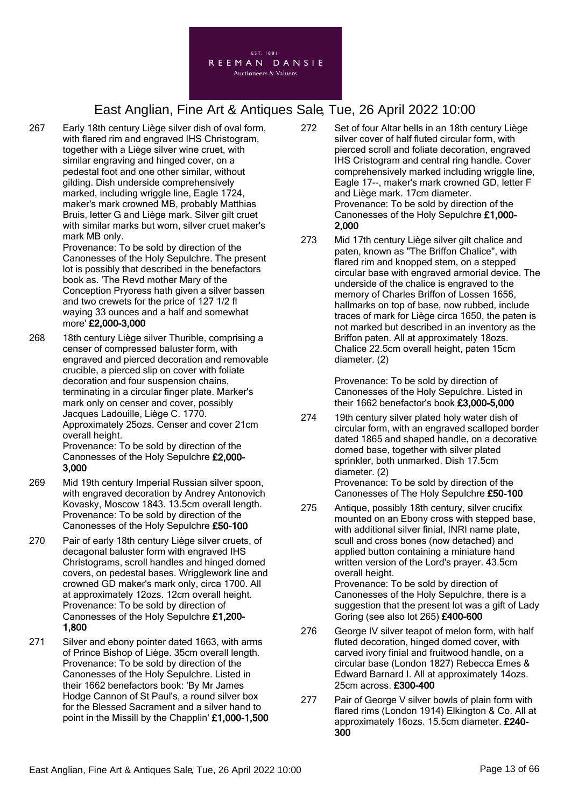

267 Early 18th century Liège silver dish of oval form, with flared rim and engraved IHS Christogram, together with a Liège silver wine cruet, with similar engraving and hinged cover, on a pedestal foot and one other similar, without gilding. Dish underside comprehensively marked, including wriggle line, Eagle 1724, maker's mark crowned MB, probably Matthias Bruis, letter G and Liège mark. Silver gilt cruet with similar marks but worn, silver cruet maker's mark MB only.

Provenance: To be sold by direction of the Canonesses of the Holy Sepulchre. The present lot is possibly that described in the benefactors book as. 'The Revd mother Mary of the Conception Pryoress hath given a silver bassen and two crewets for the price of 127 1/2 fl waying 33 ounces and a half and somewhat more' £2,000-3,000

- 268 18th century Liège silver Thurible, comprising a censer of compressed baluster form, with engraved and pierced decoration and removable crucible, a pierced slip on cover with foliate decoration and four suspension chains, terminating in a circular finger plate. Marker's mark only on censer and cover, possibly Jacques Ladouille, Liège C. 1770. Approximately 25ozs. Censer and cover 21cm overall height. Provenance: To be sold by direction of the Canonesses of the Holy Sepulchre £2,000- 3,000
- 269 Mid 19th century Imperial Russian silver spoon, with engraved decoration by Andrey Antonovich Kovasky, Moscow 1843. 13.5cm overall length. Provenance: To be sold by direction of the Canonesses of the Holy Sepulchre £50-100
- 270 Pair of early 18th century Liège silver cruets, of decagonal baluster form with engraved IHS Christograms, scroll handles and hinged domed covers, on pedestal bases. Wrigglework line and crowned GD maker's mark only, circa 1700. All at approximately 12ozs. 12cm overall height. Provenance: To be sold by direction of Canonesses of the Holy Sepulchre £1,200- 1,800
- 271 Silver and ebony pointer dated 1663, with arms of Prince Bishop of Liège. 35cm overall length. Provenance: To be sold by direction of the Canonesses of the Holy Sepulchre. Listed in their 1662 benefactors book: 'By Mr James Hodge Cannon of St Paul's, a round silver box for the Blessed Sacrament and a silver hand to point in the Missill by the Chapplin' £1,000-1,500
- 272 Set of four Altar bells in an 18th century Liège silver cover of half fluted circular form, with pierced scroll and foliate decoration, engraved IHS Cristogram and central ring handle. Cover comprehensively marked including wriggle line, Eagle 17--, maker's mark crowned GD, letter F and Liège mark. 17cm diameter. Provenance: To be sold by direction of the Canonesses of the Holy Sepulchre £1,000- 2,000
- 273 Mid 17th century Liège silver gilt chalice and paten, known as "The Briffon Chalice", with flared rim and knopped stem, on a stepped circular base with engraved armorial device. The underside of the chalice is engraved to the memory of Charles Briffon of Lossen 1656, hallmarks on top of base, now rubbed, include traces of mark for Liège circa 1650, the paten is not marked but described in an inventory as the Briffon paten. All at approximately 18ozs. Chalice 22.5cm overall height, paten 15cm diameter. (2)

Provenance: To be sold by direction of Canonesses of the Holy Sepulchre. Listed in their 1662 benefactor's book £3,000-5,000

- 274 19th century silver plated holy water dish of circular form, with an engraved scalloped border dated 1865 and shaped handle, on a decorative domed base, together with silver plated sprinkler, both unmarked. Dish 17.5cm diameter. (2) Provenance: To be sold by direction of the Canonesses of The Holy Sepulchre £50-100
- 275 Antique, possibly 18th century, silver crucifix mounted on an Ebony cross with stepped base, with additional silver finial, INRI name plate, scull and cross bones (now detached) and applied button containing a miniature hand written version of the Lord's prayer. 43.5cm overall height. Provenance: To be sold by direction of Canonesses of the Holy Sepulchre, there is a suggestion that the present lot was a gift of Lady
- 276 George IV silver teapot of melon form, with half fluted decoration, hinged domed cover, with carved ivory finial and fruitwood handle, on a circular base (London 1827) Rebecca Emes & Edward Barnard I. All at approximately 14ozs. 25cm across. £300-400

Goring (see also lot 265) £400-600

277 Pair of George V silver bowls of plain form with flared rims (London 1914) Elkington & Co. All at approximately 16ozs. 15.5cm diameter. £240- 300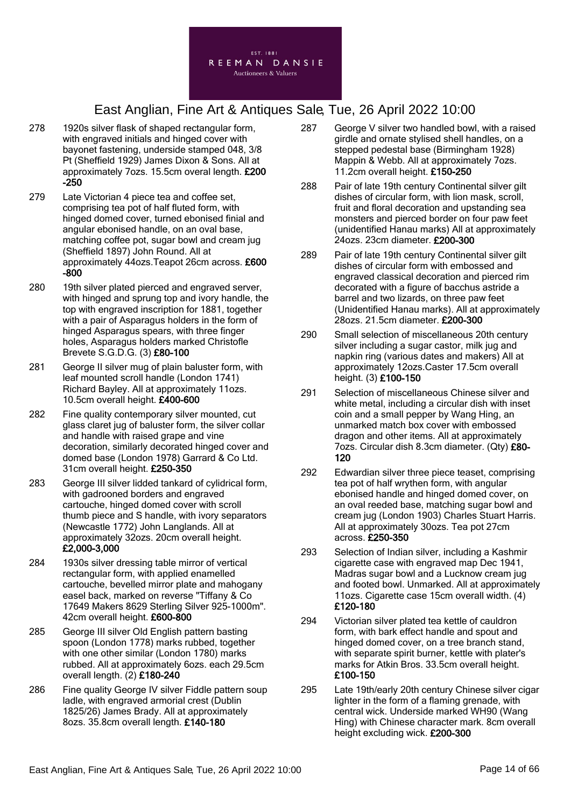

- 278 1920s silver flask of shaped rectangular form, with engraved initials and hinged cover with bayonet fastening, underside stamped 048, 3/8 Pt (Sheffield 1929) James Dixon & Sons. All at approximately 7ozs. 15.5cm overal length. £200 -250
- 279 Late Victorian 4 piece tea and coffee set, comprising tea pot of half fluted form, with hinged domed cover, turned ebonised finial and angular ebonised handle, on an oval base, matching coffee pot, sugar bowl and cream jug (Sheffield 1897) John Round. All at approximately 44ozs.Teapot 26cm across. £600 -800
- 280 19th silver plated pierced and engraved server, with hinged and sprung top and ivory handle, the top with engraved inscription for 1881, together with a pair of Asparagus holders in the form of hinged Asparagus spears, with three finger holes, Asparagus holders marked Christofle Brevete S.G.D.G. (3) £80-100
- 281 George II silver mug of plain baluster form, with leaf mounted scroll handle (London 1741) Richard Bayley. All at approximately 11ozs. 10.5cm overall height. £400-600
- 282 Fine quality contemporary silver mounted, cut glass claret jug of baluster form, the silver collar and handle with raised grape and vine decoration, similarly decorated hinged cover and domed base (London 1978) Garrard & Co Ltd. 31cm overall height. £250-350
- 283 George III silver lidded tankard of cylidrical form, with gadrooned borders and engraved cartouche, hinged domed cover with scroll thumb piece and S handle, with ivory separators (Newcastle 1772) John Langlands. All at approximately 32ozs. 20cm overall height. £2,000-3,000
- 284 1930s silver dressing table mirror of vertical rectangular form, with applied enamelled cartouche, bevelled mirror plate and mahogany easel back, marked on reverse "Tiffany & Co 17649 Makers 8629 Sterling Silver 925-1000m". 42cm overall height. £600-800
- 285 George III silver Old English pattern basting spoon (London 1778) marks rubbed, together with one other similar (London 1780) marks rubbed. All at approximately 6ozs. each 29.5cm overall length. (2) £180-240
- 286 Fine quality George IV silver Fiddle pattern soup ladle, with engraved armorial crest (Dublin 1825/26) James Brady. All at approximately 8ozs. 35.8cm overall length. £140-180
- 287 George V silver two handled bowl, with a raised girdle and ornate stylised shell handles, on a stepped pedestal base (Birmingham 1928) Mappin & Webb. All at approximately 7ozs. 11.2cm overall height. £150-250
- 288 Pair of late 19th century Continental silver gilt dishes of circular form, with lion mask, scroll, fruit and floral decoration and upstanding sea monsters and pierced border on four paw feet (unidentified Hanau marks) All at approximately 24ozs. 23cm diameter. £200-300
- 289 Pair of late 19th century Continental silver gilt dishes of circular form with embossed and engraved classical decoration and pierced rim decorated with a figure of bacchus astride a barrel and two lizards, on three paw feet (Unidentified Hanau marks). All at approximately 28ozs. 21.5cm diameter. £200-300
- 290 Small selection of miscellaneous 20th century silver including a sugar castor, milk jug and napkin ring (various dates and makers) All at approximately 12ozs.Caster 17.5cm overall height. (3) £100-150
- 291 Selection of miscellaneous Chinese silver and white metal, including a circular dish with inset coin and a small pepper by Wang Hing, an unmarked match box cover with embossed dragon and other items. All at approximately 7ozs. Circular dish 8.3cm diameter. (Qty) £80- 120
- 292 Edwardian silver three piece teaset, comprising tea pot of half wrythen form, with angular ebonised handle and hinged domed cover, on an oval reeded base, matching sugar bowl and cream jug (London 1903) Charles Stuart Harris. All at approximately 30ozs. Tea pot 27cm across. £250-350
- 293 Selection of Indian silver, including a Kashmir cigarette case with engraved map Dec 1941, Madras sugar bowl and a Lucknow cream jug and footed bowl. Unmarked. All at approximately 11ozs. Cigarette case 15cm overall width. (4) £120-180
- 294 Victorian silver plated tea kettle of cauldron form, with bark effect handle and spout and hinged domed cover, on a tree branch stand, with separate spirit burner, kettle with plater's marks for Atkin Bros. 33.5cm overall height. £100-150
- 295 Late 19th/early 20th century Chinese silver cigar lighter in the form of a flaming grenade, with central wick. Underside marked WH90 (Wang Hing) with Chinese character mark. 8cm overall height excluding wick. £200-300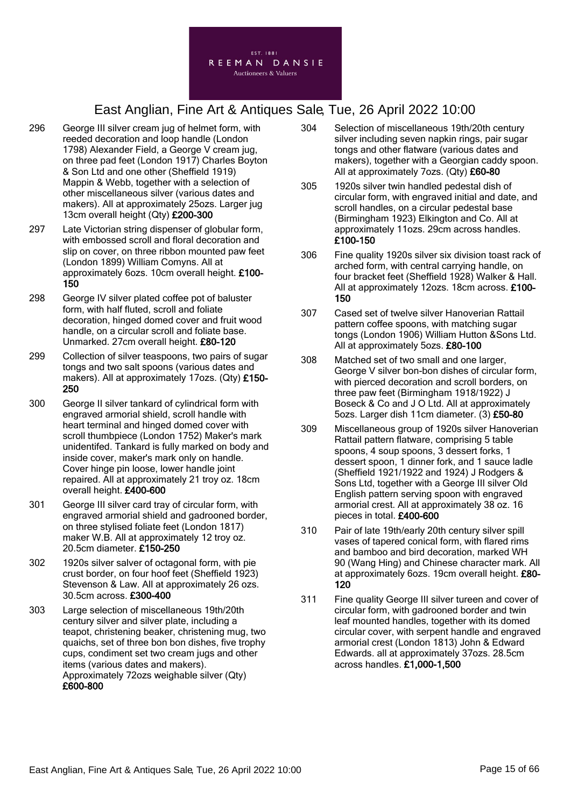

- 296 George III silver cream jug of helmet form, with reeded decoration and loop handle (London 1798) Alexander Field, a George V cream jug, on three pad feet (London 1917) Charles Boyton & Son Ltd and one other (Sheffield 1919) Mappin & Webb, together with a selection of other miscellaneous silver (various dates and makers). All at approximately 25ozs. Larger jug 13cm overall height (Qty) £200-300
- 297 Late Victorian string dispenser of globular form, with embossed scroll and floral decoration and slip on cover, on three ribbon mounted paw feet (London 1899) William Comyns. All at approximately 6ozs. 10cm overall height. £100- 150
- 298 George IV silver plated coffee pot of baluster form, with half fluted, scroll and foliate decoration, hinged domed cover and fruit wood handle, on a circular scroll and foliate base. Unmarked. 27cm overall height. £80-120
- 299 Collection of silver teaspoons, two pairs of sugar tongs and two salt spoons (various dates and makers). All at approximately 17ozs. (Qty) £150-250
- 300 George II silver tankard of cylindrical form with engraved armorial shield, scroll handle with heart terminal and hinged domed cover with scroll thumbpiece (London 1752) Maker's mark unidentifed. Tankard is fully marked on body and inside cover, maker's mark only on handle. Cover hinge pin loose, lower handle joint repaired. All at approximately 21 troy oz. 18cm overall height. £400-600
- 301 George III silver card tray of circular form, with engraved armorial shield and gadrooned border, on three stylised foliate feet (London 1817) maker W.B. All at approximately 12 troy oz. 20.5cm diameter. £150-250
- 302 1920s silver salver of octagonal form, with pie crust border, on four hoof feet (Sheffield 1923) Stevenson & Law. All at approximately 26 ozs. 30.5cm across. £300-400
- 303 Large selection of miscellaneous 19th/20th century silver and silver plate, including a teapot, christening beaker, christening mug, two quaichs, set of three bon bon dishes, five trophy cups, condiment set two cream jugs and other items (various dates and makers). Approximately 72ozs weighable silver (Qty) £600-800
- 304 Selection of miscellaneous 19th/20th century silver including seven napkin rings, pair sugar tongs and other flatware (various dates and makers), together with a Georgian caddy spoon. All at approximately 7ozs. (Qty) £60-80
- 305 1920s silver twin handled pedestal dish of circular form, with engraved initial and date, and scroll handles, on a circular pedestal base (Birmingham 1923) Elkington and Co. All at approximately 11ozs. 29cm across handles. £100-150
- 306 Fine quality 1920s silver six division toast rack of arched form, with central carrying handle, on four bracket feet (Sheffield 1928) Walker & Hall. All at approximately 12ozs. 18cm across. £100- 150
- 307 Cased set of twelve silver Hanoverian Rattail pattern coffee spoons, with matching sugar tongs (London 1906) William Hutton &Sons Ltd. All at approximately 5ozs. £80-100
- 308 Matched set of two small and one larger, George V silver bon-bon dishes of circular form, with pierced decoration and scroll borders, on three paw feet (Birmingham 1918/1922) J Boseck & Co and J O Ltd. All at approximately 5ozs. Larger dish 11cm diameter. (3) £50-80
- 309 Miscellaneous group of 1920s silver Hanoverian Rattail pattern flatware, comprising 5 table spoons, 4 soup spoons, 3 dessert forks, 1 dessert spoon, 1 dinner fork, and 1 sauce ladle (Sheffield 1921/1922 and 1924) J Rodgers & Sons Ltd, together with a George III silver Old English pattern serving spoon with engraved armorial crest. All at approximately 38 oz. 16 pieces in total. £400-600
- 310 Pair of late 19th/early 20th century silver spill vases of tapered conical form, with flared rims and bamboo and bird decoration, marked WH 90 (Wang Hing) and Chinese character mark. All at approximately 6ozs. 19cm overall height. £80- 120
- 311 Fine quality George III silver tureen and cover of circular form, with gadrooned border and twin leaf mounted handles, together with its domed circular cover, with serpent handle and engraved armorial crest (London 1813) John & Edward Edwards. all at approximately 37ozs. 28.5cm across handles. £1,000-1,500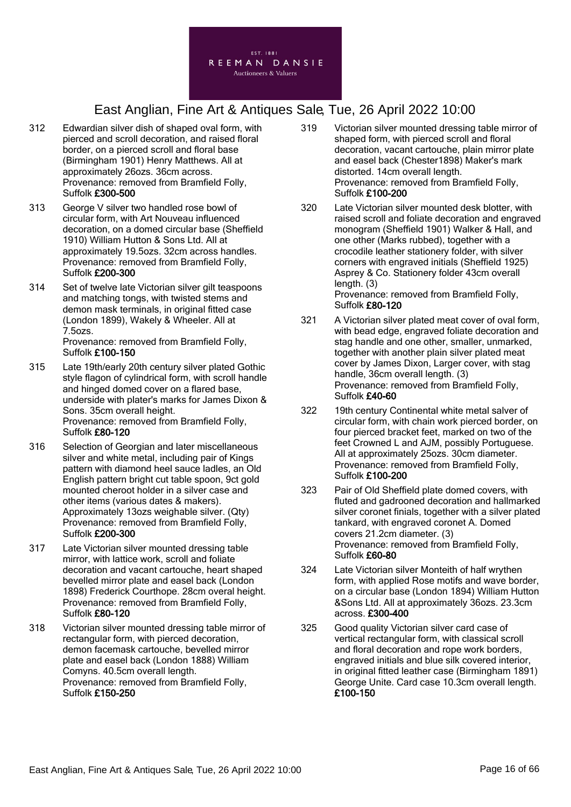

- 312 Edwardian silver dish of shaped oval form, with pierced and scroll decoration, and raised floral border, on a pierced scroll and floral base (Birmingham 1901) Henry Matthews. All at approximately 26ozs. 36cm across. Provenance: removed from Bramfield Folly, Suffolk £300-500
- 313 George V silver two handled rose bowl of circular form, with Art Nouveau influenced decoration, on a domed circular base (Sheffield 1910) William Hutton & Sons Ltd. All at approximately 19.5ozs. 32cm across handles. Provenance: removed from Bramfield Folly, Suffolk £200-300
- 314 Set of twelve late Victorian silver gilt teaspoons and matching tongs, with twisted stems and demon mask terminals, in original fitted case (London 1899), Wakely & Wheeler. All at 7.5ozs. Provenance: removed from Bramfield Folly, Suffolk £100-150
- 315 Late 19th/early 20th century silver plated Gothic style flagon of cylindrical form, with scroll handle and hinged domed cover on a flared base, underside with plater's marks for James Dixon & Sons. 35cm overall height. Provenance: removed from Bramfield Folly, Suffolk £80-120
- 316 Selection of Georgian and later miscellaneous silver and white metal, including pair of Kings pattern with diamond heel sauce ladles, an Old English pattern bright cut table spoon, 9ct gold mounted cheroot holder in a silver case and other items (various dates & makers). Approximately 13ozs weighable silver. (Qty) Provenance: removed from Bramfield Folly, Suffolk £200-300
- 317 Late Victorian silver mounted dressing table mirror, with lattice work, scroll and foliate decoration and vacant cartouche, heart shaped bevelled mirror plate and easel back (London 1898) Frederick Courthope. 28cm overal height. Provenance: removed from Bramfield Folly, Suffolk £80-120
- 318 Victorian silver mounted dressing table mirror of rectangular form, with pierced decoration, demon facemask cartouche, bevelled mirror plate and easel back (London 1888) William Comyns. 40.5cm overall length. Provenance: removed from Bramfield Folly, Suffolk £150-250
- 319 Victorian silver mounted dressing table mirror of shaped form, with pierced scroll and floral decoration, vacant cartouche, plain mirror plate and easel back (Chester1898) Maker's mark distorted. 14cm overall length. Provenance: removed from Bramfield Folly, Suffolk £100-200
- 320 Late Victorian silver mounted desk blotter, with raised scroll and foliate decoration and engraved monogram (Sheffield 1901) Walker & Hall, and one other (Marks rubbed), together with a crocodile leather stationery folder, with silver corners with engraved initials (Sheffield 1925) Asprey & Co. Stationery folder 43cm overall length. (3) Provenance: removed from Bramfield Folly, Suffolk £80-120
- 321 A Victorian silver plated meat cover of oval form, with bead edge, engraved foliate decoration and stag handle and one other, smaller, unmarked, together with another plain silver plated meat cover by James Dixon, Larger cover, with stag handle, 36cm overall length. (3) Provenance: removed from Bramfield Folly, Suffolk £40-60
- 322 19th century Continental white metal salver of circular form, with chain work pierced border, on four pierced bracket feet, marked on two of the feet Crowned L and AJM, possibly Portuguese. All at approximately 25ozs. 30cm diameter. Provenance: removed from Bramfield Folly, Suffolk £100-200
- 323 Pair of Old Sheffield plate domed covers, with fluted and gadrooned decoration and hallmarked silver coronet finials, together with a silver plated tankard, with engraved coronet A. Domed covers 21.2cm diameter. (3) Provenance: removed from Bramfield Folly, Suffolk £60-80
- 324 Late Victorian silver Monteith of half wrythen form, with applied Rose motifs and wave border, on a circular base (London 1894) William Hutton &Sons Ltd. All at approximately 36ozs. 23.3cm across. £300-400
- 325 Good quality Victorian silver card case of vertical rectangular form, with classical scroll and floral decoration and rope work borders, engraved initials and blue silk covered interior, in original fitted leather case (Birmingham 1891) George Unite. Card case 10.3cm overall length. £100-150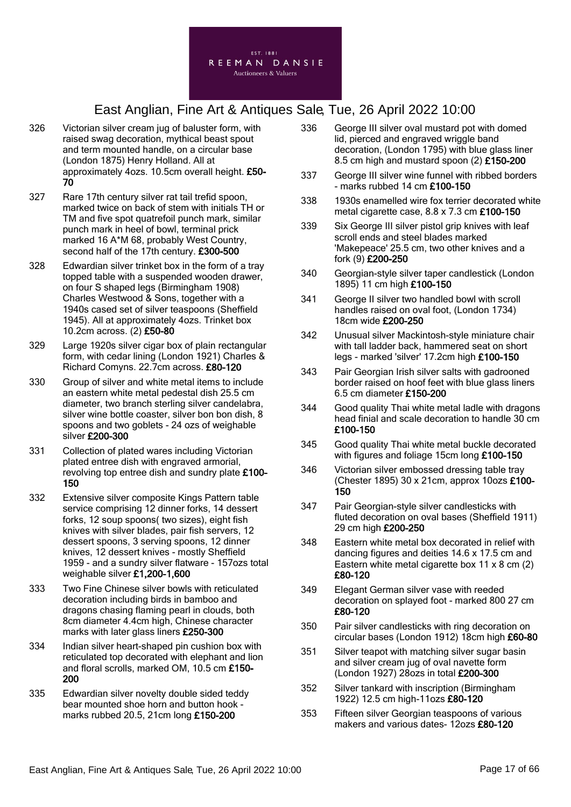

- 326 Victorian silver cream jug of baluster form, with raised swag decoration, mythical beast spout and term mounted handle, on a circular base (London 1875) Henry Holland. All at approximately 4ozs. 10.5cm overall height. £50- 70
- 327 Rare 17th century silver rat tail trefid spoon, marked twice on back of stem with initials TH or TM and five spot quatrefoil punch mark, similar punch mark in heel of bowl, terminal prick marked 16 A\*M 68, probably West Country, second half of the 17th century. £300-500
- 328 Edwardian silver trinket box in the form of a tray topped table with a suspended wooden drawer, on four S shaped legs (Birmingham 1908) Charles Westwood & Sons, together with a 1940s cased set of silver teaspoons (Sheffield 1945). All at approximately 4ozs. Trinket box 10.2cm across. (2) £50-80
- 329 Large 1920s silver cigar box of plain rectangular form, with cedar lining (London 1921) Charles & Richard Comyns. 22.7cm across. £80-120
- 330 Group of silver and white metal items to include an eastern white metal pedestal dish 25.5 cm diameter, two branch sterling silver candelabra, silver wine bottle coaster, silver bon bon dish, 8 spoons and two goblets - 24 ozs of weighable silver £200-300
- 331 Collection of plated wares including Victorian plated entree dish with engraved armorial, revolving top entree dish and sundry plate £100- 150
- 332 Extensive silver composite Kings Pattern table service comprising 12 dinner forks, 14 dessert forks, 12 soup spoons( two sizes), eight fish knives with silver blades, pair fish servers, 12 dessert spoons, 3 serving spoons, 12 dinner knives, 12 dessert knives - mostly Sheffield 1959 - and a sundry silver flatware - 157ozs total weighable silver £1,200-1,600
- 333 Two Fine Chinese silver bowls with reticulated decoration including birds in bamboo and dragons chasing flaming pearl in clouds, both 8cm diameter 4.4cm high, Chinese character marks with later glass liners £250-300
- 334 Indian silver heart-shaped pin cushion box with reticulated top decorated with elephant and lion and floral scrolls, marked OM, 10.5 cm £150- 200
- 335 Edwardian silver novelty double sided teddy bear mounted shoe horn and button hook marks rubbed 20.5, 21cm long £150-200
- 336 George III silver oval mustard pot with domed lid, pierced and engraved wriggle band decoration, (London 1795) with blue glass liner 8.5 cm high and mustard spoon (2) £150-200
- 337 George III silver wine funnel with ribbed borders - marks rubbed 14 cm £100-150
- 338 1930s enamelled wire fox terrier decorated white metal cigarette case,  $8.8 \times 7.3$  cm  $£100-150$
- 339 Six George III silver pistol grip knives with leaf scroll ends and steel blades marked 'Makepeace' 25.5 cm, two other knives and a fork (9) £200-250
- 340 Georgian-style silver taper candlestick (London 1895) 11 cm high £100-150
- 341 George II silver two handled bowl with scroll handles raised on oval foot, (London 1734) 18cm wide £200-250
- 342 Unusual silver Mackintosh-style miniature chair with tall ladder back, hammered seat on short legs - marked 'silver' 17.2cm high £100-150
- 343 Pair Georgian Irish silver salts with gadrooned border raised on hoof feet with blue glass liners 6.5 cm diameter £150-200
- 344 Good quality Thai white metal ladle with dragons head finial and scale decoration to handle 30 cm £100-150
- 345 Good quality Thai white metal buckle decorated with figures and foliage 15cm long £100-150
- 346 Victorian silver embossed dressing table tray (Chester 1895) 30 x 21cm, approx 10ozs £100- 150
- 347 Pair Georgian-style silver candlesticks with fluted decoration on oval bases (Sheffield 1911) 29 cm high £200-250
- 348 Eastern white metal box decorated in relief with dancing figures and deities 14.6 x 17.5 cm and Eastern white metal cigarette box 11 x 8 cm (2) £80-120
- 349 Elegant German silver vase with reeded decoration on splayed foot - marked 800 27 cm £80-120
- 350 Pair silver candlesticks with ring decoration on circular bases (London 1912) 18cm high £60-80
- 351 Silver teapot with matching silver sugar basin and silver cream jug of oval navette form (London 1927) 28ozs in total £200-300
- 352 Silver tankard with inscription (Birmingham 1922) 12.5 cm high-11ozs £80-120
- 353 Fifteen silver Georgian teaspoons of various makers and various dates- 12ozs £80-120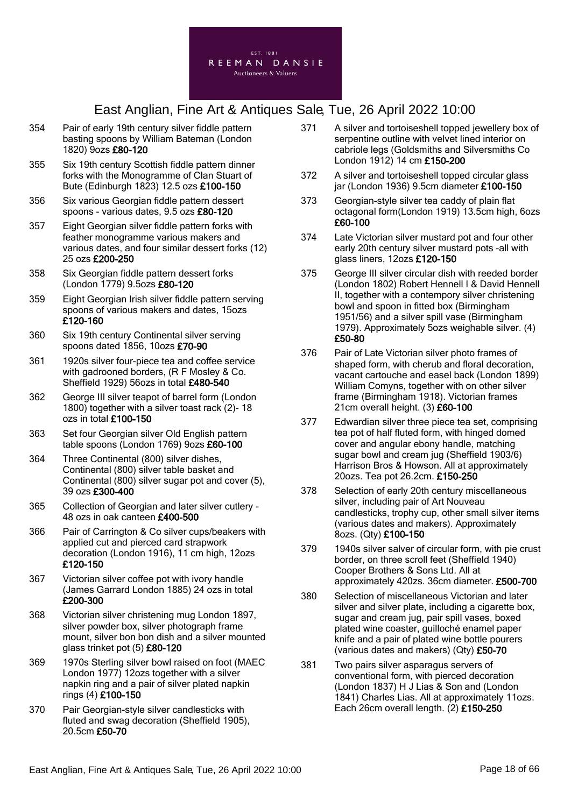

- 354 Pair of early 19th century silver fiddle pattern basting spoons by William Bateman (London 1820) 9ozs £80-120
- 355 Six 19th century Scottish fiddle pattern dinner forks with the Monogramme of Clan Stuart of Bute (Edinburgh 1823) 12.5 ozs £100-150
- 356 Six various Georgian fiddle pattern dessert spoons - various dates, 9.5 ozs £80-120
- 357 Eight Georgian silver fiddle pattern forks with feather monogramme various makers and various dates, and four similar dessert forks (12) 25 ozs £200-250
- 358 Six Georgian fiddle pattern dessert forks (London 1779) 9.5ozs £80-120
- 359 Eight Georgian Irish silver fiddle pattern serving spoons of various makers and dates, 15ozs £120-160
- 360 Six 19th century Continental silver serving spoons dated 1856, 10ozs £70-90
- 361 1920s silver four-piece tea and coffee service with gadrooned borders, (R F Mosley & Co. Sheffield 1929) 56ozs in total £480-540
- 362 George III silver teapot of barrel form (London 1800) together with a silver toast rack (2)- 18 ozs in total £100-150
- 363 Set four Georgian silver Old English pattern table spoons (London 1769) 9ozs £60-100
- 364 Three Continental (800) silver dishes, Continental (800) silver table basket and Continental (800) silver sugar pot and cover (5), 39 ozs £300-400
- 365 Collection of Georgian and later silver cutlery 48 ozs in oak canteen £400-500
- 366 Pair of Carrington & Co silver cups/beakers with applied cut and pierced card strapwork decoration (London 1916), 11 cm high, 12ozs £120-150
- 367 Victorian silver coffee pot with ivory handle (James Garrard London 1885) 24 ozs in total £200-300
- 368 Victorian silver christening mug London 1897, silver powder box, silver photograph frame mount, silver bon bon dish and a silver mounted glass trinket pot (5) £80-120
- 369 1970s Sterling silver bowl raised on foot (MAEC London 1977) 12ozs together with a silver napkin ring and a pair of silver plated napkin rings (4) £100-150
- 370 Pair Georgian-style silver candlesticks with fluted and swag decoration (Sheffield 1905), 20.5cm £50-70
- 371 A silver and tortoiseshell topped jewellery box of serpentine outline with velvet lined interior on cabriole legs (Goldsmiths and Silversmiths Co London 1912) 14 cm £150-200
- 372 A silver and tortoiseshell topped circular glass jar (London 1936) 9.5cm diameter £100-150
- 373 Georgian-style silver tea caddy of plain flat octagonal form(London 1919) 13.5cm high, 6ozs £60-100
- 374 Late Victorian silver mustard pot and four other early 20th century silver mustard pots -all with glass liners, 12ozs £120-150
- 375 George III silver circular dish with reeded border (London 1802) Robert Hennell I & David Hennell II, together with a contempory silver christening bowl and spoon in fitted box (Birmingham 1951/56) and a silver spill vase (Birmingham 1979). Approximately 5ozs weighable silver. (4) £50-80
- 376 Pair of Late Victorian silver photo frames of shaped form, with cherub and floral decoration, vacant cartouche and easel back (London 1899) William Comyns, together with on other silver frame (Birmingham 1918). Victorian frames 21cm overall height. (3) £60-100
- 377 Edwardian silver three piece tea set, comprising tea pot of half fluted form, with hinged domed cover and angular ebony handle, matching sugar bowl and cream jug (Sheffield 1903/6) Harrison Bros & Howson. All at approximately 20ozs. Tea pot 26.2cm. £150-250
- 378 Selection of early 20th century miscellaneous silver, including pair of Art Nouveau candlesticks, trophy cup, other small silver items (various dates and makers). Approximately 8ozs. (Qty) £100-150
- 379 1940s silver salver of circular form, with pie crust border, on three scroll feet (Sheffield 1940) Cooper Brothers & Sons Ltd. All at approximately 420zs. 36cm diameter. £500-700
- 380 Selection of miscellaneous Victorian and later silver and silver plate, including a cigarette box. sugar and cream jug, pair spill vases, boxed plated wine coaster, guilloché enamel paper knife and a pair of plated wine bottle pourers (various dates and makers) (Qty) £50-70
- 381 Two pairs silver asparagus servers of conventional form, with pierced decoration (London 1837) H J Lias & Son and (London 1841) Charles Lias. All at approximately 11ozs. Each 26cm overall length. (2) £150-250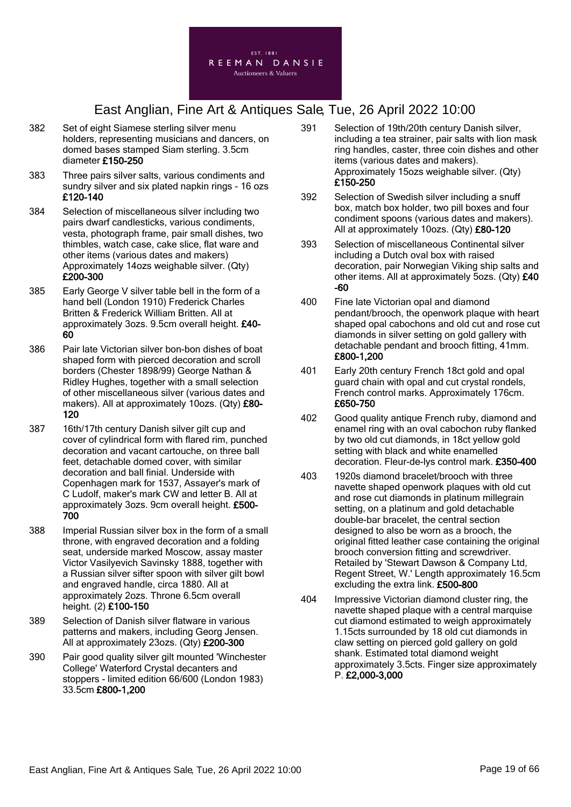

- 382 Set of eight Siamese sterling silver menu holders, representing musicians and dancers, on domed bases stamped Siam sterling. 3.5cm diameter £150-250
- 383 Three pairs silver salts, various condiments and sundry silver and six plated napkin rings - 16 ozs £120-140
- 384 Selection of miscellaneous silver including two pairs dwarf candlesticks, various condiments, vesta, photograph frame, pair small dishes, two thimbles, watch case, cake slice, flat ware and other items (various dates and makers) Approximately 14ozs weighable silver. (Qty) £200-300
- 385 Early George V silver table bell in the form of a hand bell (London 1910) Frederick Charles Britten & Frederick William Britten. All at approximately 3ozs. 9.5cm overall height. £40- 60
- 386 Pair late Victorian silver bon-bon dishes of boat shaped form with pierced decoration and scroll borders (Chester 1898/99) George Nathan & Ridley Hughes, together with a small selection of other miscellaneous silver (various dates and makers). All at approximately 10ozs. (Qty) £80- 120
- 387 16th/17th century Danish silver gilt cup and cover of cylindrical form with flared rim, punched decoration and vacant cartouche, on three ball feet, detachable domed cover, with similar decoration and ball finial. Underside with Copenhagen mark for 1537, Assayer's mark of C Ludolf, maker's mark CW and letter B. All at approximately 3ozs. 9cm overall height. £500- 700
- 388 Imperial Russian silver box in the form of a small throne, with engraved decoration and a folding seat, underside marked Moscow, assay master Victor Vasilyevich Savinsky 1888, together with a Russian silver sifter spoon with silver gilt bowl and engraved handle, circa 1880. All at approximately 2ozs. Throne 6.5cm overall height. (2) £100-150
- 389 Selection of Danish silver flatware in various patterns and makers, including Georg Jensen. All at approximately 23ozs. (Qty) £200-300
- 390 Pair good quality silver gilt mounted 'Winchester College' Waterford Crystal decanters and stoppers - limited edition 66/600 (London 1983) 33.5cm £800-1,200
- 391 Selection of 19th/20th century Danish silver, including a tea strainer, pair salts with lion mask ring handles, caster, three coin dishes and other items (various dates and makers). Approximately 15ozs weighable silver. (Qty) £150-250
- 392 Selection of Swedish silver including a snuff box, match box holder, two pill boxes and four condiment spoons (various dates and makers). All at approximately 10ozs. (Qty) £80-120
- 393 Selection of miscellaneous Continental silver including a Dutch oval box with raised decoration, pair Norwegian Viking ship salts and other items. All at approximately 5ozs. (Qty) £40 -60
- 400 Fine late Victorian opal and diamond pendant/brooch, the openwork plaque with heart shaped opal cabochons and old cut and rose cut diamonds in silver setting on gold gallery with detachable pendant and brooch fitting, 41mm. £800-1,200
- 401 Early 20th century French 18ct gold and opal guard chain with opal and cut crystal rondels, French control marks. Approximately 176cm. £650-750
- 402 Good quality antique French ruby, diamond and enamel ring with an oval cabochon ruby flanked by two old cut diamonds, in 18ct yellow gold setting with black and white enamelled decoration. Fleur-de-lys control mark. £350-400
- 403 1920s diamond bracelet/brooch with three navette shaped openwork plaques with old cut and rose cut diamonds in platinum millegrain setting, on a platinum and gold detachable double-bar bracelet, the central section designed to also be worn as a brooch, the original fitted leather case containing the original brooch conversion fitting and screwdriver. Retailed by 'Stewart Dawson & Company Ltd, Regent Street, W.' Length approximately 16.5cm excluding the extra link. £500-800
- 404 Impressive Victorian diamond cluster ring, the navette shaped plaque with a central marquise cut diamond estimated to weigh approximately 1.15cts surrounded by 18 old cut diamonds in claw setting on pierced gold gallery on gold shank. Estimated total diamond weight approximately 3.5cts. Finger size approximately P. £2,000-3,000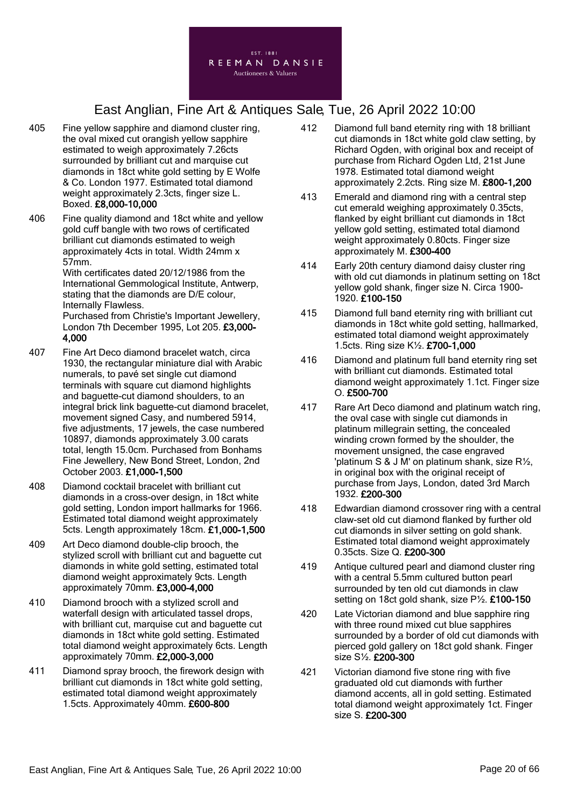

- 405 Fine yellow sapphire and diamond cluster ring, the oval mixed cut orangish yellow sapphire estimated to weigh approximately 7.26cts surrounded by brilliant cut and marquise cut diamonds in 18ct white gold setting by E Wolfe & Co. London 1977. Estimated total diamond weight approximately 2.3cts, finger size L. Boxed. £8,000-10,000
- 406 Fine quality diamond and 18ct white and yellow gold cuff bangle with two rows of certificated brilliant cut diamonds estimated to weigh approximately 4cts in total. Width 24mm x 57mm.

With certificates dated 20/12/1986 from the International Gemmological Institute, Antwerp, stating that the diamonds are D/E colour, Internally Flawless.

Purchased from Christie's Important Jewellery, London 7th December 1995, Lot 205. £3,000- 4,000

- 407 Fine Art Deco diamond bracelet watch, circa 1930, the rectangular miniature dial with Arabic numerals, to pavé set single cut diamond terminals with square cut diamond highlights and baguette-cut diamond shoulders, to an integral brick link baguette-cut diamond bracelet, movement signed Casy, and numbered 5914, five adjustments, 17 jewels, the case numbered 10897, diamonds approximately 3.00 carats total, length 15.0cm. Purchased from Bonhams Fine Jewellery, New Bond Street, London, 2nd October 2003. £1,000-1,500
- 408 Diamond cocktail bracelet with brilliant cut diamonds in a cross-over design, in 18ct white gold setting, London import hallmarks for 1966. Estimated total diamond weight approximately 5cts. Length approximately 18cm. £1,000-1,500
- 409 Art Deco diamond double-clip brooch, the stylized scroll with brilliant cut and baguette cut diamonds in white gold setting, estimated total diamond weight approximately 9cts. Length approximately 70mm. £3,000-4,000
- 410 Diamond brooch with a stylized scroll and waterfall design with articulated tassel drops, with brilliant cut, marquise cut and baguette cut diamonds in 18ct white gold setting. Estimated total diamond weight approximately 6cts. Length approximately 70mm. £2,000-3,000
- 411 Diamond spray brooch, the firework design with brilliant cut diamonds in 18ct white gold setting, estimated total diamond weight approximately 1.5cts. Approximately 40mm. £600-800
- 412 Diamond full band eternity ring with 18 brilliant cut diamonds in 18ct white gold claw setting, by Richard Ogden, with original box and receipt of purchase from Richard Ogden Ltd, 21st June 1978. Estimated total diamond weight approximately 2.2cts. Ring size M. £800-1,200
- 413 Emerald and diamond ring with a central step cut emerald weighing approximately 0.35cts, flanked by eight brilliant cut diamonds in 18ct yellow gold setting, estimated total diamond weight approximately 0.80cts. Finger size approximately M. £300-400
- 414 Early 20th century diamond daisy cluster ring with old cut diamonds in platinum setting on 18ct yellow gold shank, finger size N. Circa 1900- 1920. £100-150
- 415 Diamond full band eternity ring with brilliant cut diamonds in 18ct white gold setting, hallmarked, estimated total diamond weight approximately 1.5cts. Ring size K½. £700-1,000
- 416 Diamond and platinum full band eternity ring set with brilliant cut diamonds. Estimated total diamond weight approximately 1.1ct. Finger size O. £500-700
- 417 Rare Art Deco diamond and platinum watch ring, the oval case with single cut diamonds in platinum millegrain setting, the concealed winding crown formed by the shoulder, the movement unsigned, the case engraved 'platinum S & J M' on platinum shank, size R½, in original box with the original receipt of purchase from Jays, London, dated 3rd March 1932. £200-300
- 418 Edwardian diamond crossover ring with a central claw-set old cut diamond flanked by further old cut diamonds in silver setting on gold shank. Estimated total diamond weight approximately 0.35cts. Size Q. £200-300
- 419 Antique cultured pearl and diamond cluster ring with a central 5.5mm cultured button pearl surrounded by ten old cut diamonds in claw setting on 18ct gold shank, size P½. £100-150
- 420 Late Victorian diamond and blue sapphire ring with three round mixed cut blue sapphires surrounded by a border of old cut diamonds with pierced gold gallery on 18ct gold shank. Finger size S½. £200-300
- 421 Victorian diamond five stone ring with five graduated old cut diamonds with further diamond accents, all in gold setting. Estimated total diamond weight approximately 1ct. Finger size S. £200-300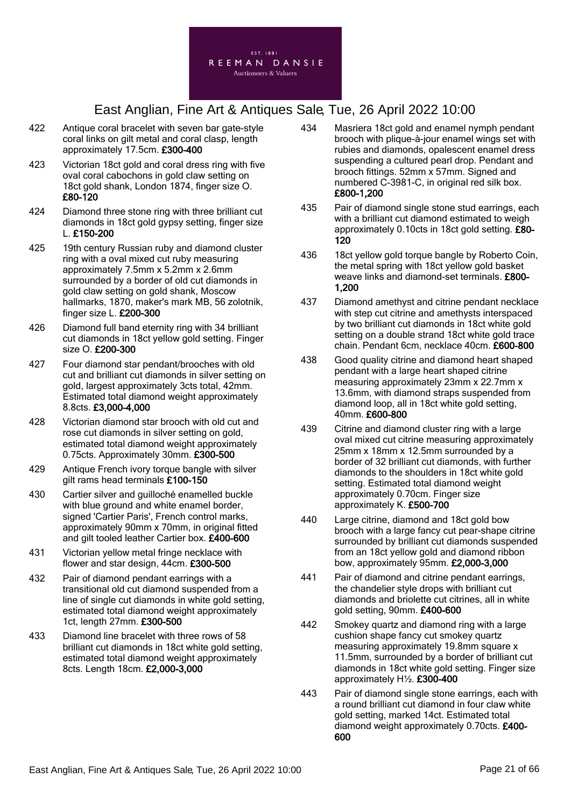

- 422 Antique coral bracelet with seven bar gate-style coral links on gilt metal and coral clasp, length approximately 17.5cm. £300-400
- 423 Victorian 18ct gold and coral dress ring with five oval coral cabochons in gold claw setting on 18ct gold shank, London 1874, finger size O. £80-120
- 424 Diamond three stone ring with three brilliant cut diamonds in 18ct gold gypsy setting, finger size L. £150-200
- 425 19th century Russian ruby and diamond cluster ring with a oval mixed cut ruby measuring approximately 7.5mm x 5.2mm x 2.6mm surrounded by a border of old cut diamonds in gold claw setting on gold shank, Moscow hallmarks, 1870, maker's mark MB, 56 zolotnik, finger size L. £200-300
- 426 Diamond full band eternity ring with 34 brilliant cut diamonds in 18ct yellow gold setting. Finger size O. £200-300
- 427 Four diamond star pendant/brooches with old cut and brilliant cut diamonds in silver setting on gold, largest approximately 3cts total, 42mm. Estimated total diamond weight approximately 8.8cts. £3,000-4,000
- 428 Victorian diamond star brooch with old cut and rose cut diamonds in silver setting on gold, estimated total diamond weight approximately 0.75cts. Approximately 30mm. £300-500
- 429 Antique French ivory torque bangle with silver gilt rams head terminals £100-150
- 430 Cartier silver and guilloché enamelled buckle with blue ground and white enamel border, signed 'Cartier Paris', French control marks, approximately 90mm x 70mm, in original fitted and gilt tooled leather Cartier box. £400-600
- 431 Victorian yellow metal fringe necklace with flower and star design, 44cm. £300-500
- 432 Pair of diamond pendant earrings with a transitional old cut diamond suspended from a line of single cut diamonds in white gold setting, estimated total diamond weight approximately 1ct, length 27mm. £300-500
- 433 Diamond line bracelet with three rows of 58 brilliant cut diamonds in 18ct white gold setting, estimated total diamond weight approximately 8cts. Length 18cm. £2,000-3,000
- 434 Masriera 18ct gold and enamel nymph pendant brooch with plique-à-jour enamel wings set with rubies and diamonds, opalescent enamel dress suspending a cultured pearl drop. Pendant and brooch fittings. 52mm x 57mm. Signed and numbered C-3981-C, in original red silk box. £800-1,200
- 435 Pair of diamond single stone stud earrings, each with a brilliant cut diamond estimated to weigh approximately 0.10cts in 18ct gold setting. £80- 120
- 436 18ct yellow gold torque bangle by Roberto Coin, the metal spring with 18ct yellow gold basket weave links and diamond-set terminals. £800- 1,200
- 437 Diamond amethyst and citrine pendant necklace with step cut citrine and amethysts interspaced by two brilliant cut diamonds in 18ct white gold setting on a double strand 18ct white gold trace chain. Pendant 6cm, necklace 40cm. £600-800
- 438 Good quality citrine and diamond heart shaped pendant with a large heart shaped citrine measuring approximately 23mm x 22.7mm x 13.6mm, with diamond straps suspended from diamond loop, all in 18ct white gold setting, 40mm. £600-800
- 439 Citrine and diamond cluster ring with a large oval mixed cut citrine measuring approximately 25mm x 18mm x 12.5mm surrounded by a border of 32 brilliant cut diamonds, with further diamonds to the shoulders in 18ct white gold setting. Estimated total diamond weight approximately 0.70cm. Finger size approximately K. £500-700
- 440 Large citrine, diamond and 18ct gold bow brooch with a large fancy cut pear-shape citrine surrounded by brilliant cut diamonds suspended from an 18ct yellow gold and diamond ribbon bow, approximately 95mm. £2,000-3,000
- 441 Pair of diamond and citrine pendant earrings, the chandelier style drops with brilliant cut diamonds and briolette cut citrines, all in white gold setting, 90mm. £400-600
- 442 Smokey quartz and diamond ring with a large cushion shape fancy cut smokey quartz measuring approximately 19.8mm square x 11.5mm, surrounded by a border of brilliant cut diamonds in 18ct white gold setting. Finger size approximately H½. £300-400
- 443 Pair of diamond single stone earrings, each with a round brilliant cut diamond in four claw white gold setting, marked 14ct. Estimated total diamond weight approximately 0.70cts. £400- 600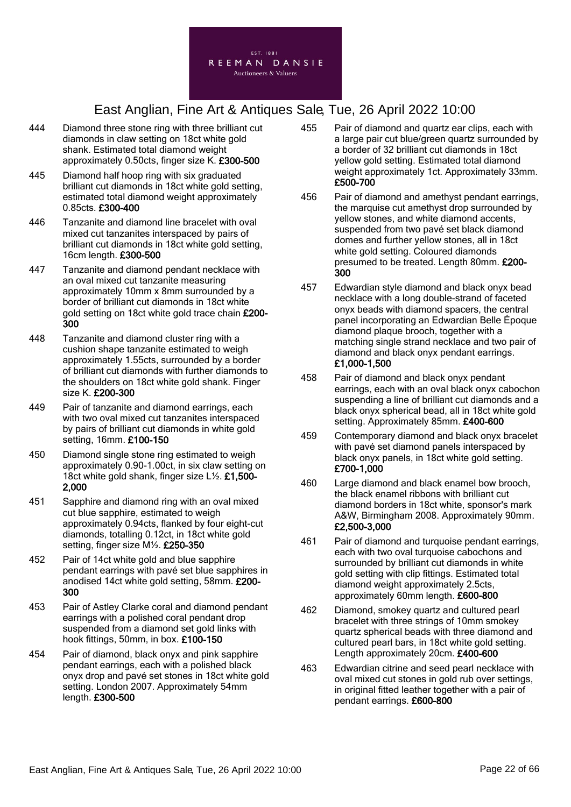

- 444 Diamond three stone ring with three brilliant cut diamonds in claw setting on 18ct white gold shank. Estimated total diamond weight approximately 0.50cts, finger size K. £300-500
- 445 Diamond half hoop ring with six graduated brilliant cut diamonds in 18ct white gold setting, estimated total diamond weight approximately 0.85cts. £300-400
- 446 Tanzanite and diamond line bracelet with oval mixed cut tanzanites interspaced by pairs of brilliant cut diamonds in 18ct white gold setting, 16cm length. £300-500
- 447 Tanzanite and diamond pendant necklace with an oval mixed cut tanzanite measuring approximately 10mm x 8mm surrounded by a border of brilliant cut diamonds in 18ct white gold setting on 18ct white gold trace chain £200- 300
- 448 Tanzanite and diamond cluster ring with a cushion shape tanzanite estimated to weigh approximately 1.55cts, surrounded by a border of brilliant cut diamonds with further diamonds to the shoulders on 18ct white gold shank. Finger size K. £200-300
- 449 Pair of tanzanite and diamond earrings, each with two oval mixed cut tanzanites interspaced by pairs of brilliant cut diamonds in white gold setting, 16mm. £100-150
- 450 Diamond single stone ring estimated to weigh approximately 0.90-1.00ct, in six claw setting on 18ct white gold shank, finger size L1/2. £1,500-2,000
- 451 Sapphire and diamond ring with an oval mixed cut blue sapphire, estimated to weigh approximately 0.94cts, flanked by four eight-cut diamonds, totalling 0.12ct, in 18ct white gold setting, finger size M½. £250-350
- 452 Pair of 14ct white gold and blue sapphire pendant earrings with pavé set blue sapphires in anodised 14ct white gold setting, 58mm. £200- 300
- 453 Pair of Astley Clarke coral and diamond pendant earrings with a polished coral pendant drop suspended from a diamond set gold links with hook fittings, 50mm, in box. £100-150
- 454 Pair of diamond, black onyx and pink sapphire pendant earrings, each with a polished black onyx drop and pavé set stones in 18ct white gold setting. London 2007. Approximately 54mm length. £300-500
- 455 Pair of diamond and quartz ear clips, each with a large pair cut blue/green quartz surrounded by a border of 32 brilliant cut diamonds in 18ct yellow gold setting. Estimated total diamond weight approximately 1ct. Approximately 33mm. £500-700
- 456 Pair of diamond and amethyst pendant earrings, the marquise cut amethyst drop surrounded by yellow stones, and white diamond accents, suspended from two pavé set black diamond domes and further yellow stones, all in 18ct white gold setting. Coloured diamonds presumed to be treated. Length 80mm. £200- 300
- 457 Edwardian style diamond and black onyx bead necklace with a long double-strand of faceted onyx beads with diamond spacers, the central panel incorporating an Edwardian Belle Époque diamond plaque brooch, together with a matching single strand necklace and two pair of diamond and black onyx pendant earrings. £1,000-1,500
- 458 Pair of diamond and black onyx pendant earrings, each with an oval black onyx cabochon suspending a line of brilliant cut diamonds and a black onyx spherical bead, all in 18ct white gold setting. Approximately 85mm. £400-600
- 459 Contemporary diamond and black onyx bracelet with pavé set diamond panels interspaced by black onyx panels, in 18ct white gold setting. £700-1,000
- 460 Large diamond and black enamel bow brooch, the black enamel ribbons with brilliant cut diamond borders in 18ct white, sponsor's mark A&W, Birmingham 2008. Approximately 90mm. £2,500-3,000
- 461 Pair of diamond and turquoise pendant earrings, each with two oval turquoise cabochons and surrounded by brilliant cut diamonds in white gold setting with clip fittings. Estimated total diamond weight approximately 2.5cts, approximately 60mm length. £600-800
- 462 Diamond, smokey quartz and cultured pearl bracelet with three strings of 10mm smokey quartz spherical beads with three diamond and cultured pearl bars, in 18ct white gold setting. Length approximately 20cm. £400-600
- 463 Edwardian citrine and seed pearl necklace with oval mixed cut stones in gold rub over settings, in original fitted leather together with a pair of pendant earrings. £600-800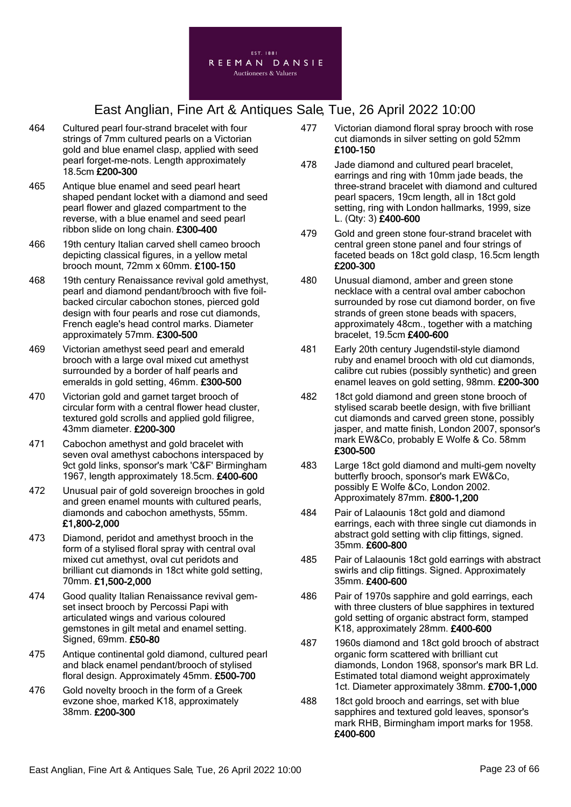

- 464 Cultured pearl four-strand bracelet with four strings of 7mm cultured pearls on a Victorian gold and blue enamel clasp, applied with seed pearl forget-me-nots. Length approximately 18.5cm £200-300
- 465 Antique blue enamel and seed pearl heart shaped pendant locket with a diamond and seed pearl flower and glazed compartment to the reverse, with a blue enamel and seed pearl ribbon slide on long chain. £300-400
- 466 19th century Italian carved shell cameo brooch depicting classical figures, in a yellow metal brooch mount, 72mm x 60mm. £100-150
- 468 19th century Renaissance revival gold amethyst, pearl and diamond pendant/brooch with five foilbacked circular cabochon stones, pierced gold design with four pearls and rose cut diamonds. French eagle's head control marks. Diameter approximately 57mm. £300-500
- 469 Victorian amethyst seed pearl and emerald brooch with a large oval mixed cut amethyst surrounded by a border of half pearls and emeralds in gold setting, 46mm. £300-500
- 470 Victorian gold and garnet target brooch of circular form with a central flower head cluster, textured gold scrolls and applied gold filigree, 43mm diameter. £200-300
- 471 Cabochon amethyst and gold bracelet with seven oval amethyst cabochons interspaced by 9ct gold links, sponsor's mark 'C&F' Birmingham 1967, length approximately 18.5cm. £400-600
- 472 Unusual pair of gold sovereign brooches in gold and green enamel mounts with cultured pearls, diamonds and cabochon amethysts, 55mm. £1,800-2,000
- 473 Diamond, peridot and amethyst brooch in the form of a stylised floral spray with central oval mixed cut amethyst, oval cut peridots and brilliant cut diamonds in 18ct white gold setting, 70mm. £1,500-2,000
- 474 Good quality Italian Renaissance revival gemset insect brooch by Percossi Papi with articulated wings and various coloured gemstones in gilt metal and enamel setting. Signed, 69mm. £50-80
- 475 Antique continental gold diamond, cultured pearl and black enamel pendant/brooch of stylised floral design. Approximately 45mm. £500-700
- 476 Gold novelty brooch in the form of a Greek evzone shoe, marked K18, approximately 38mm. £200-300
- 477 Victorian diamond floral spray brooch with rose cut diamonds in silver setting on gold 52mm £100-150
- 478 Jade diamond and cultured pearl bracelet, earrings and ring with 10mm jade beads, the three-strand bracelet with diamond and cultured pearl spacers, 19cm length, all in 18ct gold setting, ring with London hallmarks, 1999, size L. (Qty: 3) £400-600
- 479 Gold and green stone four-strand bracelet with central green stone panel and four strings of faceted beads on 18ct gold clasp, 16.5cm length £200-300
- 480 Unusual diamond, amber and green stone necklace with a central oval amber cabochon surrounded by rose cut diamond border, on five strands of green stone beads with spacers, approximately 48cm., together with a matching bracelet, 19.5cm £400-600
- 481 Early 20th century Jugendstil-style diamond ruby and enamel brooch with old cut diamonds, calibre cut rubies (possibly synthetic) and green enamel leaves on gold setting, 98mm. £200-300
- 482 18ct gold diamond and green stone brooch of stylised scarab beetle design, with five brilliant cut diamonds and carved green stone, possibly jasper, and matte finish, London 2007, sponsor's mark EW&Co, probably E Wolfe & Co. 58mm £300-500
- 483 Large 18ct gold diamond and multi-gem novelty butterfly brooch, sponsor's mark EW&Co, possibly E Wolfe &Co, London 2002. Approximately 87mm. £800-1,200
- 484 Pair of Lalaounis 18ct gold and diamond earrings, each with three single cut diamonds in abstract gold setting with clip fittings, signed. 35mm. £600-800
- 485 Pair of Lalaounis 18ct gold earrings with abstract swirls and clip fittings. Signed. Approximately 35mm. £400-600
- 486 Pair of 1970s sapphire and gold earrings, each with three clusters of blue sapphires in textured gold setting of organic abstract form, stamped K18, approximately 28mm. £400-600
- 487 1960s diamond and 18ct gold brooch of abstract organic form scattered with brilliant cut diamonds, London 1968, sponsor's mark BR Ld. Estimated total diamond weight approximately 1ct. Diameter approximately 38mm. £700-1,000
- 488 18ct gold brooch and earrings, set with blue sapphires and textured gold leaves, sponsor's mark RHB, Birmingham import marks for 1958. £400-600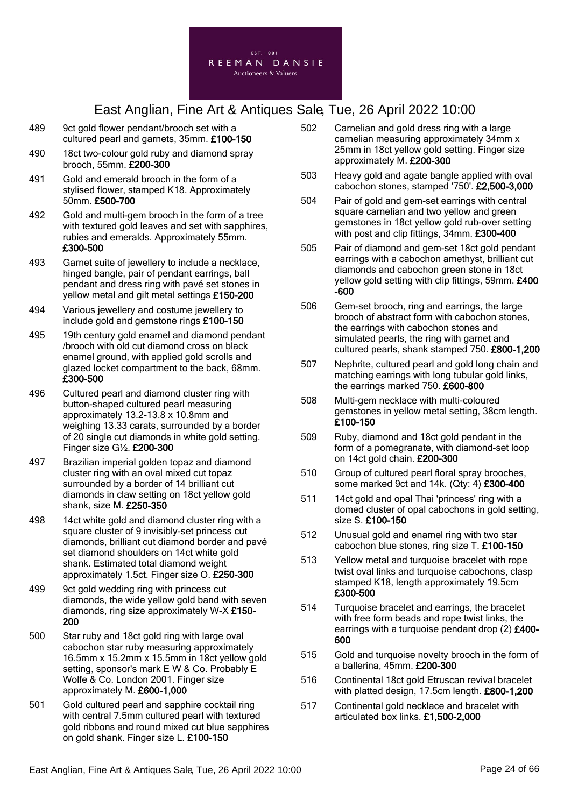

- 489 9ct gold flower pendant/brooch set with a cultured pearl and garnets, 35mm. £100-150
- 490 18ct two-colour gold ruby and diamond spray brooch, 55mm. £200-300
- 491 Gold and emerald brooch in the form of a stylised flower, stamped K18. Approximately 50mm. £500-700
- 492 Gold and multi-gem brooch in the form of a tree with textured gold leaves and set with sapphires, rubies and emeralds. Approximately 55mm. £300-500
- 493 Garnet suite of jewellery to include a necklace, hinged bangle, pair of pendant earrings, ball pendant and dress ring with pavé set stones in yellow metal and gilt metal settings £150-200
- 494 Various jewellery and costume jewellery to include gold and gemstone rings £100-150
- 495 19th century gold enamel and diamond pendant /brooch with old cut diamond cross on black enamel ground, with applied gold scrolls and glazed locket compartment to the back, 68mm. £300-500
- 496 Cultured pearl and diamond cluster ring with button-shaped cultured pearl measuring approximately 13.2-13.8 x 10.8mm and weighing 13.33 carats, surrounded by a border of 20 single cut diamonds in white gold setting. Finger size G½. £200-300
- 497 Brazilian imperial golden topaz and diamond cluster ring with an oval mixed cut topaz surrounded by a border of 14 brilliant cut diamonds in claw setting on 18ct yellow gold shank, size M. £250-350
- 498 14ct white gold and diamond cluster ring with a square cluster of 9 invisibly-set princess cut diamonds, brilliant cut diamond border and pavé set diamond shoulders on 14ct white gold shank. Estimated total diamond weight approximately 1.5ct. Finger size O. £250-300
- 499 9ct gold wedding ring with princess cut diamonds, the wide yellow gold band with seven diamonds, ring size approximately W-X £150- 200
- 500 Star ruby and 18ct gold ring with large oval cabochon star ruby measuring approximately 16.5mm x 15.2mm x 15.5mm in 18ct yellow gold setting, sponsor's mark E W & Co. Probably E Wolfe & Co. London 2001. Finger size approximately M. £600-1,000
- 501 Gold cultured pearl and sapphire cocktail ring with central 7.5mm cultured pearl with textured gold ribbons and round mixed cut blue sapphires on gold shank. Finger size L. £100-150
- 502 Carnelian and gold dress ring with a large carnelian measuring approximately 34mm x 25mm in 18ct yellow gold setting. Finger size approximately M. £200-300
- 503 Heavy gold and agate bangle applied with oval cabochon stones, stamped '750'. £2,500-3,000
- 504 Pair of gold and gem-set earrings with central square carnelian and two yellow and green gemstones in 18ct yellow gold rub-over setting with post and clip fittings, 34mm. £300-400
- 505 Pair of diamond and gem-set 18ct gold pendant earrings with a cabochon amethyst, brilliant cut diamonds and cabochon green stone in 18ct yellow gold setting with clip fittings, 59mm. £400 -600
- 506 Gem-set brooch, ring and earrings, the large brooch of abstract form with cabochon stones, the earrings with cabochon stones and simulated pearls, the ring with garnet and cultured pearls, shank stamped 750. £800-1,200
- 507 Nephrite, cultured pearl and gold long chain and matching earrings with long tubular gold links, the earrings marked 750. £600-800
- 508 Multi-gem necklace with multi-coloured gemstones in yellow metal setting, 38cm length. £100-150
- 509 Ruby, diamond and 18ct gold pendant in the form of a pomegranate, with diamond-set loop on 14ct gold chain. £200-300
- 510 Group of cultured pearl floral spray brooches, some marked 9ct and 14k. (Qty: 4) £300-400
- 511 14ct gold and opal Thai 'princess' ring with a domed cluster of opal cabochons in gold setting, size S. £100-150
- 512 Unusual gold and enamel ring with two star cabochon blue stones, ring size T. £100-150
- 513 Yellow metal and turquoise bracelet with rope twist oval links and turquoise cabochons, clasp stamped K18, length approximately 19.5cm £300-500
- 514 Turquoise bracelet and earrings, the bracelet with free form beads and rope twist links, the earrings with a turquoise pendant drop (2) £400-600
- 515 Gold and turquoise novelty brooch in the form of a ballerina, 45mm. £200-300
- 516 Continental 18ct gold Etruscan revival bracelet with platted design, 17.5cm length, £800-1,200
- 517 Continental gold necklace and bracelet with articulated box links. £1,500-2,000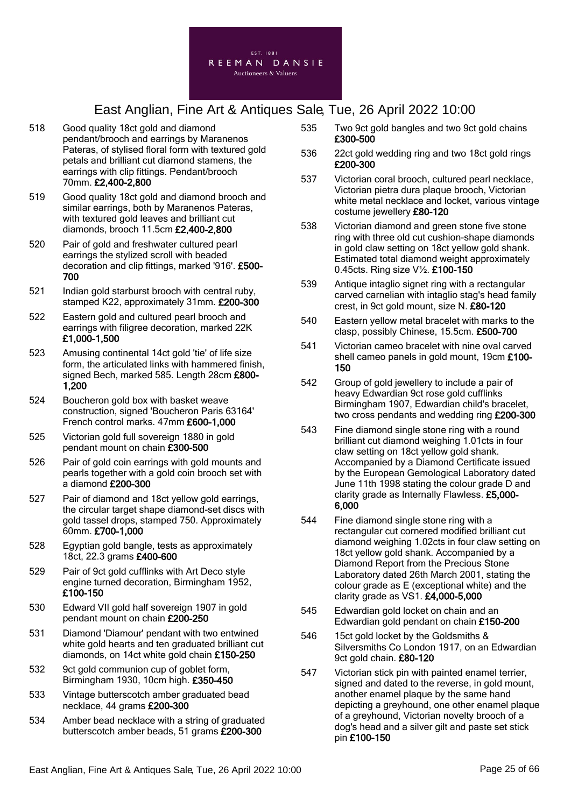

- 518 Good quality 18ct gold and diamond pendant/brooch and earrings by Maranenos Pateras, of stylised floral form with textured gold petals and brilliant cut diamond stamens, the earrings with clip fittings. Pendant/brooch 70mm. £2,400-2,800
- 519 Good quality 18ct gold and diamond brooch and similar earrings, both by Maranenos Pateras, with textured gold leaves and brilliant cut diamonds, brooch 11.5cm £2,400-2,800
- 520 Pair of gold and freshwater cultured pearl earrings the stylized scroll with beaded decoration and clip fittings, marked '916'. £500- 700
- 521 Indian gold starburst brooch with central ruby, stamped K22, approximately 31mm. £200-300
- 522 Eastern gold and cultured pearl brooch and earrings with filigree decoration, marked 22K £1,000-1,500
- 523 Amusing continental 14ct gold 'tie' of life size form, the articulated links with hammered finish, signed Bech, marked 585. Length 28cm £800-1,200
- 524 Boucheron gold box with basket weave construction, signed 'Boucheron Paris 63164' French control marks. 47mm £600-1,000
- 525 Victorian gold full sovereign 1880 in gold pendant mount on chain £300-500
- 526 Pair of gold coin earrings with gold mounts and pearls together with a gold coin brooch set with a diamond £200-300
- 527 Pair of diamond and 18ct yellow gold earrings, the circular target shape diamond-set discs with gold tassel drops, stamped 750. Approximately 60mm. £700-1,000
- 528 Egyptian gold bangle, tests as approximately 18ct, 22.3 grams £400-600
- 529 Pair of 9ct gold cufflinks with Art Deco style engine turned decoration, Birmingham 1952, £100-150
- 530 Edward VII gold half sovereign 1907 in gold pendant mount on chain £200-250
- 531 Diamond 'Diamour' pendant with two entwined white gold hearts and ten graduated brilliant cut diamonds, on 14ct white gold chain £150-250
- 532 9ct gold communion cup of goblet form. Birmingham 1930, 10cm high. £350-450
- 533 Vintage butterscotch amber graduated bead necklace, 44 grams £200-300
- 534 Amber bead necklace with a string of graduated butterscotch amber beads, 51 grams £200-300
- 535 Two 9ct gold bangles and two 9ct gold chains £300-500
- 536 22ct gold wedding ring and two 18ct gold rings £200-300
- 537 Victorian coral brooch, cultured pearl necklace, Victorian pietra dura plaque brooch, Victorian white metal necklace and locket, various vintage costume jewellery £80-120
- 538 Victorian diamond and green stone five stone ring with three old cut cushion-shape diamonds in gold claw setting on 18ct yellow gold shank. Estimated total diamond weight approximately 0.45cts. Ring size V½. £100-150
- 539 Antique intaglio signet ring with a rectangular carved carnelian with intaglio stag's head family crest, in 9ct gold mount, size N. £80-120
- 540 Eastern yellow metal bracelet with marks to the clasp, possibly Chinese, 15.5cm. £500-700
- 541 Victorian cameo bracelet with nine oval carved shell cameo panels in gold mount, 19cm £100- 150
- 542 Group of gold jewellery to include a pair of heavy Edwardian 9ct rose gold cufflinks Birmingham 1907, Edwardian child's bracelet, two cross pendants and wedding ring £200-300
- 543 Fine diamond single stone ring with a round brilliant cut diamond weighing 1.01cts in four claw setting on 18ct yellow gold shank. Accompanied by a Diamond Certificate issued by the European Gemological Laboratory dated June 11th 1998 stating the colour grade D and clarity grade as Internally Flawless. £5,000- 6,000
- 544 Fine diamond single stone ring with a rectangular cut cornered modified brilliant cut diamond weighing 1.02cts in four claw setting on 18ct yellow gold shank. Accompanied by a Diamond Report from the Precious Stone Laboratory dated 26th March 2001, stating the colour grade as E (exceptional white) and the clarity grade as  $V\text{S1.}$  £4,000-5,000
- 545 Edwardian gold locket on chain and an Edwardian gold pendant on chain £150-200
- 546 15ct gold locket by the Goldsmiths & Silversmiths Co London 1917, on an Edwardian 9ct gold chain. £80-120
- 547 Victorian stick pin with painted enamel terrier, signed and dated to the reverse, in gold mount, another enamel plaque by the same hand depicting a greyhound, one other enamel plaque of a greyhound, Victorian novelty brooch of a dog's head and a silver gilt and paste set stick pin £100-150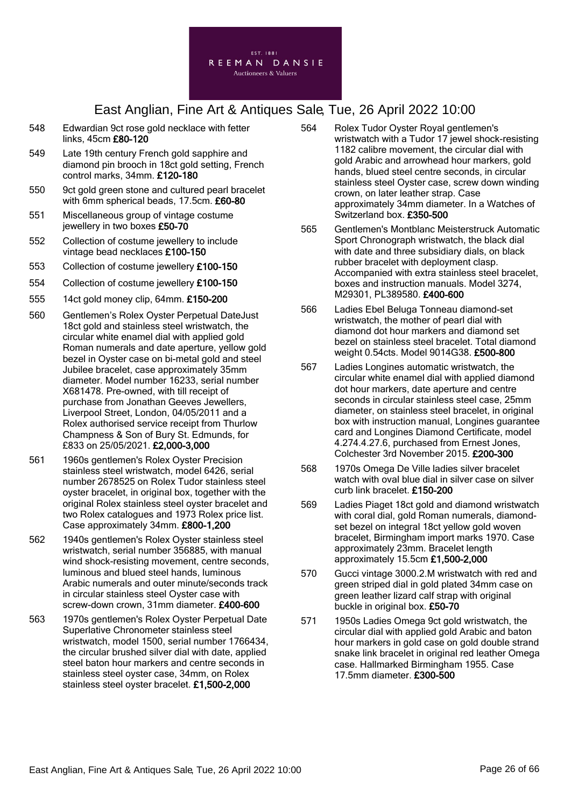

- 548 Edwardian 9ct rose gold necklace with fetter links, 45cm £80-120
- 549 Late 19th century French gold sapphire and diamond pin brooch in 18ct gold setting, French control marks, 34mm. £120-180
- 550 9ct gold green stone and cultured pearl bracelet with 6mm spherical beads, 17.5cm. £60-80
- 551 Miscellaneous group of vintage costume jewellery in two boxes £50-70
- 552 Collection of costume jewellery to include vintage bead necklaces £100-150
- 553 Collection of costume jewellery £100-150
- 554 Collection of costume jewellery £100-150
- 555 14ct gold money clip, 64mm. £150-200
- 560 Gentlemen's Rolex Oyster Perpetual DateJust 18ct gold and stainless steel wristwatch, the circular white enamel dial with applied gold Roman numerals and date aperture, yellow gold bezel in Oyster case on bi-metal gold and steel Jubilee bracelet, case approximately 35mm diameter. Model number 16233, serial number X681478. Pre-owned, with till receipt of purchase from Jonathan Geeves Jewellers, Liverpool Street, London, 04/05/2011 and a Rolex authorised service receipt from Thurlow Champness & Son of Bury St. Edmunds, for £833 on 25/05/2021. £2,000-3,000
- 561 1960s gentlemen's Rolex Oyster Precision stainless steel wristwatch, model 6426, serial number 2678525 on Rolex Tudor stainless steel ovster bracelet, in original box, together with the original Rolex stainless steel oyster bracelet and two Rolex catalogues and 1973 Rolex price list. Case approximately 34mm. £800-1,200
- 562 1940s gentlemen's Rolex Oyster stainless steel wristwatch, serial number 356885, with manual wind shock-resisting movement, centre seconds, luminous and blued steel hands, luminous Arabic numerals and outer minute/seconds track in circular stainless steel Oyster case with screw-down crown, 31mm diameter. £400-600
- 563 1970s gentlemen's Rolex Oyster Perpetual Date Superlative Chronometer stainless steel wristwatch, model 1500, serial number 1766434, the circular brushed silver dial with date, applied steel baton hour markers and centre seconds in stainless steel oyster case, 34mm, on Rolex stainless steel oyster bracelet. £1,500-2,000
- 564 Rolex Tudor Oyster Royal gentlemen's wristwatch with a Tudor 17 jewel shock-resisting 1182 calibre movement, the circular dial with gold Arabic and arrowhead hour markers, gold hands, blued steel centre seconds, in circular stainless steel Oyster case, screw down winding crown, on later leather strap. Case approximately 34mm diameter. In a Watches of Switzerland box. £350-500
- 565 Gentlemen's Montblanc Meisterstruck Automatic Sport Chronograph wristwatch, the black dial with date and three subsidiary dials, on black rubber bracelet with deployment clasp. Accompanied with extra stainless steel bracelet, boxes and instruction manuals. Model 3274, M29301, PL389580. £400-600
- 566 Ladies Ebel Beluga Tonneau diamond-set wristwatch, the mother of pearl dial with diamond dot hour markers and diamond set bezel on stainless steel bracelet. Total diamond weight 0.54cts. Model 9014G38. £500-800
- 567 Ladies Longines automatic wristwatch, the circular white enamel dial with applied diamond dot hour markers, date aperture and centre seconds in circular stainless steel case, 25mm diameter, on stainless steel bracelet, in original box with instruction manual, Longines guarantee card and Longines Diamond Certificate, model 4.274.4.27.6, purchased from Ernest Jones, Colchester 3rd November 2015. £200-300
- 568 1970s Omega De Ville ladies silver bracelet watch with oval blue dial in silver case on silver curb link bracelet. £150-200
- 569 Ladies Piaget 18ct gold and diamond wristwatch with coral dial, gold Roman numerals, diamondset bezel on integral 18ct yellow gold woven bracelet, Birmingham import marks 1970. Case approximately 23mm. Bracelet length approximately 15.5cm £1,500-2,000
- 570 Gucci vintage 3000.2.M wristwatch with red and green striped dial in gold plated 34mm case on green leather lizard calf strap with original buckle in original box. £50-70
- 571 1950s Ladies Omega 9ct gold wristwatch, the circular dial with applied gold Arabic and baton hour markers in gold case on gold double strand snake link bracelet in original red leather Omega case. Hallmarked Birmingham 1955. Case 17.5mm diameter. £300-500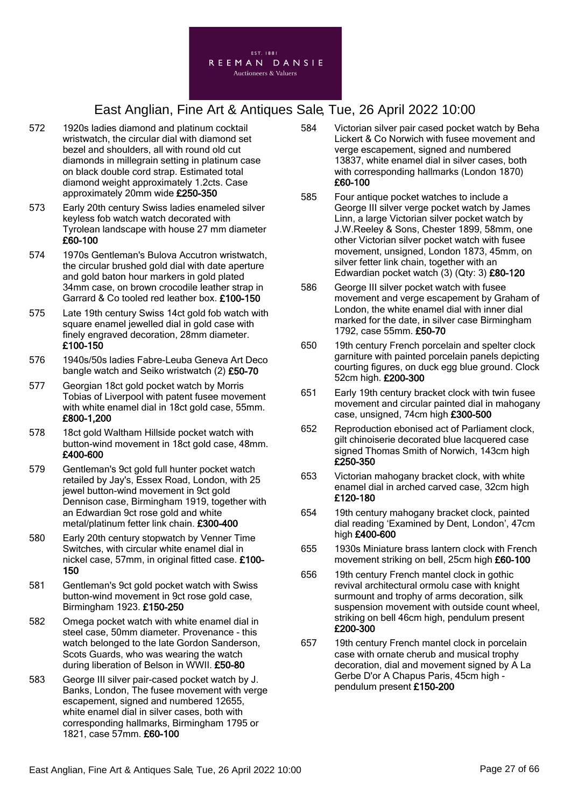

- 572 1920s ladies diamond and platinum cocktail wristwatch, the circular dial with diamond set bezel and shoulders, all with round old cut diamonds in millegrain setting in platinum case on black double cord strap. Estimated total diamond weight approximately 1.2cts. Case approximately 20mm wide £250-350
- 573 Early 20th century Swiss ladies enameled silver keyless fob watch watch decorated with Tyrolean landscape with house 27 mm diameter £60-100
- 574 1970s Gentleman's Bulova Accutron wristwatch, the circular brushed gold dial with date aperture and gold baton hour markers in gold plated 34mm case, on brown crocodile leather strap in Garrard & Co tooled red leather box. £100-150
- 575 Late 19th century Swiss 14ct gold fob watch with square enamel jewelled dial in gold case with finely engraved decoration, 28mm diameter. £100-150
- 576 1940s/50s ladies Fabre-Leuba Geneva Art Deco bangle watch and Seiko wristwatch (2) £50-70
- 577 Georgian 18ct gold pocket watch by Morris Tobias of Liverpool with patent fusee movement with white enamel dial in 18ct gold case, 55mm. £800-1,200
- 578 18ct gold Waltham Hillside pocket watch with button-wind movement in 18ct gold case, 48mm. £400-600
- 579 Gentleman's 9ct gold full hunter pocket watch retailed by Jay's, Essex Road, London, with 25 jewel button-wind movement in 9ct gold Dennison case, Birmingham 1919, together with an Edwardian 9ct rose gold and white metal/platinum fetter link chain. £300-400
- 580 Early 20th century stopwatch by Venner Time Switches, with circular white enamel dial in nickel case, 57mm, in original fitted case. £100- 150
- 581 Gentleman's 9ct gold pocket watch with Swiss button-wind movement in 9ct rose gold case, Birmingham 1923. £150-250
- 582 Omega pocket watch with white enamel dial in steel case, 50mm diameter. Provenance - this watch belonged to the late Gordon Sanderson, Scots Guards, who was wearing the watch during liberation of Belson in WWII. £50-80
- 583 George III silver pair-cased pocket watch by J. Banks, London, The fusee movement with verge escapement, signed and numbered 12655, white enamel dial in silver cases, both with corresponding hallmarks, Birmingham 1795 or 1821, case 57mm. £60-100
- 584 Victorian silver pair cased pocket watch by Beha Lickert & Co Norwich with fusee movement and verge escapement, signed and numbered 13837, white enamel dial in silver cases, both with corresponding hallmarks (London 1870) £60-100
- 585 Four antique pocket watches to include a George III silver verge pocket watch by James Linn, a large Victorian silver pocket watch by J.W.Reeley & Sons, Chester 1899, 58mm, one other Victorian silver pocket watch with fusee movement, unsigned, London 1873, 45mm, on silver fetter link chain, together with an Edwardian pocket watch (3) (Qty: 3) £80-120
- 586 George III silver pocket watch with fusee movement and verge escapement by Graham of London, the white enamel dial with inner dial marked for the date, in silver case Birmingham 1792, case 55mm. £50-70
- 650 19th century French porcelain and spelter clock garniture with painted porcelain panels depicting courting figures, on duck egg blue ground. Clock 52cm high. £200-300
- 651 Early 19th century bracket clock with twin fusee movement and circular painted dial in mahogany case, unsigned, 74cm high £300-500
- 652 Reproduction ebonised act of Parliament clock, gilt chinoiserie decorated blue lacquered case signed Thomas Smith of Norwich, 143cm high £250-350
- 653 Victorian mahogany bracket clock, with white enamel dial in arched carved case, 32cm high £120-180
- 654 19th century mahogany bracket clock, painted dial reading 'Examined by Dent, London', 47cm high £400-600
- 655 1930s Miniature brass lantern clock with French movement striking on bell, 25cm high £60-100
- 656 19th century French mantel clock in gothic revival architectural ormolu case with knight surmount and trophy of arms decoration, silk suspension movement with outside count wheel, striking on bell 46cm high, pendulum present £200-300
- 657 19th century French mantel clock in porcelain case with ornate cherub and musical trophy decoration, dial and movement signed by A La Gerbe D'or A Chapus Paris, 45cm high pendulum present £150-200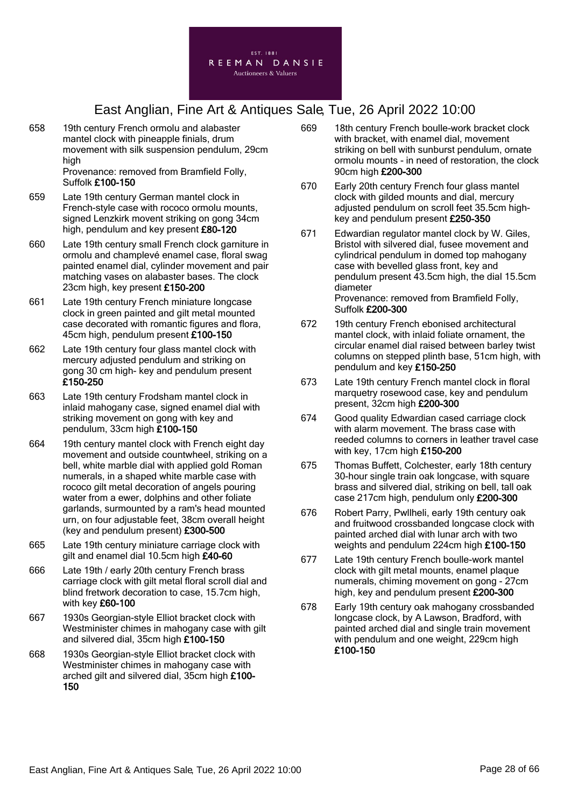

- 658 19th century French ormolu and alabaster mantel clock with pineapple finials, drum movement with silk suspension pendulum, 29cm high Provenance: removed from Bramfield Folly, Suffolk £100-150
- 659 Late 19th century German mantel clock in French-style case with rococo ormolu mounts, signed Lenzkirk movent striking on gong 34cm high, pendulum and key present £80-120
- 660 Late 19th century small French clock garniture in ormolu and champlevé enamel case, floral swag painted enamel dial, cylinder movement and pair matching vases on alabaster bases. The clock 23cm high, key present £150-200
- 661 Late 19th century French miniature longcase clock in green painted and gilt metal mounted case decorated with romantic figures and flora, 45cm high, pendulum present £100-150
- 662 Late 19th century four glass mantel clock with mercury adjusted pendulum and striking on gong 30 cm high- key and pendulum present £150-250
- 663 Late 19th century Frodsham mantel clock in inlaid mahogany case, signed enamel dial with striking movement on gong with key and pendulum, 33cm high £100-150
- 664 19th century mantel clock with French eight day movement and outside countwheel, striking on a bell, white marble dial with applied gold Roman numerals, in a shaped white marble case with rococo gilt metal decoration of angels pouring water from a ewer, dolphins and other foliate garlands, surmounted by a ram's head mounted urn, on four adjustable feet, 38cm overall height (key and pendulum present) £300-500
- 665 Late 19th century miniature carriage clock with gilt and enamel dial 10.5cm high £40-60
- 666 Late 19th / early 20th century French brass carriage clock with gilt metal floral scroll dial and blind fretwork decoration to case, 15.7cm high, with key £60-100
- 667 1930s Georgian-style Elliot bracket clock with Westminister chimes in mahogany case with gilt and silvered dial, 35cm high £100-150
- 668 1930s Georgian-style Elliot bracket clock with Westminister chimes in mahogany case with arched gilt and silvered dial, 35cm high £100- 150
- 669 18th century French boulle-work bracket clock with bracket, with enamel dial, movement striking on bell with sunburst pendulum, ornate ormolu mounts - in need of restoration, the clock 90cm high £200-300
- 670 Early 20th century French four glass mantel clock with gilded mounts and dial, mercury adjusted pendulum on scroll feet 35.5cm highkey and pendulum present £250-350
- 671 Edwardian regulator mantel clock by W. Giles, Bristol with silvered dial, fusee movement and cylindrical pendulum in domed top mahogany case with bevelled glass front, key and pendulum present 43.5cm high, the dial 15.5cm diameter Provenance: removed from Bramfield Folly, Suffolk £200-300
- 672 19th century French ebonised architectural mantel clock, with inlaid foliate ornament, the circular enamel dial raised between barley twist columns on stepped plinth base, 51cm high, with pendulum and key £150-250
- 673 Late 19th century French mantel clock in floral marquetry rosewood case, key and pendulum present, 32cm high £200-300
- 674 Good quality Edwardian cased carriage clock with alarm movement. The brass case with reeded columns to corners in leather travel case with key, 17cm high £150-200
- 675 Thomas Buffett, Colchester, early 18th century 30-hour single train oak longcase, with square brass and silvered dial, striking on bell, tall oak case 217cm high, pendulum only £200-300
- 676 Robert Parry, Pwllheli, early 19th century oak and fruitwood crossbanded longcase clock with painted arched dial with lunar arch with two weights and pendulum 224cm high £100-150
- 677 Late 19th century French boulle-work mantel clock with gilt metal mounts, enamel plaque numerals, chiming movement on gong - 27cm high, key and pendulum present £200-300
- 678 Early 19th century oak mahogany crossbanded longcase clock, by A Lawson, Bradford, with painted arched dial and single train movement with pendulum and one weight, 229cm high £100-150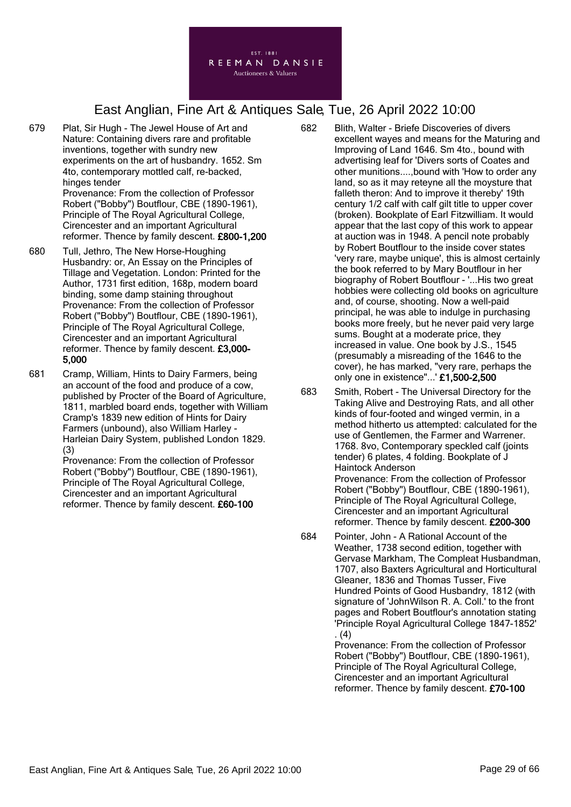

- 679 Plat, Sir Hugh The Jewel House of Art and Nature: Containing divers rare and profitable inventions, together with sundry new experiments on the art of husbandry. 1652. Sm 4to, contemporary mottled calf, re-backed, hinges tender Provenance: From the collection of Professor Robert ("Bobby") Boutflour, CBE (1890-1961), Principle of The Royal Agricultural College, Cirencester and an important Agricultural reformer. Thence by family descent. £800-1,200
- 680 Tull, Jethro, The New Horse-Houghing Husbandry: or, An Essay on the Principles of Tillage and Vegetation. London: Printed for the Author, 1731 first edition, 168p, modern board binding, some damp staining throughout Provenance: From the collection of Professor Robert ("Bobby") Boutflour, CBE (1890-1961), Principle of The Royal Agricultural College, Cirencester and an important Agricultural reformer. Thence by family descent. £3,000- 5,000
- 681 Cramp, William, Hints to Dairy Farmers, being an account of the food and produce of a cow, published by Procter of the Board of Agriculture, 1811, marbled board ends, together with William Cramp's 1839 new edition of Hints for Dairy Farmers (unbound), also William Harley - Harleian Dairy System, published London 1829. (3)

Provenance: From the collection of Professor Robert ("Bobby") Boutflour, CBE (1890-1961), Principle of The Royal Agricultural College, Cirencester and an important Agricultural reformer. Thence by family descent. £60-100

682 Blith, Walter - Briefe Discoveries of divers excellent wayes and means for the Maturing and Improving of Land 1646. Sm 4to., bound with advertising leaf for 'Divers sorts of Coates and other munitions....,bound with 'How to order any land, so as it may reteyne all the moysture that falleth theron: And to improve it thereby' 19th century 1/2 calf with calf gilt title to upper cover (broken). Bookplate of Earl Fitzwilliam. It would appear that the last copy of this work to appear at auction was in 1948. A pencil note probably by Robert Boutflour to the inside cover states 'very rare, maybe unique', this is almost certainly the book referred to by Mary Boutflour in her biography of Robert Boutflour - '...His two great hobbies were collecting old books on agriculture and, of course, shooting. Now a well-paid principal, he was able to indulge in purchasing books more freely, but he never paid very large sums. Bought at a moderate price, they increased in value. One book by J.S., 1545 (presumably a misreading of the 1646 to the cover), he has marked, "very rare, perhaps the only one in existence"...' £1,500-2,500

- 683 Smith, Robert The Universal Directory for the Taking Alive and Destroying Rats, and all other kinds of four-footed and winged vermin, in a method hitherto us attempted: calculated for the use of Gentlemen, the Farmer and Warrener. 1768. 8vo, Contemporary speckled calf (joints tender) 6 plates, 4 folding. Bookplate of J Haintock Anderson Provenance: From the collection of Professor Robert ("Bobby") Boutflour, CBE (1890-1961), Principle of The Royal Agricultural College, Cirencester and an important Agricultural reformer. Thence by family descent. £200-300
- 684 Pointer, John A Rational Account of the Weather, 1738 second edition, together with Gervase Markham, The Compleat Husbandman, 1707, also Baxters Agricultural and Horticultural Gleaner, 1836 and Thomas Tusser, Five Hundred Points of Good Husbandry, 1812 (with signature of 'JohnWilson R. A. Coll.' to the front pages and Robert Boutflour's annotation stating 'Principle Royal Agricultural College 1847-1852' . (4)

Provenance: From the collection of Professor Robert ("Bobby") Boutflour, CBE (1890-1961), Principle of The Royal Agricultural College, Cirencester and an important Agricultural reformer. Thence by family descent. £70-100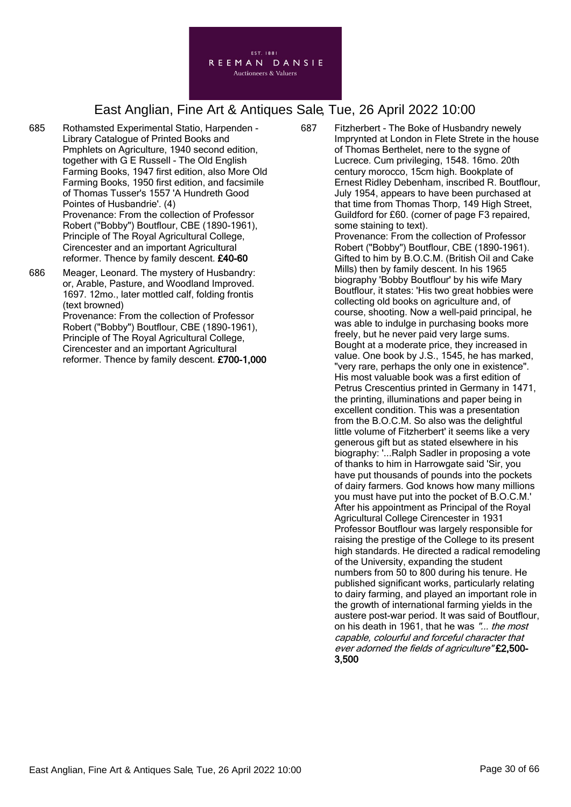

- 685 Rothamsted Experimental Statio, Harpenden Library Catalogue of Printed Books and Pmphlets on Agriculture, 1940 second edition, together with G E Russell - The Old English Farming Books, 1947 first edition, also More Old Farming Books, 1950 first edition, and facsimile of Thomas Tusser's 1557 'A Hundreth Good Pointes of Husbandrie'. (4) Provenance: From the collection of Professor Robert ("Bobby") Boutflour, CBE (1890-1961), Principle of The Royal Agricultural College, Cirencester and an important Agricultural reformer. Thence by family descent. £40-60
- 686 Meager, Leonard. The mystery of Husbandry: or, Arable, Pasture, and Woodland Improved. 1697. 12mo., later mottled calf, folding frontis (text browned) Provenance: From the collection of Professor Robert ("Bobby") Boutflour, CBE (1890-1961), Principle of The Royal Agricultural College,

Cirencester and an important Agricultural reformer. Thence by family descent. £700-1,000 687 Fitzherbert - The Boke of Husbandry newely Imprynted at London in Flete Strete in the house of Thomas Berthelet, nere to the sygne of Lucrece. Cum privileging, 1548. 16mo. 20th century morocco, 15cm high. Bookplate of Ernest Ridley Debenham, inscribed R. Boutflour, July 1954, appears to have been purchased at that time from Thomas Thorp, 149 High Street, Guildford for £60. (corner of page F3 repaired, some staining to text).

Provenance: From the collection of Professor Robert ("Bobby") Boutflour, CBE (1890-1961). Gifted to him by B.O.C.M. (British Oil and Cake Mills) then by family descent. In his 1965 biography 'Bobby Boutflour' by his wife Mary Boutflour, it states: 'His two great hobbies were collecting old books on agriculture and, of course, shooting. Now a well-paid principal, he was able to indulge in purchasing books more freely, but he never paid very large sums. Bought at a moderate price, they increased in value. One book by J.S., 1545, he has marked, "very rare, perhaps the only one in existence". His most valuable book was a first edition of Petrus Crescentius printed in Germany in 1471, the printing, illuminations and paper being in excellent condition. This was a presentation from the B.O.C.M. So also was the delightful little volume of Fitzherbert' it seems like a very generous gift but as stated elsewhere in his biography: '...Ralph Sadler in proposing a vote of thanks to him in Harrowgate said 'Sir, you have put thousands of pounds into the pockets of dairy farmers. God knows how many millions you must have put into the pocket of B.O.C.M.' After his appointment as Principal of the Royal Agricultural College Cirencester in 1931 Professor Boutflour was largely responsible for raising the prestige of the College to its present high standards. He directed a radical remodeling of the University, expanding the student numbers from 50 to 800 during his tenure. He published significant works, particularly relating to dairy farming, and played an important role in the growth of international farming yields in the austere post-war period. It was said of Boutflour, on his death in 1961, that he was "... the most capable, colourful and forceful character that ever adorned the fields of agriculture" £2,500- 3,500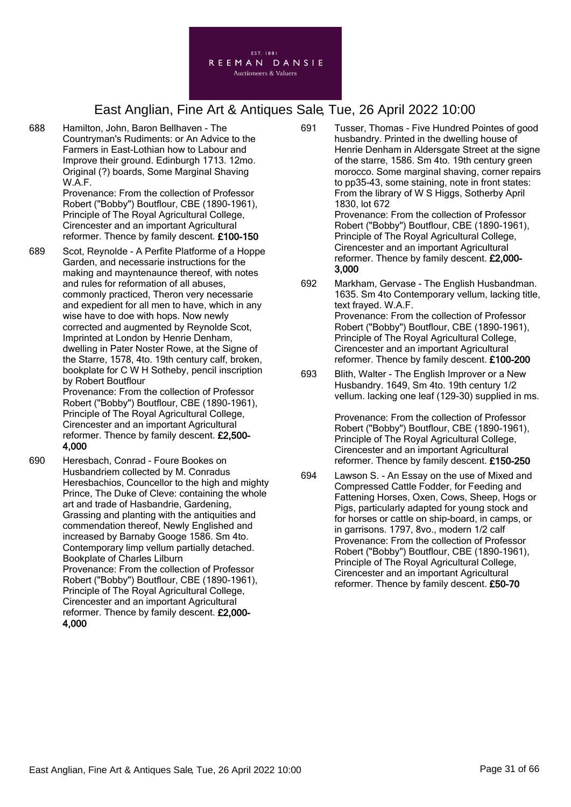

688 Hamilton, John, Baron Bellhaven - The Countryman's Rudiments: or An Advice to the Farmers in East-Lothian how to Labour and Improve their ground. Edinburgh 1713. 12mo. Original (?) boards, Some Marginal Shaving W.A.F.

> Provenance: From the collection of Professor Robert ("Bobby") Boutflour, CBE (1890-1961), Principle of The Royal Agricultural College, Cirencester and an important Agricultural reformer. Thence by family descent. £100-150

689 Scot, Reynolde - A Perfite Platforme of a Hoppe Garden, and necessarie instructions for the making and mayntenaunce thereof, with notes and rules for reformation of all abuses, commonly practiced, Theron very necessarie and expedient for all men to have, which in any wise have to doe with hops. Now newly corrected and augmented by Reynolde Scot, Imprinted at London by Henrie Denham, dwelling in Pater Noster Rowe, at the Signe of the Starre, 1578, 4to. 19th century calf, broken, bookplate for C W H Sotheby, pencil inscription by Robert Boutflour Provenance: From the collection of Professor

Robert ("Bobby") Boutflour, CBE (1890-1961), Principle of The Royal Agricultural College, Cirencester and an important Agricultural reformer. Thence by family descent. £2,500- 4,000

690 Heresbach, Conrad - Foure Bookes on Husbandriem collected by M. Conradus Heresbachios, Councellor to the high and mighty Prince, The Duke of Cleve: containing the whole art and trade of Hasbandrie, Gardening, Grassing and planting with the antiquities and commendation thereof, Newly Englished and increased by Barnaby Googe 1586. Sm 4to. Contemporary limp vellum partially detached. Bookplate of Charles Lilburn Provenance: From the collection of Professor Robert ("Bobby") Boutflour, CBE (1890-1961), Principle of The Royal Agricultural College, Cirencester and an important Agricultural reformer. Thence by family descent. £2,000- 4,000

- 691 Tusser, Thomas Five Hundred Pointes of good husbandry. Printed in the dwelling house of Henrie Denham in Aldersgate Street at the signe of the starre, 1586. Sm 4to. 19th century green morocco. Some marginal shaving, corner repairs to pp35-43, some staining, note in front states: From the library of W S Higgs, Sotherby April 1830, lot 672 Provenance: From the collection of Professor Robert ("Bobby") Boutflour, CBE (1890-1961), Principle of The Royal Agricultural College, Cirencester and an important Agricultural reformer. Thence by family descent. £2,000- 3,000
- 692 Markham, Gervase The English Husbandman. 1635. Sm 4to Contemporary vellum, lacking title, text frayed. W.A.F. Provenance: From the collection of Professor Robert ("Bobby") Boutflour, CBE (1890-1961), Principle of The Royal Agricultural College, Cirencester and an important Agricultural reformer. Thence by family descent. £100-200
- 693 Blith, Walter The English Improver or a New Husbandry. 1649, Sm 4to. 19th century 1/2 vellum. lacking one leaf (129-30) supplied in ms.

Provenance: From the collection of Professor Robert ("Bobby") Boutflour, CBE (1890-1961), Principle of The Royal Agricultural College, Cirencester and an important Agricultural reformer. Thence by family descent. £150-250

694 Lawson S. - An Essay on the use of Mixed and Compressed Cattle Fodder, for Feeding and Fattening Horses, Oxen, Cows, Sheep, Hogs or Pigs, particularly adapted for young stock and for horses or cattle on ship-board, in camps, or in garrisons. 1797, 8vo., modern 1/2 calf Provenance: From the collection of Professor Robert ("Bobby") Boutflour, CBE (1890-1961), Principle of The Royal Agricultural College, Cirencester and an important Agricultural reformer. Thence by family descent. £50-70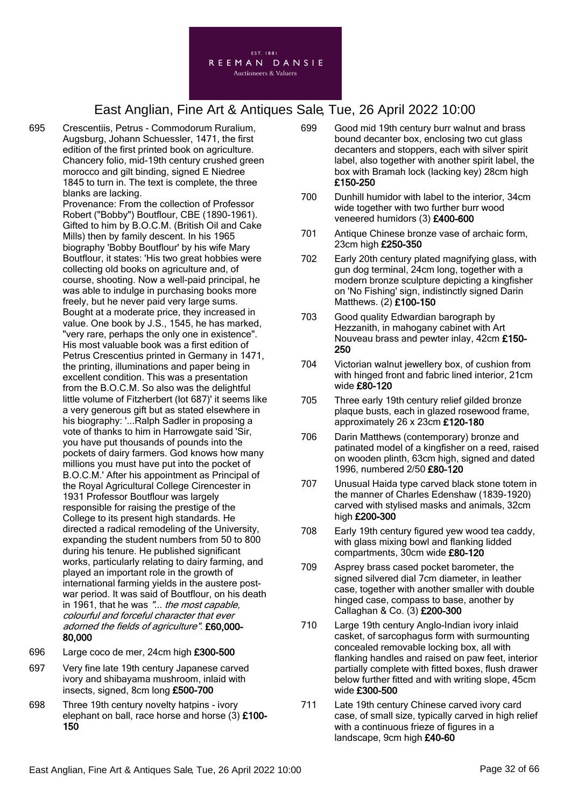

- 695 Crescentiis, Petrus Commodorum Ruralium, Augsburg, Johann Schuessler, 1471, the first edition of the first printed book on agriculture. Chancery folio, mid-19th century crushed green morocco and gilt binding, signed E Niedree 1845 to turn in. The text is complete, the three blanks are lacking. Provenance: From the collection of Professor Robert ("Bobby") Boutflour, CBE (1890-1961). Gifted to him by B.O.C.M. (British Oil and Cake Mills) then by family descent. In his 1965 biography 'Bobby Boutflour' by his wife Mary Boutflour, it states: 'His two great hobbies were collecting old books on agriculture and, of course, shooting. Now a well-paid principal, he was able to indulge in purchasing books more freely, but he never paid very large sums. Bought at a moderate price, they increased in value. One book by J.S., 1545, he has marked, "very rare, perhaps the only one in existence". His most valuable book was a first edition of Petrus Crescentius printed in Germany in 1471, the printing, illuminations and paper being in excellent condition. This was a presentation from the B.O.C.M. So also was the delightful little volume of Fitzherbert (lot 687)' it seems like a very generous gift but as stated elsewhere in his biography: '...Ralph Sadler in proposing a vote of thanks to him in Harrowgate said 'Sir, you have put thousands of pounds into the pockets of dairy farmers. God knows how many millions you must have put into the pocket of B.O.C.M.' After his appointment as Principal of the Royal Agricultural College Cirencester in 1931 Professor Boutflour was largely responsible for raising the prestige of the College to its present high standards. He directed a radical remodeling of the University, expanding the student numbers from 50 to 800 during his tenure. He published significant works, particularly relating to dairy farming, and played an important role in the growth of international farming yields in the austere postwar period. It was said of Boutflour, on his death in 1961, that he was "... the most capable, colourful and forceful character that ever adorned the fields of agriculture". £60,000- 80,000
- 696 Large coco de mer, 24cm high £300-500
- 697 Very fine late 19th century Japanese carved ivory and shibayama mushroom, inlaid with insects, signed, 8cm long £500-700
- 698 Three 19th century novelty hatpins ivory elephant on ball, race horse and horse (3) £100- 150
- 699 Good mid 19th century burr walnut and brass bound decanter box, enclosing two cut glass decanters and stoppers, each with silver spirit label, also together with another spirit label, the box with Bramah lock (lacking key) 28cm high £150-250
- 700 Dunhill humidor with label to the interior, 34cm wide together with two further burr wood veneered humidors (3) £400-600
- 701 Antique Chinese bronze vase of archaic form, 23cm high £250-350
- 702 Early 20th century plated magnifying glass, with gun dog terminal, 24cm long, together with a modern bronze sculpture depicting a kingfisher on 'No Fishing' sign, indistinctly signed Darin Matthews. (2) £100-150
- 703 Good quality Edwardian barograph by Hezzanith, in mahogany cabinet with Art Nouveau brass and pewter inlay, 42cm £150- 250
- 704 Victorian walnut jewellery box, of cushion from with hinged front and fabric lined interior, 21cm wide £80-120
- 705 Three early 19th century relief gilded bronze plaque busts, each in glazed rosewood frame, approximately 26 x 23cm £120-180
- 706 Darin Matthews (contemporary) bronze and patinated model of a kingfisher on a reed, raised on wooden plinth, 63cm high, signed and dated 1996, numbered 2/50 £80-120
- 707 Unusual Haida type carved black stone totem in the manner of Charles Edenshaw (1839-1920) carved with stylised masks and animals, 32cm high £200-300
- 708 Early 19th century figured yew wood tea caddy, with glass mixing bowl and flanking lidded compartments, 30cm wide £80-120
- 709 Asprey brass cased pocket barometer, the signed silvered dial 7cm diameter, in leather case, together with another smaller with double hinged case, compass to base, another by Callaghan & Co. (3) £200-300
- 710 Large 19th century Anglo-Indian ivory inlaid casket, of sarcophagus form with surmounting concealed removable locking box, all with flanking handles and raised on paw feet, interior partially complete with fitted boxes, flush drawer below further fitted and with writing slope, 45cm wide £300-500
- 711 Late 19th century Chinese carved ivory card case, of small size, typically carved in high relief with a continuous frieze of figures in a landscape, 9cm high £40-60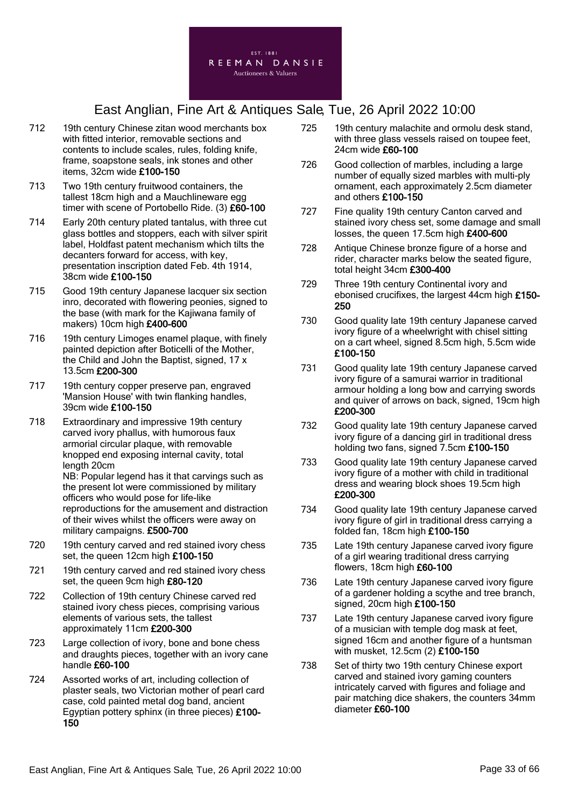

- 712 19th century Chinese zitan wood merchants box with fitted interior, removable sections and contents to include scales, rules, folding knife, frame, soapstone seals, ink stones and other items, 32cm wide £100-150
- 713 Two 19th century fruitwood containers, the tallest 18cm high and a Mauchlineware egg timer with scene of Portobello Ride. (3) £60-100
- 714 Early 20th century plated tantalus, with three cut glass bottles and stoppers, each with silver spirit label, Holdfast patent mechanism which tilts the decanters forward for access, with key, presentation inscription dated Feb. 4th 1914, 38cm wide £100-150
- 715 Good 19th century Japanese lacquer six section inro, decorated with flowering peonies, signed to the base (with mark for the Kajiwana family of makers) 10cm high £400-600
- 716 19th century Limoges enamel plaque, with finely painted depiction after Boticelli of the Mother, the Child and John the Baptist, signed, 17 x 13.5cm £200-300
- 717 19th century copper preserve pan, engraved 'Mansion House' with twin flanking handles, 39cm wide £100-150
- 718 Extraordinary and impressive 19th century carved ivory phallus, with humorous faux armorial circular plaque, with removable knopped end exposing internal cavity, total length 20cm NB: Popular legend has it that carvings such as the present lot were commissioned by military officers who would pose for life-like reproductions for the amusement and distraction of their wives whilst the officers were away on
- 720 19th century carved and red stained ivory chess set, the queen 12cm high £100-150

military campaigns. £500-700

- 721 19th century carved and red stained ivory chess set, the queen 9cm high £80-120
- 722 Collection of 19th century Chinese carved red stained ivory chess pieces, comprising various elements of various sets, the tallest approximately 11cm £200-300
- 723 Large collection of ivory, bone and bone chess and draughts pieces, together with an ivory cane handle £60-100
- 724 Assorted works of art, including collection of plaster seals, two Victorian mother of pearl card case, cold painted metal dog band, ancient Egyptian pottery sphinx (in three pieces) £100- 150
- 725 19th century malachite and ormolu desk stand, with three glass vessels raised on toupee feet, 24cm wide £60-100
- 726 Good collection of marbles, including a large number of equally sized marbles with multi-ply ornament, each approximately 2.5cm diameter and others £100-150
- 727 Fine quality 19th century Canton carved and stained ivory chess set, some damage and small losses, the queen 17.5cm high £400-600
- 728 Antique Chinese bronze figure of a horse and rider, character marks below the seated figure, total height 34cm £300-400
- 729 Three 19th century Continental ivory and ebonised crucifixes, the largest 44cm high £150- 250
- 730 Good quality late 19th century Japanese carved ivory figure of a wheelwright with chisel sitting on a cart wheel, signed 8.5cm high, 5.5cm wide £100-150
- 731 Good quality late 19th century Japanese carved ivory figure of a samurai warrior in traditional armour holding a long bow and carrying swords and quiver of arrows on back, signed, 19cm high £200-300
- 732 Good quality late 19th century Japanese carved ivory figure of a dancing girl in traditional dress holding two fans, signed 7.5cm £100-150
- 733 Good quality late 19th century Japanese carved ivory figure of a mother with child in traditional dress and wearing block shoes 19.5cm high £200-300
- 734 Good quality late 19th century Japanese carved ivory figure of girl in traditional dress carrying a folded fan, 18cm high £100-150
- 735 Late 19th century Japanese carved ivory figure of a girl wearing traditional dress carrying flowers, 18cm high £60-100
- 736 Late 19th century Japanese carved ivory figure of a gardener holding a scythe and tree branch, signed, 20cm high £100-150
- 737 Late 19th century Japanese carved ivory figure of a musician with temple dog mask at feet, signed 16cm and another figure of a huntsman with musket, 12.5cm (2) £100-150
- 738 Set of thirty two 19th century Chinese export carved and stained ivory gaming counters intricately carved with figures and foliage and pair matching dice shakers, the counters 34mm diameter £60-100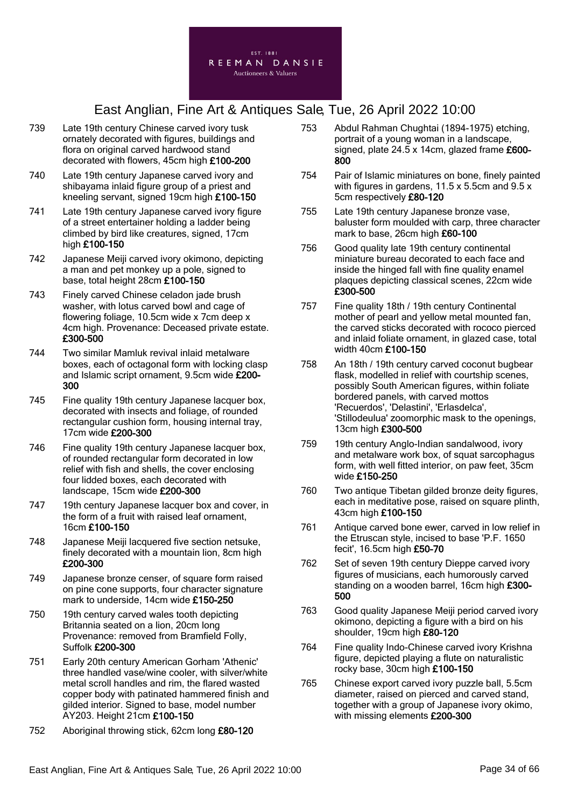

- 739 Late 19th century Chinese carved ivory tusk ornately decorated with figures, buildings and flora on original carved hardwood stand decorated with flowers, 45cm high £100-200
- 740 Late 19th century Japanese carved ivory and shibayama inlaid figure group of a priest and kneeling servant, signed 19cm high £100-150
- 741 Late 19th century Japanese carved ivory figure of a street entertainer holding a ladder being climbed by bird like creatures, signed, 17cm high £100-150
- 742 Japanese Meiji carved ivory okimono, depicting a man and pet monkey up a pole, signed to base, total height 28cm £100-150
- 743 Finely carved Chinese celadon jade brush washer, with lotus carved bowl and cage of flowering foliage, 10.5cm wide x 7cm deep x 4cm high. Provenance: Deceased private estate. £300-500
- 744 Two similar Mamluk revival inlaid metalware boxes, each of octagonal form with locking clasp and Islamic script ornament, 9.5cm wide £200- 300
- 745 Fine quality 19th century Japanese lacquer box, decorated with insects and foliage, of rounded rectangular cushion form, housing internal tray, 17cm wide £200-300
- 746 Fine quality 19th century Japanese lacquer box, of rounded rectangular form decorated in low relief with fish and shells, the cover enclosing four lidded boxes, each decorated with landscape, 15cm wide £200-300
- 747 19th century Japanese lacquer box and cover, in the form of a fruit with raised leaf ornament, 16cm £100-150
- 748 Japanese Meiji lacquered five section netsuke, finely decorated with a mountain lion, 8cm high £200-300
- 749 Japanese bronze censer, of square form raised on pine cone supports, four character signature mark to underside, 14cm wide £150-250
- 750 19th century carved wales tooth depicting Britannia seated on a lion, 20cm long Provenance: removed from Bramfield Folly, Suffolk £200-300
- 751 Early 20th century American Gorham 'Athenic' three handled vase/wine cooler, with silver/white metal scroll handles and rim, the flared wasted copper body with patinated hammered finish and gilded interior. Signed to base, model number AY203. Height 21cm £100-150
- 752 Aboriginal throwing stick, 62cm long £80-120
- 753 Abdul Rahman Chughtai (1894-1975) etching, portrait of a young woman in a landscape, signed, plate 24.5 x 14cm, glazed frame £600-800
- 754 Pair of Islamic miniatures on bone, finely painted with figures in gardens, 11.5 x 5.5cm and 9.5 x 5cm respectively £80-120
- 755 Late 19th century Japanese bronze vase, baluster form moulded with carp, three character mark to base, 26cm high £60-100
- 756 Good quality late 19th century continental miniature bureau decorated to each face and inside the hinged fall with fine quality enamel plaques depicting classical scenes, 22cm wide £300-500
- 757 Fine quality 18th / 19th century Continental mother of pearl and yellow metal mounted fan, the carved sticks decorated with rococo pierced and inlaid foliate ornament, in glazed case, total width 40cm £100-150
- 758 An 18th / 19th century carved coconut bugbear flask, modelled in relief with courtship scenes. possibly South American figures, within foliate bordered panels, with carved mottos 'Recuerdos', 'Delastini', 'Erlasdelca', 'Stillodeulua' zoomorphic mask to the openings, 13cm high £300-500
- 759 19th century Anglo-Indian sandalwood, ivory and metalware work box, of squat sarcophagus form, with well fitted interior, on paw feet, 35cm wide £150-250
- 760 Two antique Tibetan gilded bronze deity figures, each in meditative pose, raised on square plinth, 43cm high £100-150
- 761 Antique carved bone ewer, carved in low relief in the Etruscan style, incised to base 'P.F. 1650 fecit', 16.5cm high £50-70
- 762 Set of seven 19th century Dieppe carved ivory figures of musicians, each humorously carved standing on a wooden barrel, 16cm high £300-500
- 763 Good quality Japanese Meiji period carved ivory okimono, depicting a figure with a bird on his shoulder, 19cm high £80-120
- 764 Fine quality Indo-Chinese carved ivory Krishna figure, depicted playing a flute on naturalistic rocky base, 30cm high £100-150
- 765 Chinese export carved ivory puzzle ball, 5.5cm diameter, raised on pierced and carved stand, together with a group of Japanese ivory okimo, with missing elements £200-300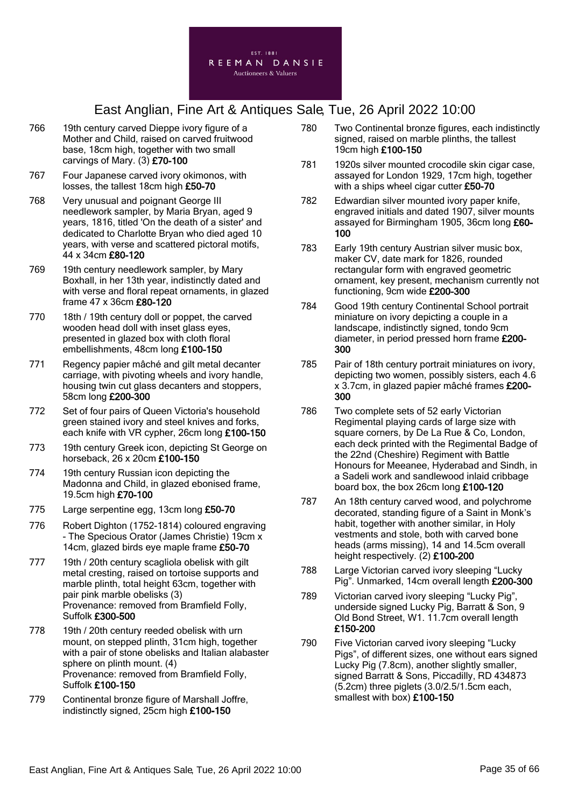

- 766 19th century carved Dieppe ivory figure of a Mother and Child, raised on carved fruitwood base, 18cm high, together with two small carvings of Mary. (3) £70-100
- 767 Four Japanese carved ivory okimonos, with losses, the tallest 18cm high £50-70
- 768 Very unusual and poignant George III needlework sampler, by Maria Bryan, aged 9 years, 1816, titled 'On the death of a sister' and dedicated to Charlotte Bryan who died aged 10 years, with verse and scattered pictoral motifs, 44 x 34cm £80-120
- 769 19th century needlework sampler, by Mary Boxhall, in her 13th year, indistinctly dated and with verse and floral repeat ornaments, in glazed frame 47 x 36cm £80-120
- 770 18th / 19th century doll or poppet, the carved wooden head doll with inset glass eyes, presented in glazed box with cloth floral embellishments, 48cm long £100-150
- 771 Regency papier mâché and gilt metal decanter carriage, with pivoting wheels and ivory handle, housing twin cut glass decanters and stoppers, 58cm long £200-300
- 772 Set of four pairs of Queen Victoria's household green stained ivory and steel knives and forks, each knife with VR cypher, 26cm long £100-150
- 773 19th century Greek icon, depicting St George on horseback, 26 x 20cm £100-150
- 774 19th century Russian icon depicting the Madonna and Child, in glazed ebonised frame, 19.5cm high £70-100
- 775 Large serpentine egg, 13cm long £50-70
- 776 Robert Dighton (1752-1814) coloured engraving - The Specious Orator (James Christie) 19cm x 14cm, glazed birds eye maple frame £50-70
- 777 19th / 20th century scagliola obelisk with gilt metal cresting, raised on tortoise supports and marble plinth, total height 63cm, together with pair pink marble obelisks (3) Provenance: removed from Bramfield Folly, Suffolk £300-500
- 778 19th / 20th century reeded obelisk with urn mount, on stepped plinth, 31cm high, together with a pair of stone obelisks and Italian alabaster sphere on plinth mount. (4) Provenance: removed from Bramfield Folly, Suffolk £100-150
- 779 Continental bronze figure of Marshall Joffre, indistinctly signed, 25cm high £100-150
- 780 Two Continental bronze figures, each indistinctly signed, raised on marble plinths, the tallest 19cm high £100-150
- 781 1920s silver mounted crocodile skin cigar case, assayed for London 1929, 17cm high, together with a ships wheel cigar cutter £50-70
- 782 Edwardian silver mounted ivory paper knife, engraved initials and dated 1907, silver mounts assayed for Birmingham 1905, 36cm long £60-100
- 783 Early 19th century Austrian silver music box, maker CV, date mark for 1826, rounded rectangular form with engraved geometric ornament, key present, mechanism currently not functioning, 9cm wide £200-300
- 784 Good 19th century Continental School portrait miniature on ivory depicting a couple in a landscape, indistinctly signed, tondo 9cm diameter, in period pressed horn frame £200- 300
- 785 Pair of 18th century portrait miniatures on ivory, depicting two women, possibly sisters, each 4.6 x 3.7cm, in glazed papier mâché frames £200- 300
- 786 Two complete sets of 52 early Victorian Regimental playing cards of large size with square corners, by De La Rue & Co, London, each deck printed with the Regimental Badge of the 22nd (Cheshire) Regiment with Battle Honours for Meeanee, Hyderabad and Sindh, in a Sadeli work and sandlewood inlaid cribbage board box, the box 26cm long £100-120
- 787 An 18th century carved wood, and polychrome decorated, standing figure of a Saint in Monk's habit, together with another similar, in Holy vestments and stole, both with carved bone heads (arms missing), 14 and 14.5cm overall height respectively. (2) £100-200
- 788 Large Victorian carved ivory sleeping "Lucky Pig". Unmarked, 14cm overall length £200-300
- 789 Victorian carved ivory sleeping "Lucky Pig", underside signed Lucky Pig, Barratt & Son, 9 Old Bond Street, W1. 11.7cm overall length £150-200
- 790 Five Victorian carved ivory sleeping "Lucky Pigs", of different sizes, one without ears signed Lucky Pig (7.8cm), another slightly smaller, signed Barratt & Sons, Piccadilly, RD 434873 (5.2cm) three piglets (3.0/2.5/1.5cm each, smallest with box) £100-150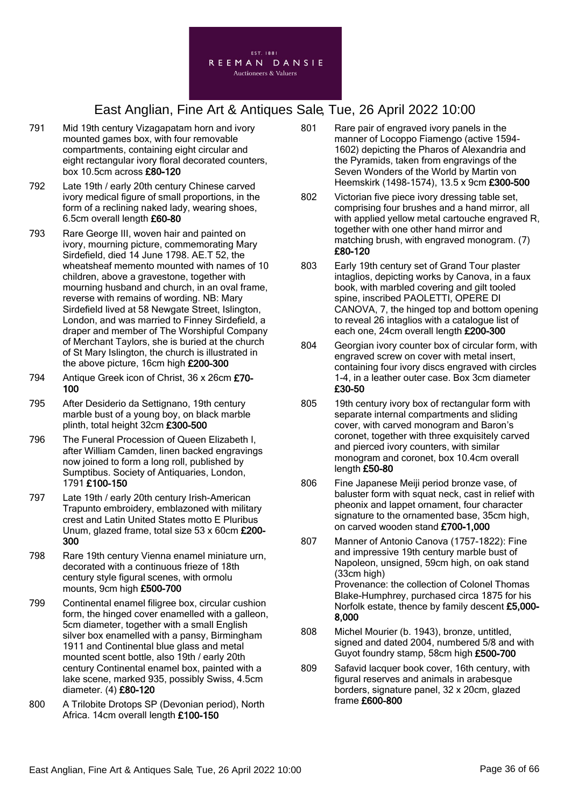

- 791 Mid 19th century Vizagapatam horn and ivory mounted games box, with four removable compartments, containing eight circular and eight rectangular ivory floral decorated counters, box 10.5cm across £80-120
- 792 Late 19th / early 20th century Chinese carved ivory medical figure of small proportions, in the form of a reclining naked lady, wearing shoes, 6.5cm overall length £60-80
- 793 Rare George III, woven hair and painted on ivory, mourning picture, commemorating Mary Sirdefield, died 14 June 1798. AE.T 52, the wheatsheaf memento mounted with names of 10 children, above a gravestone, together with mourning husband and church, in an oval frame, reverse with remains of wording. NB: Mary Sirdefield lived at 58 Newgate Street, Islington, London, and was married to Finney Sirdefield, a draper and member of The Worshipful Company of Merchant Taylors, she is buried at the church of St Mary Islington, the church is illustrated in the above picture, 16cm high £200-300
- 794 Antique Greek icon of Christ, 36 x 26cm £70-100
- 795 After Desiderio da Settignano, 19th century marble bust of a young boy, on black marble plinth, total height 32cm £300-500
- 796 The Funeral Procession of Queen Elizabeth I, after William Camden, linen backed engravings now joined to form a long roll, published by Sumptibus. Society of Antiquaries, London, 1791 £100-150
- 797 Late 19th / early 20th century Irish-American Trapunto embroidery, emblazoned with military crest and Latin United States motto E Pluribus Unum, glazed frame, total size 53 x 60cm £200- 300
- 798 Rare 19th century Vienna enamel miniature urn, decorated with a continuous frieze of 18th century style figural scenes, with ormolu mounts, 9cm high £500-700
- 799 Continental enamel filigree box, circular cushion form, the hinged cover enamelled with a galleon, 5cm diameter, together with a small English silver box enamelled with a pansy, Birmingham 1911 and Continental blue glass and metal mounted scent bottle, also 19th / early 20th century Continental enamel box, painted with a lake scene, marked 935, possibly Swiss, 4.5cm diameter. (4) £80-120
- 800 A Trilobite Drotops SP (Devonian period), North Africa. 14cm overall length £100-150
- 801 Rare pair of engraved ivory panels in the manner of Locoppo Fiamengo (active 1594- 1602) depicting the Pharos of Alexandria and the Pyramids, taken from engravings of the Seven Wonders of the World by Martin von Heemskirk (1498-1574), 13.5 x 9cm £300-500
- 802 Victorian five piece ivory dressing table set, comprising four brushes and a hand mirror, all with applied yellow metal cartouche engraved R, together with one other hand mirror and matching brush, with engraved monogram. (7) £80-120
- 803 Early 19th century set of Grand Tour plaster intaglios, depicting works by Canova, in a faux book, with marbled covering and gilt tooled spine, inscribed PAOLETTI, OPERE DI CANOVA, 7, the hinged top and bottom opening to reveal 26 intaglios with a catalogue list of each one, 24cm overall length £200-300
- 804 Georgian ivory counter box of circular form, with engraved screw on cover with metal insert, containing four ivory discs engraved with circles 1-4, in a leather outer case. Box 3cm diameter £30-50
- 805 19th century ivory box of rectangular form with separate internal compartments and sliding cover, with carved monogram and Baron's coronet, together with three exquisitely carved and pierced ivory counters, with similar monogram and coronet, box 10.4cm overall length £50-80
- 806 Fine Japanese Meiji period bronze vase, of baluster form with squat neck, cast in relief with pheonix and lappet ornament, four character signature to the ornamented base, 35cm high, on carved wooden stand £700-1,000
- 807 Manner of Antonio Canova (1757-1822): Fine and impressive 19th century marble bust of Napoleon, unsigned, 59cm high, on oak stand (33cm high) Provenance: the collection of Colonel Thomas Blake-Humphrey, purchased circa 1875 for his Norfolk estate, thence by family descent £5,000- 8,000
- 808 Michel Mourier (b. 1943), bronze, untitled, signed and dated 2004, numbered 5/8 and with Guyot foundry stamp, 58cm high £500-700
- 809 Safavid lacquer book cover, 16th century, with figural reserves and animals in arabesque borders, signature panel, 32 x 20cm, glazed frame £600-800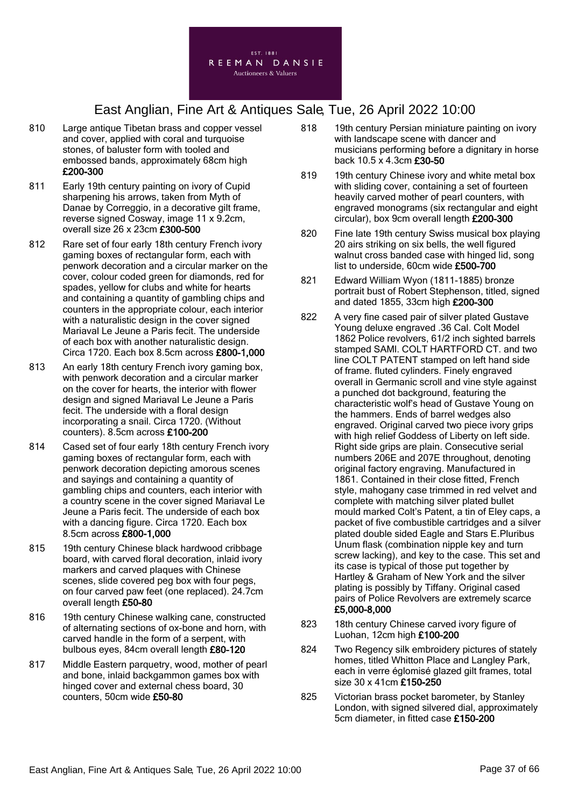

- 810 Large antique Tibetan brass and copper vessel and cover, applied with coral and turquoise stones, of baluster form with tooled and embossed bands, approximately 68cm high £200-300
- 811 Early 19th century painting on ivory of Cupid sharpening his arrows, taken from Myth of Danae by Correggio, in a decorative gilt frame, reverse signed Cosway, image 11 x 9.2cm, overall size 26 x 23cm £300-500
- 812 Rare set of four early 18th century French ivory gaming boxes of rectangular form, each with penwork decoration and a circular marker on the cover, colour coded green for diamonds, red for spades, yellow for clubs and white for hearts and containing a quantity of gambling chips and counters in the appropriate colour, each interior with a naturalistic design in the cover signed Mariaval Le Jeune a Paris fecit. The underside of each box with another naturalistic design. Circa 1720. Each box 8.5cm across £800-1,000
- 813 An early 18th century French ivory gaming box, with penwork decoration and a circular marker on the cover for hearts, the interior with flower design and signed Mariaval Le Jeune a Paris fecit. The underside with a floral design incorporating a snail. Circa 1720. (Without counters). 8.5cm across £100-200
- 814 Cased set of four early 18th century French ivory gaming boxes of rectangular form, each with penwork decoration depicting amorous scenes and sayings and containing a quantity of gambling chips and counters, each interior with a country scene in the cover signed Mariaval Le Jeune a Paris fecit. The underside of each box with a dancing figure. Circa 1720. Each box 8.5cm across £800-1,000
- 815 19th century Chinese black hardwood cribbage board, with carved floral decoration, inlaid ivory markers and carved plaques with Chinese scenes, slide covered peg box with four pegs, on four carved paw feet (one replaced). 24.7cm overall length £50-80
- 816 19th century Chinese walking cane, constructed of alternating sections of ox-bone and horn, with carved handle in the form of a serpent, with bulbous eyes, 84cm overall length £80-120
- 817 Middle Eastern parquetry, wood, mother of pearl and bone, inlaid backgammon games box with hinged cover and external chess board, 30 counters, 50cm wide £50-80
- 818 19th century Persian miniature painting on ivory with landscape scene with dancer and musicians performing before a dignitary in horse back 10.5 x 4.3cm £30-50
- 819 19th century Chinese ivory and white metal box with sliding cover, containing a set of fourteen heavily carved mother of pearl counters, with engraved monograms (six rectangular and eight circular), box 9cm overall length £200-300
- 820 Fine late 19th century Swiss musical box playing 20 airs striking on six bells, the well figured walnut cross banded case with hinged lid, song list to underside, 60cm wide £500-700
- 821 Edward William Wyon (1811-1885) bronze portrait bust of Robert Stephenson, titled, signed and dated 1855, 33cm high £200-300
- 822 A very fine cased pair of silver plated Gustave Young deluxe engraved .36 Cal. Colt Model 1862 Police revolvers, 61/2 inch sighted barrels stamped SAMl. COLT HARTFORD CT. and two line COLT PATENT stamped on left hand side of frame. fluted cylinders. Finely engraved overall in Germanic scroll and vine style against a punched dot background, featuring the characteristic wolf's head of Gustave Young on the hammers. Ends of barrel wedges also engraved. Original carved two piece ivory grips with high relief Goddess of Liberty on left side. Right side grips are plain. Consecutive serial numbers 206E and 207E throughout, denoting original factory engraving. Manufactured in 1861. Contained in their close fitted, French style, mahogany case trimmed in red velvet and complete with matching silver plated bullet mould marked Colt's Patent, a tin of Eley caps, a packet of five combustible cartridges and a silver plated double sided Eagle and Stars E.Pluribus Unum flask (combination nipple key and turn screw lacking), and key to the case. This set and its case is typical of those put together by Hartley & Graham of New York and the silver plating is possibly by Tiffany. Original cased pairs of Police Revolvers are extremely scarce £5,000-8,000
- 823 18th century Chinese carved ivory figure of Luohan, 12cm high £100-200
- 824 Two Regency silk embroidery pictures of stately homes, titled Whitton Place and Langley Park, each in verre églomisé glazed gilt frames, total size 30 x 41cm £150-250
- 825 Victorian brass pocket barometer, by Stanley London, with signed silvered dial, approximately 5cm diameter, in fitted case £150-200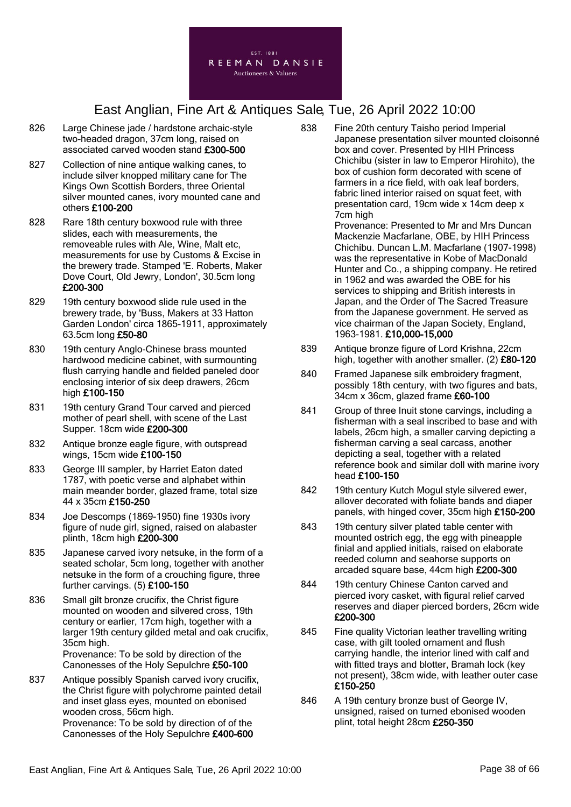

- 826 Large Chinese jade / hardstone archaic-style two-headed dragon, 37cm long, raised on associated carved wooden stand £300-500
- 827 Collection of nine antique walking canes, to include silver knopped military cane for The Kings Own Scottish Borders, three Oriental silver mounted canes, ivory mounted cane and others £100-200
- 828 Rare 18th century boxwood rule with three slides, each with measurements, the removeable rules with Ale, Wine, Malt etc, measurements for use by Customs & Excise in the brewery trade. Stamped 'E. Roberts, Maker Dove Court, Old Jewry, London', 30.5cm long £200-300
- 829 19th century boxwood slide rule used in the brewery trade, by 'Buss, Makers at 33 Hatton Garden London' circa 1865-1911, approximately 63.5cm long £50-80
- 830 19th century Anglo-Chinese brass mounted hardwood medicine cabinet, with surmounting flush carrying handle and fielded paneled door enclosing interior of six deep drawers, 26cm high £100-150
- 831 19th century Grand Tour carved and pierced mother of pearl shell, with scene of the Last Supper. 18cm wide £200-300
- 832 Antique bronze eagle figure, with outspread wings, 15cm wide £100-150
- 833 George III sampler, by Harriet Eaton dated 1787, with poetic verse and alphabet within main meander border, glazed frame, total size 44 x 35cm £150-250
- 834 Joe Descomps (1869-1950) fine 1930s ivory figure of nude girl, signed, raised on alabaster plinth, 18cm high £200-300
- 835 Japanese carved ivory netsuke, in the form of a seated scholar, 5cm long, together with another netsuke in the form of a crouching figure, three further carvings. (5) £100-150
- 836 Small gilt bronze crucifix, the Christ figure mounted on wooden and silvered cross, 19th century or earlier, 17cm high, together with a larger 19th century gilded metal and oak crucifix, 35cm high. Provenance: To be sold by direction of the Canonesses of the Holy Sepulchre £50-100
- 837 Antique possibly Spanish carved ivory crucifix, the Christ figure with polychrome painted detail and inset glass eyes, mounted on ebonised wooden cross, 56cm high. Provenance: To be sold by direction of of the Canonesses of the Holy Sepulchre £400-600

838 Fine 20th century Taisho period Imperial Japanese presentation silver mounted cloisonné box and cover. Presented by HIH Princess Chichibu (sister in law to Emperor Hirohito), the box of cushion form decorated with scene of farmers in a rice field, with oak leaf borders, fabric lined interior raised on squat feet, with presentation card, 19cm wide x 14cm deep x 7cm high

Provenance: Presented to Mr and Mrs Duncan Mackenzie Macfarlane, OBE, by HIH Princess Chichibu. Duncan L.M. Macfarlane (1907-1998) was the representative in Kobe of MacDonald Hunter and Co., a shipping company. He retired in 1962 and was awarded the OBE for his services to shipping and British interests in Japan, and the Order of The Sacred Treasure from the Japanese government. He served as vice chairman of the Japan Society, England, 1963-1981. £10,000-15,000

- 839 Antique bronze figure of Lord Krishna, 22cm high, together with another smaller. (2) £80-120
- 840 Framed Japanese silk embroiderv fragment. possibly 18th century, with two figures and bats, 34cm x 36cm, glazed frame £60-100
- 841 Group of three Inuit stone carvings, including a fisherman with a seal inscribed to base and with labels, 26cm high, a smaller carving depicting a fisherman carving a seal carcass, another depicting a seal, together with a related reference book and similar doll with marine ivory head £100-150
- 842 19th century Kutch Mogul style silvered ewer, allover decorated with foliate bands and diaper panels, with hinged cover, 35cm high £150-200
- 843 19th century silver plated table center with mounted ostrich egg, the egg with pineapple finial and applied initials, raised on elaborate reeded column and seahorse supports on arcaded square base, 44cm high £200-300
- 844 19th century Chinese Canton carved and pierced ivory casket, with figural relief carved reserves and diaper pierced borders, 26cm wide £200-300
- 845 Fine quality Victorian leather travelling writing case, with gilt tooled ornament and flush carrying handle, the interior lined with calf and with fitted trays and blotter, Bramah lock (key not present), 38cm wide, with leather outer case £150-250
- 846 A 19th century bronze bust of George IV, unsigned, raised on turned ebonised wooden plint, total height 28cm £250-350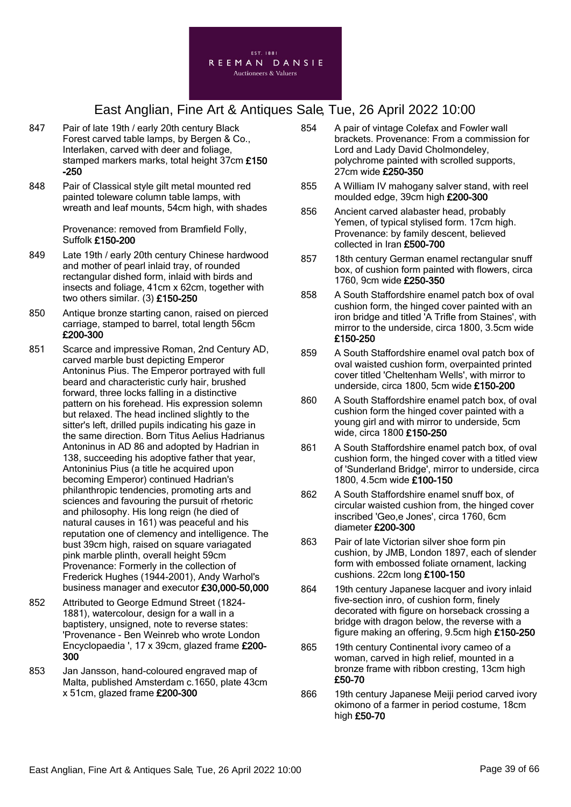

- 847 Pair of late 19th / early 20th century Black Forest carved table lamps, by Bergen & Co., Interlaken, carved with deer and foliage, stamped markers marks, total height 37cm £150 -250
- 848 Pair of Classical style gilt metal mounted red painted toleware column table lamps, with wreath and leaf mounts, 54cm high, with shades

Provenance: removed from Bramfield Folly, Suffolk £150-200

- 849 Late 19th / early 20th century Chinese hardwood and mother of pearl inlaid tray, of rounded rectangular dished form, inlaid with birds and insects and foliage, 41cm x 62cm, together with two others similar. (3) £150-250
- 850 Antique bronze starting canon, raised on pierced carriage, stamped to barrel, total length 56cm £200-300
- 851 Scarce and impressive Roman, 2nd Century AD, carved marble bust depicting Emperor Antoninus Pius. The Emperor portrayed with full beard and characteristic curly hair, brushed forward, three locks falling in a distinctive pattern on his forehead. His expression solemn but relaxed. The head inclined slightly to the sitter's left, drilled pupils indicating his gaze in the same direction. Born Titus Aelius Hadrianus Antoninus in AD 86 and adopted by Hadrian in 138, succeeding his adoptive father that year, Antoninius Pius (a title he acquired upon becoming Emperor) continued Hadrian's philanthropic tendencies, promoting arts and sciences and favouring the pursuit of rhetoric and philosophy. His long reign (he died of natural causes in 161) was peaceful and his reputation one of clemency and intelligence. The bust 39cm high, raised on square variagated pink marble plinth, overall height 59cm Provenance: Formerly in the collection of Frederick Hughes (1944-2001), Andy Warhol's business manager and executor £30,000-50,000
- 852 Attributed to George Edmund Street (1824- 1881), watercolour, design for a wall in a baptistery, unsigned, note to reverse states: 'Provenance - Ben Weinreb who wrote London Encyclopaedia ', 17 x 39cm, glazed frame £200- 300
- 853 Jan Jansson, hand-coloured engraved map of Malta, published Amsterdam c.1650, plate 43cm x 51cm, glazed frame £200-300
- 854 A pair of vintage Colefax and Fowler wall brackets. Provenance: From a commission for Lord and Lady David Cholmondeley, polychrome painted with scrolled supports, 27cm wide £250-350
- 855 A William IV mahogany salver stand, with reel moulded edge, 39cm high £200-300
- 856 Ancient carved alabaster head, probably Yemen, of typical stylised form. 17cm high. Provenance: by family descent, believed collected in Iran £500-700
- 857 18th century German enamel rectangular snuff box, of cushion form painted with flowers, circa 1760, 9cm wide £250-350
- 858 A South Staffordshire enamel patch box of oval cushion form, the hinged cover painted with an iron bridge and titled 'A Trifle from Staines', with mirror to the underside, circa 1800, 3.5cm wide £150-250
- 859 A South Staffordshire enamel oval patch box of oval waisted cushion form, overpainted printed cover titled 'Cheltenham Wells', with mirror to underside, circa 1800, 5cm wide £150-200
- 860 A South Staffordshire enamel patch box, of oval cushion form the hinged cover painted with a young girl and with mirror to underside, 5cm wide, circa 1800 £150-250
- 861 A South Staffordshire enamel patch box, of oval cushion form, the hinged cover with a titled view of 'Sunderland Bridge', mirror to underside, circa 1800, 4.5cm wide £100-150
- 862 A South Staffordshire enamel snuff box, of circular waisted cushion from, the hinged cover inscribed 'Geo,e Jones', circa 1760, 6cm diameter £200-300
- 863 Pair of late Victorian silver shoe form pin cushion, by JMB, London 1897, each of slender form with embossed foliate ornament, lacking cushions. 22cm long £100-150
- 864 19th century Japanese lacquer and ivory inlaid five-section inro, of cushion form, finely decorated with figure on horseback crossing a bridge with dragon below, the reverse with a figure making an offering, 9.5cm high £150-250
- 865 19th century Continental ivory cameo of a woman, carved in high relief, mounted in a bronze frame with ribbon cresting, 13cm high £50-70
- 866 19th century Japanese Meiji period carved ivory okimono of a farmer in period costume, 18cm high £50-70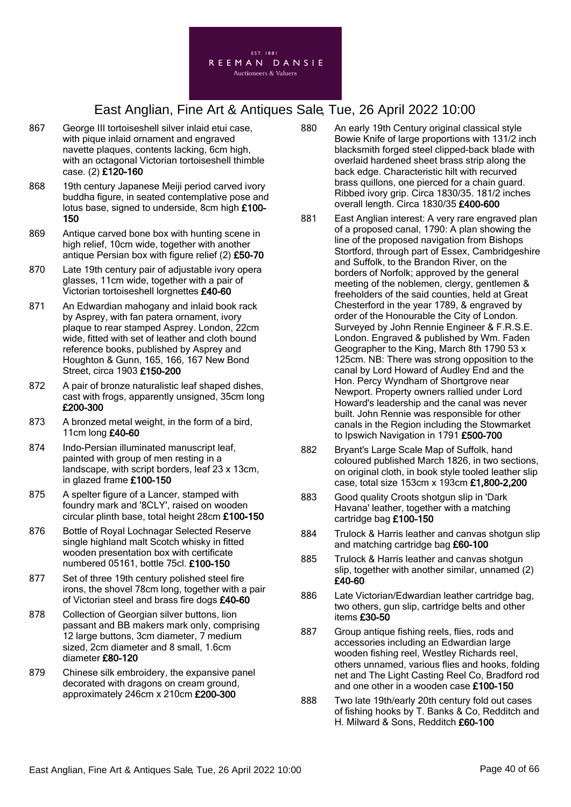

- 867 George III tortoiseshell silver inlaid etui case, with pique inlaid ornament and engraved navette plaques, contents lacking, 6cm high, with an octagonal Victorian tortoiseshell thimble case. (2) £120-160
- 868 19th century Japanese Meiji period carved ivory buddha figure, in seated contemplative pose and lotus base, signed to underside, 8cm high £100- 150
- 869 Antique carved bone box with hunting scene in high relief, 10cm wide, together with another antique Persian box with figure relief (2) £50-70
- 870 Late 19th century pair of adjustable ivory opera glasses, 11cm wide, together with a pair of Victorian tortoiseshell lorgnettes £40-60
- 871 An Edwardian mahogany and inlaid book rack by Asprey, with fan patera ornament, ivory plaque to rear stamped Asprey. London, 22cm wide, fitted with set of leather and cloth bound reference books, published by Asprey and Houghton & Gunn, 165, 166, 167 New Bond Street, circa 1903 £150-200
- 872 A pair of bronze naturalistic leaf shaped dishes, cast with frogs, apparently unsigned, 35cm long £200-300
- 873 A bronzed metal weight, in the form of a bird, 11cm long £40-60
- 874 Indo-Persian illuminated manuscript leaf, painted with group of men resting in a landscape, with script borders, leaf 23 x 13cm, in glazed frame £100-150
- 875 A spelter figure of a Lancer, stamped with foundry mark and '8CLY', raised on wooden circular plinth base, total height 28cm £100-150
- 876 Bottle of Royal Lochnagar Selected Reserve single highland malt Scotch whisky in fitted wooden presentation box with certificate numbered 05161, bottle 75cl. £100-150
- 877 Set of three 19th century polished steel fire irons, the shovel 78cm long, together with a pair of Victorian steel and brass fire dogs £40-60
- 878 Collection of Georgian silver buttons, lion passant and BB makers mark only, comprising 12 large buttons, 3cm diameter, 7 medium sized, 2cm diameter and 8 small, 1.6cm diameter £80-120
- 879 Chinese silk embroidery, the expansive panel decorated with dragons on cream ground, approximately 246cm x 210cm £200-300
- 880 An early 19th Century original classical style Bowie Knife of large proportions with 131/2 inch blacksmith forged steel clipped-back blade with overlaid hardened sheet brass strip along the back edge. Characteristic hilt with recurved brass quillons, one pierced for a chain guard. Ribbed ivory grip. Circa 1830/35. 181/2 inches overall length. Circa 1830/35 £400-600
- 881 East Anglian interest: A very rare engraved plan of a proposed canal, 1790: A plan showing the line of the proposed navigation from Bishops Stortford, through part of Essex, Cambridgeshire and Suffolk, to the Brandon River, on the borders of Norfolk; approved by the general meeting of the noblemen, clergy, gentlemen & freeholders of the said counties, held at Great Chesterford in the year 1789, & engraved by order of the Honourable the City of London. Surveyed by John Rennie Engineer & F.R.S.E. London. Engraved & published by Wm. Faden Geographer to the King, March 8th 1790 53 x 125cm. NB: There was strong opposition to the canal by Lord Howard of Audley End and the Hon. Percy Wyndham of Shortgrove near Newport. Property owners rallied under Lord Howard's leadership and the canal was never built. John Rennie was responsible for other canals in the Region including the Stowmarket to Ipswich Navigation in 1791 £500-700
- 882 Bryant's Large Scale Map of Suffolk, hand coloured published March 1826, in two sections, on original cloth, in book style tooled leather slip case, total size 153cm x 193cm £1,800-2,200
- 883 Good quality Croots shotgun slip in 'Dark Havana' leather, together with a matching cartridge bag £100-150
- 884 Trulock & Harris leather and canvas shotgun slip and matching cartridge bag £60-100
- 885 Trulock & Harris leather and canvas shotgun slip, together with another similar, unnamed (2) £40-60
- 886 Late Victorian/Edwardian leather cartridge bag, two others, gun slip, cartridge belts and other items £30-50
- 887 Group antique fishing reels, flies, rods and accessories including an Edwardian large wooden fishing reel, Westley Richards reel, others unnamed, various flies and hooks, folding net and The Light Casting Reel Co, Bradford rod and one other in a wooden case £100-150
- 888 Two late 19th/early 20th century fold out cases of fishing hooks by T. Banks & Co, Redditch and H. Milward & Sons, Redditch £60-100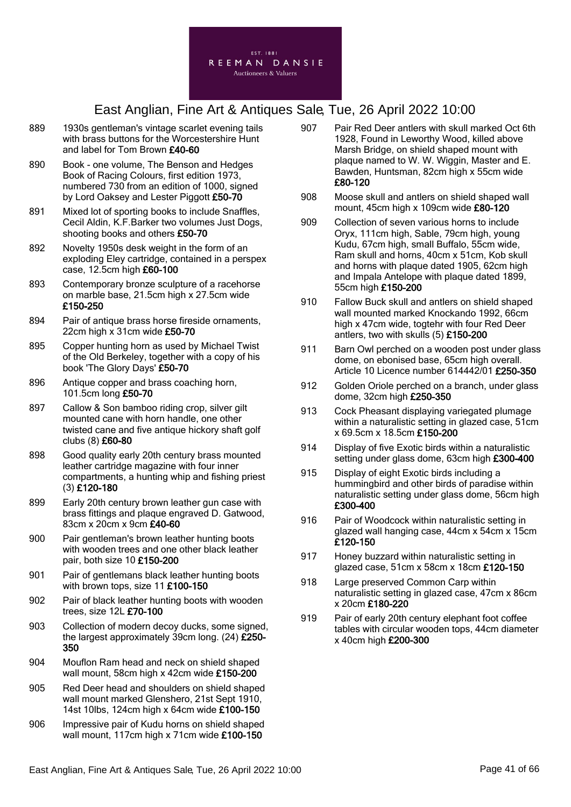

- 889 1930s gentleman's vintage scarlet evening tails with brass buttons for the Worcestershire Hunt and label for Tom Brown £40-60
- 890 Book one volume, The Benson and Hedges Book of Racing Colours, first edition 1973, numbered 730 from an edition of 1000, signed by Lord Oaksey and Lester Piggott £50-70
- 891 Mixed lot of sporting books to include Snaffles, Cecil Aldin, K.F.Barker two volumes Just Dogs, shooting books and others £50-70
- 892 Novelty 1950s desk weight in the form of an exploding Eley cartridge, contained in a perspex case, 12.5cm high £60-100
- 893 Contemporary bronze sculpture of a racehorse on marble base, 21.5cm high x 27.5cm wide £150-250
- 894 Pair of antique brass horse fireside ornaments, 22cm high x 31cm wide £50-70
- 895 Copper hunting horn as used by Michael Twist of the Old Berkeley, together with a copy of his book 'The Glory Days' £50-70
- 896 Antique copper and brass coaching horn, 101.5cm long £50-70
- 897 Callow & Son bamboo riding crop, silver gilt mounted cane with horn handle, one other twisted cane and five antique hickory shaft golf clubs (8) £60-80
- 898 Good quality early 20th century brass mounted leather cartridge magazine with four inner compartments, a hunting whip and fishing priest (3) £120-180
- 899 Early 20th century brown leather gun case with brass fittings and plaque engraved D. Gatwood, 83cm x 20cm x 9cm £40-60
- 900 Pair gentleman's brown leather hunting boots with wooden trees and one other black leather pair, both size 10 £150-200
- 901 Pair of gentlemans black leather hunting boots with brown tops, size 11 £100-150
- 902 Pair of black leather hunting boots with wooden trees, size 12L £70-100
- 903 Collection of modern decoy ducks, some signed, the largest approximately 39cm long. (24) £250- 350
- 904 Mouflon Ram head and neck on shield shaped wall mount, 58cm high x 42cm wide £150-200
- 905 Red Deer head and shoulders on shield shaped wall mount marked Glenshero, 21st Sept 1910, 14st 10lbs, 124cm high x 64cm wide £100-150
- 906 Impressive pair of Kudu horns on shield shaped wall mount, 117cm high x 71cm wide £100-150
- 907 Pair Red Deer antlers with skull marked Oct 6th 1928, Found in Leworthy Wood, killed above Marsh Bridge, on shield shaped mount with plaque named to W. W. Wiggin, Master and E. Bawden, Huntsman, 82cm high x 55cm wide £80-120
- 908 Moose skull and antlers on shield shaped wall mount, 45cm high x 109cm wide £80-120
- 909 Collection of seven various horns to include Oryx, 111cm high, Sable, 79cm high, young Kudu, 67cm high, small Buffalo, 55cm wide, Ram skull and horns, 40cm x 51cm, Kob skull and horns with plaque dated 1905, 62cm high and Impala Antelope with plaque dated 1899, 55cm high £150-200
- 910 Fallow Buck skull and antlers on shield shaped wall mounted marked Knockando 1992, 66cm high x 47cm wide, togtehr with four Red Deer antlers, two with skulls (5) £150-200
- 911 Barn Owl perched on a wooden post under glass dome, on ebonised base, 65cm high overall. Article 10 Licence number 614442/01 £250-350
- 912 Golden Oriole perched on a branch, under glass dome, 32cm high £250-350
- 913 Cock Pheasant displaying variegated plumage within a naturalistic setting in glazed case, 51cm x 69.5cm x 18.5cm £150-200
- 914 Display of five Exotic birds within a naturalistic setting under glass dome, 63cm high £300-400
- 915 Display of eight Exotic birds including a hummingbird and other birds of paradise within naturalistic setting under glass dome, 56cm high £300-400
- 916 Pair of Woodcock within naturalistic setting in glazed wall hanging case, 44cm x 54cm x 15cm £120-150
- 917 Honey buzzard within naturalistic setting in glazed case, 51cm x 58cm x 18cm £120-150
- 918 Large preserved Common Carp within naturalistic setting in glazed case, 47cm x 86cm x 20cm £180-220
- 919 Pair of early 20th century elephant foot coffee tables with circular wooden tops, 44cm diameter x 40cm high £200-300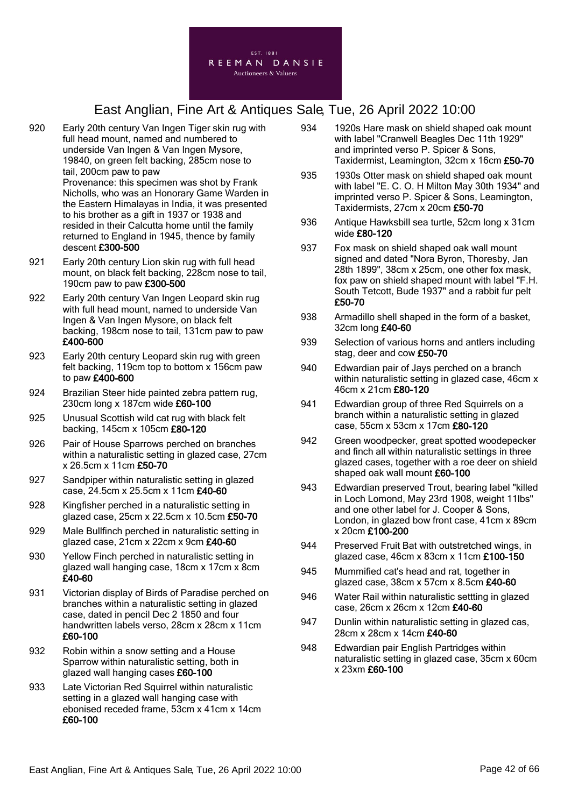

- 920 Early 20th century Van Ingen Tiger skin rug with full head mount, named and numbered to underside Van Ingen & Van Ingen Mysore, 19840, on green felt backing, 285cm nose to tail, 200cm paw to paw Provenance: this specimen was shot by Frank Nicholls, who was an Honorary Game Warden in the Eastern Himalayas in India, it was presented to his brother as a gift in 1937 or 1938 and resided in their Calcutta home until the family returned to England in 1945, thence by family descent £300-500
- 921 Early 20th century Lion skin rug with full head mount, on black felt backing, 228cm nose to tail, 190cm paw to paw £300-500
- 922 Early 20th century Van Ingen Leopard skin rug with full head mount, named to underside Van Ingen & Van Ingen Mysore, on black felt backing, 198cm nose to tail, 131cm paw to paw £400-600
- 923 Early 20th century Leopard skin rug with green felt backing, 119cm top to bottom x 156cm paw to paw £400-600
- 924 Brazilian Steer hide painted zebra pattern rug, 230cm long x 187cm wide £60-100
- 925 Unusual Scottish wild cat rug with black felt backing, 145cm x 105cm £80-120
- 926 Pair of House Sparrows perched on branches within a naturalistic setting in glazed case, 27cm x 26.5cm x 11cm £50-70
- 927 Sandpiper within naturalistic setting in glazed case, 24.5cm x 25.5cm x 11cm £40-60
- 928 Kingfisher perched in a naturalistic setting in glazed case, 25cm x 22.5cm x 10.5cm £50-70
- 929 Male Bullfinch perched in naturalistic setting in glazed case,  $21$ cm x  $22$ cm x  $9$ cm  $£40-60$
- 930 Yellow Finch perched in naturalistic setting in glazed wall hanging case, 18cm x 17cm x 8cm £40-60
- 931 Victorian display of Birds of Paradise perched on branches within a naturalistic setting in glazed case, dated in pencil Dec 2 1850 and four handwritten labels verso, 28cm x 28cm x 11cm £60-100
- 932 Robin within a snow setting and a House Sparrow within naturalistic setting, both in glazed wall hanging cases £60-100
- 933 Late Victorian Red Squirrel within naturalistic setting in a glazed wall hanging case with ebonised receded frame, 53cm x 41cm x 14cm £60-100
- 934 1920s Hare mask on shield shaped oak mount with label "Cranwell Beagles Dec 11th 1929" and imprinted verso P. Spicer & Sons, Taxidermist, Leamington, 32cm x 16cm £50-70
- 935 1930s Otter mask on shield shaped oak mount with label "E. C. O. H Milton May 30th 1934" and imprinted verso P. Spicer & Sons, Leamington, Taxidermists, 27cm x 20cm £50-70
- 936 Antique Hawksbill sea turtle, 52cm long x 31cm wide £80-120
- 937 Fox mask on shield shaped oak wall mount signed and dated "Nora Byron, Thoresby, Jan 28th 1899", 38cm x 25cm, one other fox mask, fox paw on shield shaped mount with label "F.H. South Tetcott, Bude 1937" and a rabbit fur pelt £50-70
- 938 Armadillo shell shaped in the form of a basket, 32cm long £40-60
- 939 Selection of various horns and antlers including stag, deer and cow £50-70
- 940 Edwardian pair of Jays perched on a branch within naturalistic setting in glazed case, 46cm x 46cm x 21cm £80-120
- 941 Edwardian group of three Red Squirrels on a branch within a naturalistic setting in glazed case, 55cm x 53cm x 17cm £80-120
- 942 Green woodpecker, great spotted woodepecker and finch all within naturalistic settings in three glazed cases, together with a roe deer on shield shaped oak wall mount £60-100
- 943 Edwardian preserved Trout, bearing label "killed in Loch Lomond, May 23rd 1908, weight 11lbs" and one other label for J. Cooper & Sons, London, in glazed bow front case, 41cm x 89cm x 20cm £100-200
- 944 Preserved Fruit Bat with outstretched wings, in glazed case, 46cm x 83cm x 11cm £100-150
- 945 Mummified cat's head and rat, together in glazed case, 38cm x 57cm x 8.5cm £40-60
- 946 Water Rail within naturalistic settting in glazed case, 26cm x 26cm x 12cm £40-60
- 947 Dunlin within naturalistic setting in glazed cas, 28cm x 28cm x 14cm £40-60
- 948 Edwardian pair English Partridges within naturalistic setting in glazed case, 35cm x 60cm x 23xm £60-100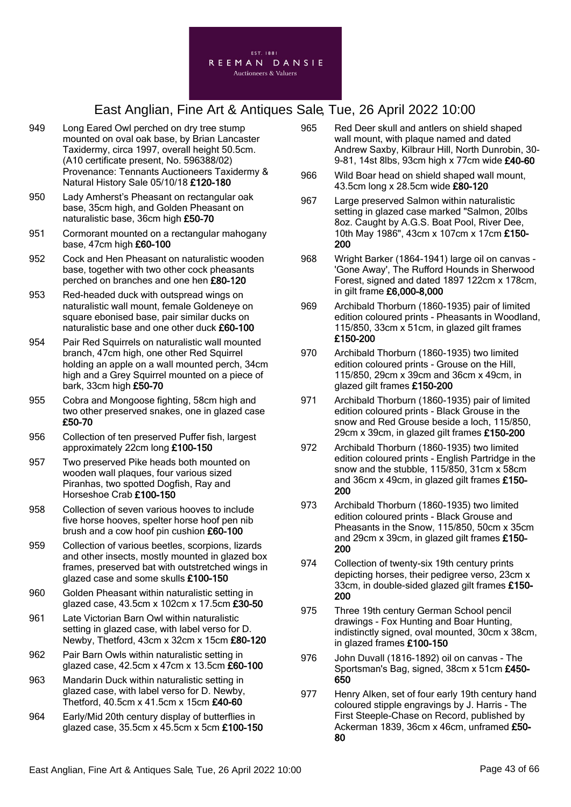

- 949 Long Eared Owl perched on dry tree stump mounted on oval oak base, by Brian Lancaster Taxidermy, circa 1997, overall height 50.5cm. (A10 certificate present, No. 596388/02) Provenance: Tennants Auctioneers Taxidermy & Natural History Sale 05/10/18 £120-180
- 950 Lady Amherst's Pheasant on rectangular oak base, 35cm high, and Golden Pheasant on naturalistic base, 36cm high £50-70
- 951 Cormorant mounted on a rectangular mahogany base, 47cm high £60-100
- 952 Cock and Hen Pheasant on naturalistic wooden base, together with two other cock pheasants perched on branches and one hen £80-120
- 953 Red-headed duck with outspread wings on naturalistic wall mount, female Goldeneye on square ebonised base, pair similar ducks on naturalistic base and one other duck £60-100
- 954 Pair Red Squirrels on naturalistic wall mounted branch, 47cm high, one other Red Squirrel holding an apple on a wall mounted perch, 34cm high and a Grey Squirrel mounted on a piece of bark, 33cm high £50-70
- 955 Cobra and Mongoose fighting, 58cm high and two other preserved snakes, one in glazed case £50-70
- 956 Collection of ten preserved Puffer fish, largest approximately 22cm long £100-150
- 957 Two preserved Pike heads both mounted on wooden wall plaques, four various sized Piranhas, two spotted Dogfish, Ray and Horseshoe Crab £100-150
- 958 Collection of seven various hooves to include five horse hooves, spelter horse hoof pen nib brush and a cow hoof pin cushion £60-100
- 959 Collection of various beetles, scorpions, lizards and other insects, mostly mounted in glazed box frames, preserved bat with outstretched wings in glazed case and some skulls £100-150
- 960 Golden Pheasant within naturalistic setting in glazed case, 43.5cm x 102cm x 17.5cm £30-50
- 961 Late Victorian Barn Owl within naturalistic setting in glazed case, with label verso for D. Newby, Thetford, 43cm x 32cm x 15cm £80-120
- 962 Pair Barn Owls within naturalistic setting in glazed case, 42.5cm x 47cm x 13.5cm £60-100
- 963 Mandarin Duck within naturalistic setting in glazed case, with label verso for D. Newby, Thetford, 40.5cm x 41.5cm x 15cm £40-60
- 964 Early/Mid 20th century display of butterflies in glazed case, 35.5cm x 45.5cm x 5cm £100-150
- 965 Red Deer skull and antlers on shield shaped wall mount, with plaque named and dated Andrew Saxby, Kilbraur Hill, North Dunrobin, 30- 9-81, 14st 8lbs, 93cm high x 77cm wide £40-60
- 966 Wild Boar head on shield shaped wall mount, 43.5cm long x 28.5cm wide £80-120
- 967 Large preserved Salmon within naturalistic setting in glazed case marked "Salmon, 20lbs 8oz. Caught by A.G.S. Boat Pool, River Dee, 10th May 1986", 43cm x 107cm x 17cm £150- 200
- 968 Wright Barker (1864-1941) large oil on canvas 'Gone Away', The Rufford Hounds in Sherwood Forest, signed and dated 1897 122cm x 178cm, in gilt frame £6,000-8,000
- 969 Archibald Thorburn (1860-1935) pair of limited edition coloured prints - Pheasants in Woodland, 115/850, 33cm x 51cm, in glazed gilt frames £150-200
- 970 Archibald Thorburn (1860-1935) two limited edition coloured prints - Grouse on the Hill, 115/850, 29cm x 39cm and 36cm x 49cm, in glazed gilt frames £150-200
- 971 Archibald Thorburn (1860-1935) pair of limited edition coloured prints - Black Grouse in the snow and Red Grouse beside a loch, 115/850, 29cm x 39cm, in glazed gilt frames £150-200
- 972 Archibald Thorburn (1860-1935) two limited edition coloured prints - English Partridge in the snow and the stubble, 115/850, 31cm x 58cm and 36cm x 49cm, in glazed gilt frames £150- 200
- 973 Archibald Thorburn (1860-1935) two limited edition coloured prints - Black Grouse and Pheasants in the Snow, 115/850, 50cm x 35cm and 29cm x 39cm, in glazed gilt frames £150- 200
- 974 Collection of twenty-six 19th century prints depicting horses, their pedigree verso, 23cm x 33cm, in double-sided glazed gilt frames £150- 200
- 975 Three 19th century German School pencil drawings - Fox Hunting and Boar Hunting, indistinctly signed, oval mounted, 30cm x 38cm, in glazed frames £100-150
- 976 John Duvall (1816-1892) oil on canvas The Sportsman's Bag, signed, 38cm x 51cm £450- 650
- 977 Henry Alken, set of four early 19th century hand coloured stipple engravings by J. Harris - The First Steeple-Chase on Record, published by Ackerman 1839, 36cm x 46cm, unframed £50- 80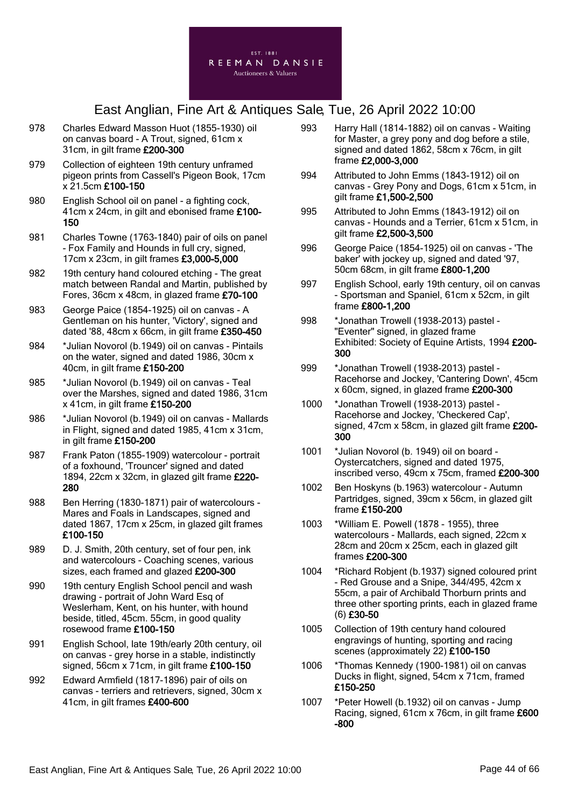

- 978 Charles Edward Masson Huot (1855-1930) oil on canvas board - A Trout, signed, 61cm x 31cm, in gilt frame £200-300
- 979 Collection of eighteen 19th century unframed pigeon prints from Cassell's Pigeon Book, 17cm x 21.5cm £100-150
- 980 English School oil on panel a fighting cock, 41cm x 24cm, in gilt and ebonised frame £100- 150
- 981 Charles Towne (1763-1840) pair of oils on panel - Fox Family and Hounds in full cry, signed, 17cm x 23cm, in gilt frames £3,000-5,000
- 982 19th century hand coloured etching The great match between Randal and Martin, published by Fores, 36cm x 48cm, in glazed frame £70-100
- 983 George Paice (1854-1925) oil on canvas A Gentleman on his hunter, 'Victory', signed and dated '88, 48cm x 66cm, in gilt frame £350-450
- 984 \*Julian Novorol (b.1949) oil on canvas Pintails on the water, signed and dated 1986, 30cm x 40cm, in gilt frame £150-200
- 985 \*Julian Novorol (b.1949) oil on canvas Teal over the Marshes, signed and dated 1986, 31cm x 41cm, in gilt frame £150-200
- 986 \*Julian Novorol (b.1949) oil on canvas Mallards in Flight, signed and dated 1985, 41cm x 31cm, in gilt frame £150-200
- 987 Frank Paton (1855-1909) watercolour portrait of a foxhound, 'Trouncer' signed and dated 1894, 22cm x 32cm, in glazed gilt frame £220- 280
- 988 Ben Herring (1830-1871) pair of watercolours Mares and Foals in Landscapes, signed and dated 1867, 17cm x 25cm, in glazed gilt frames £100-150
- 989 D. J. Smith, 20th century, set of four pen, ink and watercolours - Coaching scenes, various sizes, each framed and glazed £200-300
- 990 19th century English School pencil and wash drawing - portrait of John Ward Esq of Weslerham, Kent, on his hunter, with hound beside, titled, 45cm. 55cm, in good quality rosewood frame £100-150
- 991 English School, late 19th/early 20th century, oil on canvas - grey horse in a stable, indistinctly signed, 56cm x 71cm, in gilt frame £100-150
- 992 Edward Armfield (1817-1896) pair of oils on canvas - terriers and retrievers, signed, 30cm x 41cm, in gilt frames £400-600
- 993 Harry Hall (1814-1882) oil on canvas Waiting for Master, a grey pony and dog before a stile, signed and dated 1862, 58cm x 76cm, in gilt frame £2,000-3,000
- 994 Attributed to John Emms (1843-1912) oil on canvas - Grey Pony and Dogs, 61cm x 51cm, in gilt frame £1,500-2,500
- 995 Attributed to John Emms (1843-1912) oil on canvas - Hounds and a Terrier, 61cm x 51cm, in gilt frame £2,500-3,500
- 996 George Paice (1854-1925) oil on canvas 'The baker' with jockey up, signed and dated '97, 50cm 68cm, in gilt frame £800-1,200
- 997 English School, early 19th century, oil on canvas - Sportsman and Spaniel, 61cm x 52cm, in gilt frame £800-1,200
- 998 \*Jonathan Trowell (1938-2013) pastel "Eventer" signed, in glazed frame Exhibited: Society of Equine Artists, 1994 £200- 300
- 999 \*Jonathan Trowell (1938-2013) pastel Racehorse and Jockey, 'Cantering Down', 45cm x 60cm, signed, in glazed frame £200-300
- 1000 \*Jonathan Trowell (1938-2013) pastel Racehorse and Jockey, 'Checkered Cap', signed, 47cm x 58cm, in glazed gilt frame £200-300
- 1001 \*Julian Novorol (b. 1949) oil on board Oystercatchers, signed and dated 1975, inscribed verso, 49cm x 75cm, framed £200-300
- 1002 Ben Hoskyns (b.1963) watercolour Autumn Partridges, signed, 39cm x 56cm, in glazed gilt frame £150-200
- 1003 \*William E. Powell (1878 1955), three watercolours - Mallards, each signed, 22cm x 28cm and 20cm x 25cm, each in glazed gilt frames £200-300
- 1004 \*Richard Robjent (b.1937) signed coloured print - Red Grouse and a Snipe, 344/495, 42cm x 55cm, a pair of Archibald Thorburn prints and three other sporting prints, each in glazed frame (6) £30-50
- 1005 Collection of 19th century hand coloured engravings of hunting, sporting and racing scenes (approximately 22) £100-150
- 1006 \*Thomas Kennedy (1900-1981) oil on canvas Ducks in flight, signed, 54cm x 71cm, framed £150-250
- 1007 \*Peter Howell (b.1932) oil on canvas Jump Racing, signed, 61cm x 76cm, in gilt frame £600 -800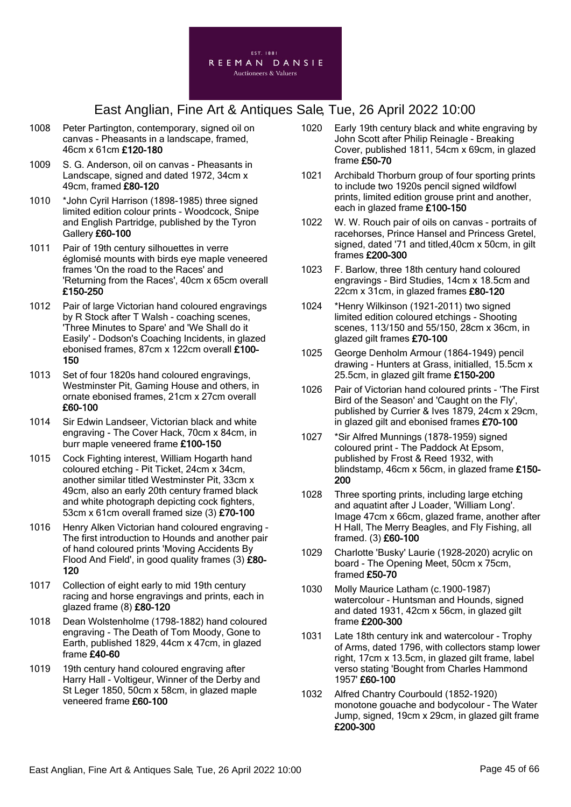

- 1008 Peter Partington, contemporary, signed oil on canvas - Pheasants in a landscape, framed, 46cm x 61cm £120-180
- 1009 S. G. Anderson, oil on canvas Pheasants in Landscape, signed and dated 1972, 34cm x 49cm, framed £80-120
- 1010 \*John Cyril Harrison (1898-1985) three signed limited edition colour prints - Woodcock, Snipe and English Partridge, published by the Tyron Gallery £60-100
- 1011 Pair of 19th century silhouettes in verre églomisé mounts with birds eye maple veneered frames 'On the road to the Races' and 'Returning from the Races', 40cm x 65cm overall £150-250
- 1012 Pair of large Victorian hand coloured engravings by R Stock after T Walsh - coaching scenes, 'Three Minutes to Spare' and 'We Shall do it Easily' - Dodson's Coaching Incidents, in glazed ebonised frames, 87cm x 122cm overall £100- 150
- 1013 Set of four 1820s hand coloured engravings, Westminster Pit, Gaming House and others, in ornate ebonised frames, 21cm x 27cm overall £60-100
- 1014 Sir Edwin Landseer, Victorian black and white engraving - The Cover Hack, 70cm x 84cm, in burr maple veneered frame £100-150
- 1015 Cock Fighting interest, William Hogarth hand coloured etching - Pit Ticket, 24cm x 34cm, another similar titled Westminster Pit, 33cm x 49cm, also an early 20th century framed black and white photograph depicting cock fighters, 53cm x 61cm overall framed size (3) £70-100
- 1016 Henry Alken Victorian hand coloured engraving The first introduction to Hounds and another pair of hand coloured prints 'Moving Accidents By Flood And Field', in good quality frames (3) £80- 120
- 1017 Collection of eight early to mid 19th century racing and horse engravings and prints, each in glazed frame (8) £80-120
- 1018 Dean Wolstenholme (1798-1882) hand coloured engraving - The Death of Tom Moody, Gone to Earth, published 1829, 44cm x 47cm, in glazed frame £40-60
- 1019 19th century hand coloured engraving after Harry Hall - Voltigeur, Winner of the Derby and St Leger 1850, 50cm x 58cm, in glazed maple veneered frame £60-100
- 1020 Early 19th century black and white engraving by John Scott after Philip Reinagle - Breaking Cover, published 1811, 54cm x 69cm, in glazed frame £50-70
- 1021 Archibald Thorburn group of four sporting prints to include two 1920s pencil signed wildfowl prints, limited edition grouse print and another, each in glazed frame £100-150
- 1022 W. W. Rouch pair of oils on canvas portraits of racehorses, Prince Hansel and Princess Gretel, signed, dated '71 and titled,40cm x 50cm, in gilt frames £200-300
- 1023 F. Barlow, three 18th century hand coloured engravings - Bird Studies, 14cm x 18.5cm and 22cm x 31cm, in glazed frames £80-120
- 1024 \*Henry Wilkinson (1921-2011) two signed limited edition coloured etchings - Shooting scenes, 113/150 and 55/150, 28cm x 36cm, in glazed gilt frames £70-100
- 1025 George Denholm Armour (1864-1949) pencil drawing - Hunters at Grass, initialled, 15.5cm x 25.5cm, in glazed gilt frame £150-200
- 1026 Pair of Victorian hand coloured prints 'The First Bird of the Season' and 'Caught on the Fly', published by Currier & Ives 1879, 24cm x 29cm, in glazed gilt and ebonised frames £70-100
- 1027 \*Sir Alfred Munnings (1878-1959) signed coloured print - The Paddock At Epsom, published by Frost & Reed 1932, with blindstamp, 46cm x 56cm, in glazed frame £150- 200
- 1028 Three sporting prints, including large etching and aquatint after J Loader, 'William Long'. Image 47cm x 66cm, glazed frame, another after H Hall, The Merry Beagles, and Fly Fishing, all framed. (3) £60-100
- 1029 Charlotte 'Busky' Laurie (1928-2020) acrylic on board - The Opening Meet, 50cm x 75cm, framed £50-70
- 1030 Molly Maurice Latham (c.1900-1987) watercolour - Huntsman and Hounds, signed and dated 1931, 42cm x 56cm, in glazed gilt frame £200-300
- 1031 Late 18th century ink and watercolour Trophy of Arms, dated 1796, with collectors stamp lower right, 17cm x 13.5cm, in glazed gilt frame, label verso stating 'Bought from Charles Hammond 1957' £60-100
- 1032 Alfred Chantry Courbould (1852-1920) monotone gouache and bodycolour - The Water Jump, signed, 19cm x 29cm, in glazed gilt frame £200-300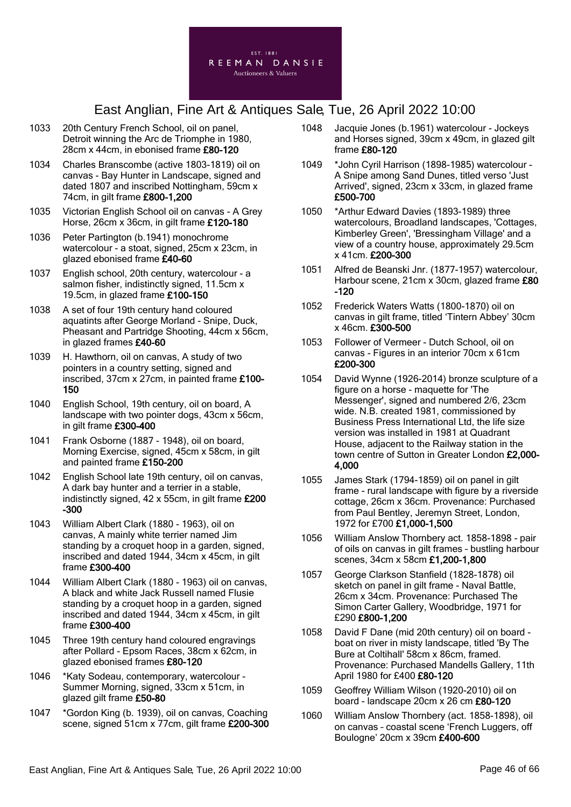

- 1033 20th Century French School, oil on panel, Detroit winning the Arc de Triomphe in 1980, 28cm x 44cm, in ebonised frame £80-120
- 1034 Charles Branscombe (active 1803-1819) oil on canvas - Bay Hunter in Landscape, signed and dated 1807 and inscribed Nottingham, 59cm x 74cm, in gilt frame £800-1,200
- 1035 Victorian English School oil on canvas A Grey Horse, 26cm x 36cm, in gilt frame £120-180
- 1036 Peter Partington (b.1941) monochrome watercolour - a stoat, signed, 25cm x 23cm, in glazed ebonised frame £40-60
- 1037 English school, 20th century, watercolour a salmon fisher, indistinctly signed, 11.5cm x 19.5cm, in glazed frame £100-150
- 1038 A set of four 19th century hand coloured aquatints after George Morland - Snipe, Duck, Pheasant and Partridge Shooting, 44cm x 56cm, in glazed frames £40-60
- 1039 H. Hawthorn, oil on canvas, A study of two pointers in a country setting, signed and inscribed, 37cm x 27cm, in painted frame £100- 150
- 1040 English School, 19th century, oil on board, A landscape with two pointer dogs, 43cm x 56cm, in gilt frame £300-400
- 1041 Frank Osborne (1887 1948), oil on board, Morning Exercise, signed, 45cm x 58cm, in gilt and painted frame £150-200
- 1042 English School late 19th century, oil on canvas, A dark bay hunter and a terrier in a stable, indistinctly signed, 42 x 55cm, in gilt frame £200 -300
- 1043 William Albert Clark (1880 1963), oil on canvas, A mainly white terrier named Jim standing by a croquet hoop in a garden, signed, inscribed and dated 1944, 34cm x 45cm, in gilt frame £300-400
- 1044 William Albert Clark (1880 1963) oil on canvas, A black and white Jack Russell named Flusie standing by a croquet hoop in a garden, signed inscribed and dated 1944, 34cm x 45cm, in gilt frame £300-400
- 1045 Three 19th century hand coloured engravings after Pollard - Epsom Races, 38cm x 62cm, in glazed ebonised frames £80-120
- 1046 \*Katy Sodeau, contemporary, watercolour Summer Morning, signed, 33cm x 51cm, in glazed gilt frame £50-80
- 1047 \*Gordon King (b. 1939), oil on canvas, Coaching scene, signed 51cm x 77cm, gilt frame £200-300
- 1048 Jacquie Jones (b.1961) watercolour Jockeys and Horses signed, 39cm x 49cm, in glazed gilt frame £80-120
- 1049 \*John Cyril Harrison (1898-1985) watercolour A Snipe among Sand Dunes, titled verso 'Just Arrived', signed, 23cm x 33cm, in glazed frame £500-700
- 1050 \*Arthur Edward Davies (1893-1989) three watercolours, Broadland landscapes, 'Cottages, Kimberley Green', 'Bressingham Village' and a view of a country house, approximately 29.5cm x 41cm. £200-300
- 1051 Alfred de Beanski Jnr. (1877-1957) watercolour, Harbour scene, 21cm x 30cm, glazed frame £80 -120
- 1052 Frederick Waters Watts (1800-1870) oil on canvas in gilt frame, titled 'Tintern Abbey' 30cm x 46cm. £300-500
- 1053 Follower of Vermeer Dutch School, oil on canvas - Figures in an interior 70cm x 61cm £200-300
- 1054 David Wynne (1926-2014) bronze sculpture of a figure on a horse - maquette for 'The Messenger', signed and numbered 2/6, 23cm wide. N.B. created 1981, commissioned by Business Press International Ltd, the life size version was installed in 1981 at Quadrant House, adjacent to the Railway station in the town centre of Sutton in Greater London £2,000- 4,000
- 1055 James Stark (1794-1859) oil on panel in gilt frame - rural landscape with figure by a riverside cottage, 26cm x 36cm. Provenance: Purchased from Paul Bentley, Jeremyn Street, London, 1972 for £700 £1,000-1,500
- 1056 William Anslow Thornbery act. 1858-1898 pair of oils on canvas in gilt frames – bustling harbour scenes, 34cm x 58cm £1,200-1,800
- 1057 George Clarkson Stanfield (1828-1878) oil sketch on panel in gilt frame - Naval Battle, 26cm x 34cm. Provenance: Purchased The Simon Carter Gallery, Woodbridge, 1971 for £290 £800-1,200
- 1058 David F Dane (mid 20th century) oil on board boat on river in misty landscape, titled 'By The Bure at Coltihall' 58cm x 86cm, framed. Provenance: Purchased Mandells Gallery, 11th April 1980 for £400 £80-120
- 1059 Geoffrey William Wilson (1920-2010) oil on board - landscape 20cm x 26 cm £80-120
- 1060 William Anslow Thornbery (act. 1858-1898), oil on canvas – coastal scene 'French Luggers, off Boulogne' 20cm x 39cm £400-600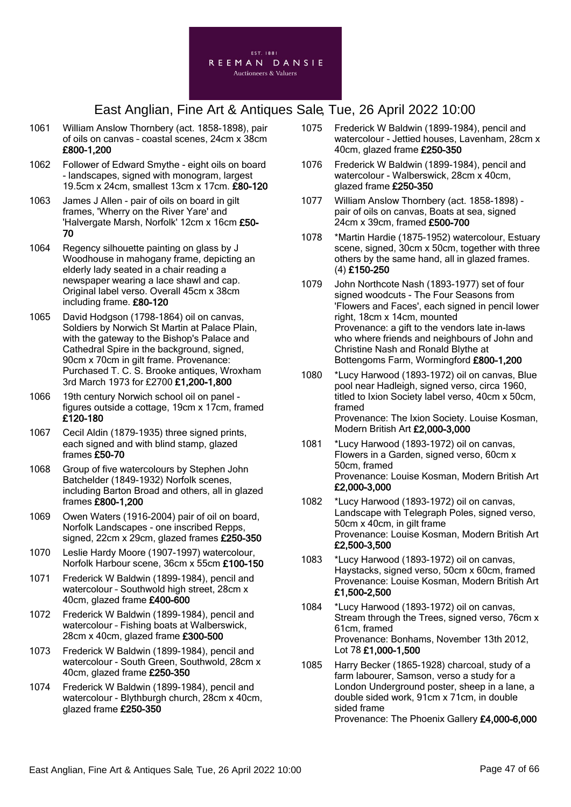

- 1061 William Anslow Thornbery (act. 1858-1898), pair of oils on canvas – coastal scenes, 24cm x 38cm £800-1,200
- 1062 Follower of Edward Smythe eight oils on board - landscapes, signed with monogram, largest 19.5cm x 24cm, smallest 13cm x 17cm. £80-120
- 1063 James J Allen pair of oils on board in gilt frames, 'Wherry on the River Yare' and 'Halvergate Marsh, Norfolk' 12cm x 16cm £50- 70
- 1064 Regency silhouette painting on glass by J Woodhouse in mahogany frame, depicting an elderly lady seated in a chair reading a newspaper wearing a lace shawl and cap. Original label verso. Overall 45cm x 38cm including frame. £80-120
- 1065 David Hodgson (1798-1864) oil on canvas, Soldiers by Norwich St Martin at Palace Plain, with the gateway to the Bishop's Palace and Cathedral Spire in the background, signed, 90cm x 70cm in gilt frame. Provenance: Purchased T. C. S. Brooke antiques, Wroxham 3rd March 1973 for £2700 £1,200-1,800
- 1066 19th century Norwich school oil on panel figures outside a cottage, 19cm x 17cm, framed £120-180
- 1067 Cecil Aldin (1879-1935) three signed prints, each signed and with blind stamp, glazed frames £50-70
- 1068 Group of five watercolours by Stephen John Batchelder (1849-1932) Norfolk scenes, including Barton Broad and others, all in glazed frames £800-1,200
- 1069 Owen Waters (1916-2004) pair of oil on board, Norfolk Landscapes - one inscribed Repps, signed, 22cm x 29cm, glazed frames £250-350
- 1070 Leslie Hardy Moore (1907-1997) watercolour, Norfolk Harbour scene, 36cm x 55cm £100-150
- 1071 Frederick W Baldwin (1899-1984), pencil and watercolour – Southwold high street, 28cm x 40cm, glazed frame £400-600
- 1072 Frederick W Baldwin (1899-1984), pencil and watercolour – Fishing boats at Walberswick, 28cm x 40cm, glazed frame £300-500
- 1073 Frederick W Baldwin (1899-1984), pencil and watercolour - South Green, Southwold, 28cm x 40cm, glazed frame £250-350
- 1074 Frederick W Baldwin (1899-1984), pencil and watercolour - Blythburgh church, 28cm x 40cm, glazed frame £250-350
- 1075 Frederick W Baldwin (1899-1984), pencil and watercolour - Jettied houses, Lavenham, 28cm x 40cm, glazed frame £250-350
- 1076 Frederick W Baldwin (1899-1984), pencil and watercolour - Walberswick, 28cm x 40cm, glazed frame £250-350
- 1077 William Anslow Thornbery (act. 1858-1898) pair of oils on canvas, Boats at sea, signed 24cm x 39cm, framed £500-700
- 1078 \*Martin Hardie (1875-1952) watercolour, Estuary scene, signed, 30cm x 50cm, together with three others by the same hand, all in glazed frames. (4) £150-250
- 1079 John Northcote Nash (1893-1977) set of four signed woodcuts - The Four Seasons from 'Flowers and Faces', each signed in pencil lower right, 18cm x 14cm, mounted Provenance: a gift to the vendors late in-laws who where friends and neighbours of John and Christine Nash and Ronald Blythe at Bottengoms Farm, Wormingford £800-1,200
- 1080 \*Lucy Harwood (1893-1972) oil on canvas, Blue pool near Hadleigh, signed verso, circa 1960, titled to Ixion Society label verso, 40cm x 50cm, framed Provenance: The Ixion Society. Louise Kosman, Modern British Art £2,000-3,000
- 1081 \*Lucy Harwood (1893-1972) oil on canvas, Flowers in a Garden, signed verso, 60cm x 50cm, framed Provenance: Louise Kosman, Modern British Art £2,000-3,000
- 1082 \*Lucy Harwood (1893-1972) oil on canvas, Landscape with Telegraph Poles, signed verso, 50cm x 40cm, in gilt frame Provenance: Louise Kosman, Modern British Art £2,500-3,500
- 1083 \*Lucy Harwood (1893-1972) oil on canvas, Haystacks, signed verso, 50cm x 60cm, framed Provenance: Louise Kosman, Modern British Art £1,500-2,500
- 1084 \*Lucy Harwood (1893-1972) oil on canvas, Stream through the Trees, signed verso, 76cm x 61cm, framed Provenance: Bonhams, November 13th 2012, Lot 78 £1,000-1,500
- 1085 Harry Becker (1865-1928) charcoal, study of a farm labourer, Samson, verso a study for a London Underground poster, sheep in a lane, a double sided work, 91cm x 71cm, in double sided frame Provenance: The Phoenix Gallery £4,000-6,000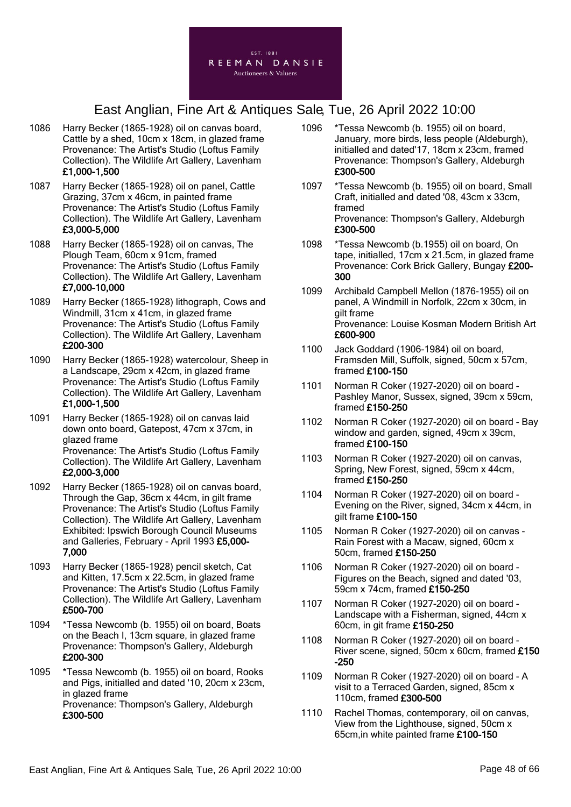

- 1086 Harry Becker (1865-1928) oil on canvas board, Cattle by a shed, 10cm x 18cm, in glazed frame Provenance: The Artist's Studio (Loftus Family Collection). The Wildlife Art Gallery, Lavenham £1,000-1,500
- 1087 Harry Becker (1865-1928) oil on panel, Cattle Grazing, 37cm x 46cm, in painted frame Provenance: The Artist's Studio (Loftus Family Collection). The Wildlife Art Gallery, Lavenham £3,000-5,000
- 1088 Harry Becker (1865-1928) oil on canvas, The Plough Team, 60cm x 91cm, framed Provenance: The Artist's Studio (Loftus Family Collection). The Wildlife Art Gallery, Lavenham £7,000-10,000
- 1089 Harry Becker (1865-1928) lithograph, Cows and Windmill, 31cm x 41cm, in glazed frame Provenance: The Artist's Studio (Loftus Family Collection). The Wildlife Art Gallery, Lavenham £200-300
- 1090 Harry Becker (1865-1928) watercolour, Sheep in a Landscape, 29cm x 42cm, in glazed frame Provenance: The Artist's Studio (Loftus Family Collection). The Wildlife Art Gallery, Lavenham £1,000-1,500
- 1091 Harry Becker (1865-1928) oil on canvas laid down onto board, Gatepost, 47cm x 37cm, in glazed frame Provenance: The Artist's Studio (Loftus Family Collection). The Wildlife Art Gallery, Lavenham £2,000-3,000
- 1092 Harry Becker (1865-1928) oil on canvas board, Through the Gap, 36cm x 44cm, in gilt frame Provenance: The Artist's Studio (Loftus Family Collection). The Wildlife Art Gallery, Lavenham Exhibited: Ipswich Borough Council Museums and Galleries, February - April 1993 £5,000- 7,000
- 1093 Harry Becker (1865-1928) pencil sketch, Cat and Kitten, 17.5cm x 22.5cm, in glazed frame Provenance: The Artist's Studio (Loftus Family Collection). The Wildlife Art Gallery, Lavenham £500-700
- 1094 \*Tessa Newcomb (b. 1955) oil on board, Boats on the Beach I, 13cm square, in glazed frame Provenance: Thompson's Gallery, Aldeburgh £200-300
- 1095 \*Tessa Newcomb (b. 1955) oil on board, Rooks and Pigs, initialled and dated '10, 20cm x 23cm, in glazed frame Provenance: Thompson's Gallery, Aldeburgh £300-500
- 1096 \*Tessa Newcomb (b. 1955) oil on board, January, more birds, less people (Aldeburgh), initialled and dated'17, 18cm x 23cm, framed Provenance: Thompson's Gallery, Aldeburgh £300-500
- 1097 \*Tessa Newcomb (b. 1955) oil on board, Small Craft, initialled and dated '08, 43cm x 33cm, framed Provenance: Thompson's Gallery, Aldeburgh £300-500
- 1098 \*Tessa Newcomb (b.1955) oil on board, On tape, initialled, 17cm x 21.5cm, in glazed frame Provenance: Cork Brick Gallery, Bungay £200- 300
- 1099 Archibald Campbell Mellon (1876-1955) oil on panel, A Windmill in Norfolk, 22cm x 30cm, in gilt frame Provenance: Louise Kosman Modern British Art £600-900
- 1100 Jack Goddard (1906-1984) oil on board, Framsden Mill, Suffolk, signed, 50cm x 57cm, framed £100-150
- 1101 Norman R Coker (1927-2020) oil on board Pashley Manor, Sussex, signed, 39cm x 59cm, framed £150-250
- 1102 Norman R Coker (1927-2020) oil on board Bay window and garden, signed, 49cm x 39cm, framed £100-150
- 1103 Norman R Coker (1927-2020) oil on canvas, Spring, New Forest, signed, 59cm x 44cm, framed £150-250
- 1104 Norman R Coker (1927-2020) oil on board Evening on the River, signed, 34cm x 44cm, in gilt frame £100-150
- 1105 Norman R Coker (1927-2020) oil on canvas Rain Forest with a Macaw, signed, 60cm x 50cm, framed £150-250
- 1106 Norman R Coker (1927-2020) oil on board Figures on the Beach, signed and dated '03, 59cm x 74cm, framed £150-250
- 1107 Norman R Coker (1927-2020) oil on board Landscape with a Fisherman, signed, 44cm x 60cm, in git frame £150-250
- 1108 Norman R Coker (1927-2020) oil on board River scene, signed, 50cm x 60cm, framed £150 -250
- 1109 Norman R Coker (1927-2020) oil on board A visit to a Terraced Garden, signed, 85cm x 110cm, framed £300-500
- 1110 Rachel Thomas, contemporary, oil on canvas, View from the Lighthouse, signed, 50cm x 65cm,in white painted frame £100-150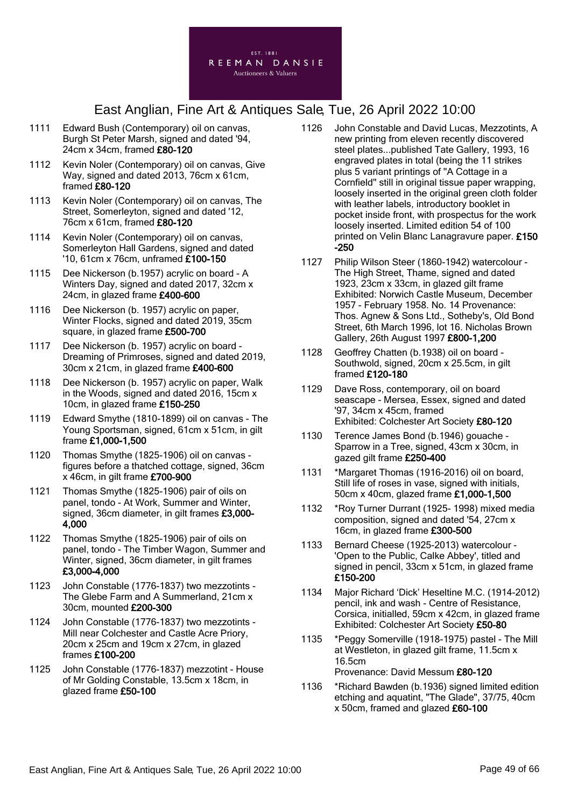

- 1111 Edward Bush (Contemporary) oil on canvas, Burgh St Peter Marsh, signed and dated '94, 24cm x 34cm, framed £80-120
- 1112 Kevin Noler (Contemporary) oil on canvas, Give Way, signed and dated 2013, 76cm x 61cm, framed £80-120
- 1113 Kevin Noler (Contemporary) oil on canvas, The Street, Somerleyton, signed and dated '12, 76cm x 61cm, framed £80-120
- 1114 Kevin Noler (Contemporary) oil on canvas, Somerleyton Hall Gardens, signed and dated '10, 61cm x 76cm, unframed £100-150
- 1115 Dee Nickerson (b.1957) acrylic on board A Winters Day, signed and dated 2017, 32cm x 24cm, in glazed frame £400-600
- 1116 Dee Nickerson (b. 1957) acrylic on paper, Winter Flocks, signed and dated 2019, 35cm square, in glazed frame £500-700
- 1117 Dee Nickerson (b. 1957) acrylic on board Dreaming of Primroses, signed and dated 2019, 30cm x 21cm, in glazed frame £400-600
- 1118 Dee Nickerson (b. 1957) acrylic on paper, Walk in the Woods, signed and dated 2016, 15cm x 10cm, in glazed frame £150-250
- 1119 Edward Smythe (1810-1899) oil on canvas The Young Sportsman, signed, 61cm x 51cm, in gilt frame £1,000-1,500
- 1120 Thomas Smythe (1825-1906) oil on canvas figures before a thatched cottage, signed, 36cm x 46cm, in gilt frame £700-900
- 1121 Thomas Smythe (1825-1906) pair of oils on panel, tondo - At Work, Summer and Winter, signed, 36cm diameter, in gilt frames £3,000- 4,000
- 1122 Thomas Smythe (1825-1906) pair of oils on panel, tondo - The Timber Wagon, Summer and Winter, signed, 36cm diameter, in gilt frames £3,000-4,000
- 1123 John Constable (1776-1837) two mezzotints The Glebe Farm and A Summerland, 21cm x 30cm, mounted £200-300
- 1124 John Constable (1776-1837) two mezzotints Mill near Colchester and Castle Acre Priory, 20cm x 25cm and 19cm x 27cm, in glazed frames £100-200
- 1125 John Constable (1776-1837) mezzotint House of Mr Golding Constable, 13.5cm x 18cm, in glazed frame £50-100
- 1126 John Constable and David Lucas, Mezzotints, A new printing from eleven recently discovered steel plates...published Tate Gallery, 1993, 16 engraved plates in total (being the 11 strikes plus 5 variant printings of ''A Cottage in a Cornfield'' still in original tissue paper wrapping, loosely inserted in the original green cloth folder with leather labels, introductory booklet in pocket inside front, with prospectus for the work loosely inserted. Limited edition 54 of 100 printed on Velin Blanc Lanagravure paper. £150 -250
- 1127 Philip Wilson Steer (1860-1942) watercolour The High Street, Thame, signed and dated 1923, 23cm x 33cm, in glazed gilt frame Exhibited: Norwich Castle Museum, December 1957 - February 1958. No. 14 Provenance: Thos. Agnew & Sons Ltd., Sotheby's, Old Bond Street, 6th March 1996, lot 16. Nicholas Brown Gallery, 26th August 1997 £800-1,200
- 1128 Geoffrey Chatten (b.1938) oil on board Southwold, signed, 20cm x 25.5cm, in gilt framed £120-180
- 1129 Dave Ross, contemporary, oil on board seascape - Mersea, Essex, signed and dated '97, 34cm x 45cm, framed Exhibited: Colchester Art Society £80-120
- 1130 Terence James Bond (b.1946) gouache Sparrow in a Tree, signed, 43cm x 30cm, in gazed gilt frame £250-400
- 1131 \*Margaret Thomas (1916-2016) oil on board, Still life of roses in vase, signed with initials, 50cm x 40cm, glazed frame £1,000-1,500
- 1132 \*Roy Turner Durrant (1925- 1998) mixed media composition, signed and dated '54, 27cm x 16cm, in glazed frame £300-500
- 1133 Bernard Cheese (1925-2013) watercolour 'Open to the Public, Calke Abbey', titled and signed in pencil, 33cm x 51cm, in glazed frame £150-200
- 1134 Major Richard 'Dick' Heseltine M.C. (1914-2012) pencil, ink and wash - Centre of Resistance, Corsica, initialled, 59cm x 42cm, in glazed frame Exhibited: Colchester Art Society £50-80
- 1135 \*Peggy Somerville (1918-1975) pastel The Mill at Westleton, in glazed gilt frame, 11.5cm x 16.5cm Provenance: David Messum £80-120
- 1136 \*Richard Bawden (b.1936) signed limited edition etching and aquatint, "The Glade", 37/75, 40cm x 50cm, framed and glazed £60-100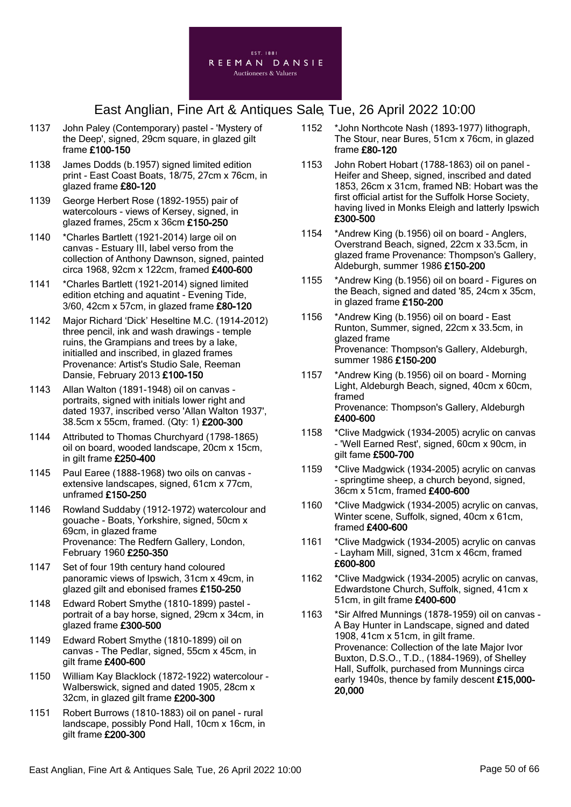

- 1137 John Paley (Contemporary) pastel 'Mystery of the Deep', signed, 29cm square, in glazed gilt frame £100-150
- 1138 James Dodds (b.1957) signed limited edition print - East Coast Boats, 18/75, 27cm x 76cm, in glazed frame £80-120
- 1139 George Herbert Rose (1892-1955) pair of watercolours - views of Kersey, signed, in glazed frames, 25cm x 36cm £150-250
- 1140 \*Charles Bartlett (1921-2014) large oil on canvas - Estuary III, label verso from the collection of Anthony Dawnson, signed, painted circa 1968, 92cm x 122cm, framed £400-600
- 1141 \*Charles Bartlett (1921-2014) signed limited edition etching and aquatint - Evening Tide, 3/60, 42cm x 57cm, in glazed frame £80-120
- 1142 Major Richard 'Dick' Heseltine M.C. (1914-2012) three pencil, ink and wash drawings - temple ruins, the Grampians and trees by a lake, initialled and inscribed, in glazed frames Provenance: Artist's Studio Sale, Reeman Dansie, February 2013 £100-150
- 1143 Allan Walton (1891-1948) oil on canvas portraits, signed with initials lower right and dated 1937, inscribed verso 'Allan Walton 1937', 38.5cm x 55cm, framed. (Qty: 1) £200-300
- 1144 Attributed to Thomas Churchyard (1798-1865) oil on board, wooded landscape, 20cm x 15cm, in gilt frame £250-400
- 1145 Paul Earee (1888-1968) two oils on canvas extensive landscapes, signed, 61cm x 77cm, unframed £150-250
- 1146 Rowland Suddaby (1912-1972) watercolour and gouache - Boats, Yorkshire, signed, 50cm x 69cm, in glazed frame Provenance: The Redfern Gallery, London, February 1960 £250-350
- 1147 Set of four 19th century hand coloured panoramic views of Ipswich, 31cm x 49cm, in glazed gilt and ebonised frames £150-250
- 1148 Edward Robert Smythe (1810-1899) pastel portrait of a bay horse, signed, 29cm x 34cm, in glazed frame £300-500
- 1149 Edward Robert Smythe (1810-1899) oil on canvas - The Pedlar, signed, 55cm x 45cm, in gilt frame £400-600
- 1150 William Kay Blacklock (1872-1922) watercolour Walberswick, signed and dated 1905, 28cm x 32cm, in glazed gilt frame £200-300
- 1151 Robert Burrows (1810-1883) oil on panel rural landscape, possibly Pond Hall, 10cm x 16cm, in gilt frame £200-300
- 1152 \*John Northcote Nash (1893-1977) lithograph, The Stour, near Bures, 51cm x 76cm, in glazed frame £80-120
- 1153 John Robert Hobart (1788-1863) oil on panel Heifer and Sheep, signed, inscribed and dated 1853, 26cm x 31cm, framed NB: Hobart was the first official artist for the Suffolk Horse Society, having lived in Monks Eleigh and latterly Ipswich £300-500
- 1154 \*Andrew King (b.1956) oil on board Anglers, Overstrand Beach, signed, 22cm x 33.5cm, in glazed frame Provenance: Thompson's Gallery, Aldeburgh, summer 1986 £150-200
- 1155 \*Andrew King (b.1956) oil on board Figures on the Beach, signed and dated '85, 24cm x 35cm, in glazed frame £150-200
- 1156 \*Andrew King (b.1956) oil on board East Runton, Summer, signed, 22cm x 33.5cm, in glazed frame Provenance: Thompson's Gallery, Aldeburgh, summer 1986 £150-200
- 1157 \*Andrew King (b.1956) oil on board Morning Light, Aldeburgh Beach, signed, 40cm x 60cm, framed Provenance: Thompson's Gallery, Aldeburgh £400-600
- 1158 \*Clive Madgwick (1934-2005) acrylic on canvas - 'Well Earned Rest', signed, 60cm x 90cm, in gilt fame £500-700
- 1159 \*Clive Madgwick (1934-2005) acrylic on canvas - springtime sheep, a church beyond, signed, 36cm x 51cm, framed £400-600
- 1160 \*Clive Madgwick (1934-2005) acrylic on canvas, Winter scene, Suffolk, signed, 40cm x 61cm, framed £400-600
- 1161 \*Clive Madgwick (1934-2005) acrylic on canvas - Layham Mill, signed, 31cm x 46cm, framed £600-800
- 1162 \*Clive Madgwick (1934-2005) acrylic on canvas, Edwardstone Church, Suffolk, signed, 41cm x 51cm, in gilt frame £400-600
- 1163 \*Sir Alfred Munnings (1878-1959) oil on canvas A Bay Hunter in Landscape, signed and dated 1908, 41cm x 51cm, in gilt frame. Provenance: Collection of the late Major Ivor Buxton, D.S.O., T.D., (1884-1969), of Shelley Hall, Suffolk, purchased from Munnings circa early 1940s, thence by family descent £15,000- 20,000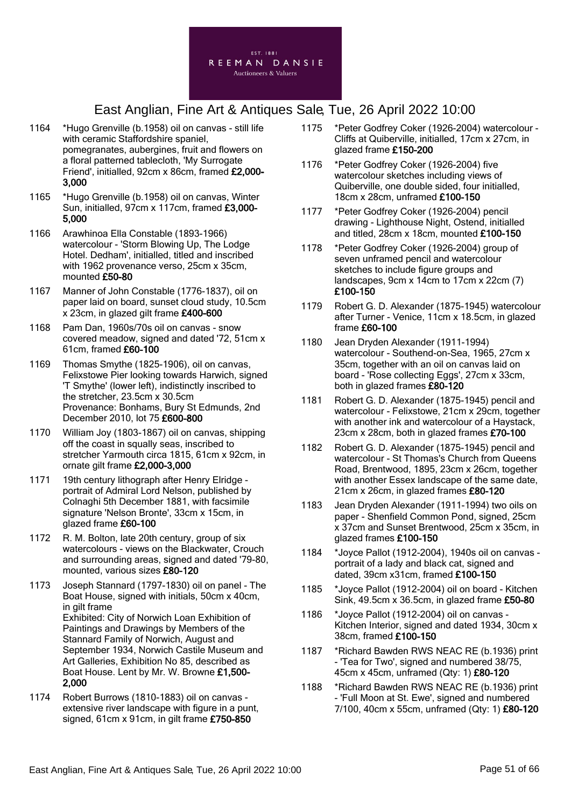

- 1164 \*Hugo Grenville (b.1958) oil on canvas still life with ceramic Staffordshire spaniel, pomegranates, aubergines, fruit and flowers on a floral patterned tablecloth, 'My Surrogate Friend', initialled, 92cm x 86cm, framed £2,000- 3,000
- 1165 \*Hugo Grenville (b.1958) oil on canvas, Winter Sun, initialled, 97cm x 117cm, framed £3,000- 5,000
- 1166 Arawhinoa Ella Constable (1893-1966) watercolour - 'Storm Blowing Up, The Lodge Hotel. Dedham', initialled, titled and inscribed with 1962 provenance verso, 25cm x 35cm, mounted £50-80
- 1167 Manner of John Constable (1776-1837), oil on paper laid on board, sunset cloud study, 10.5cm x 23cm, in glazed gilt frame £400-600
- 1168 Pam Dan, 1960s/70s oil on canvas snow covered meadow, signed and dated '72, 51cm x 61cm, framed £60-100
- 1169 Thomas Smythe (1825-1906), oil on canvas, Felixstowe Pier looking towards Harwich, signed 'T Smythe' (lower left), indistinctly inscribed to the stretcher, 23.5cm x 30.5cm Provenance: Bonhams, Bury St Edmunds, 2nd December 2010, lot 75 £600-800
- 1170 William Joy (1803-1867) oil on canvas, shipping off the coast in squally seas, inscribed to stretcher Yarmouth circa 1815, 61cm x 92cm, in ornate gilt frame £2,000-3,000
- 1171 19th century lithograph after Henry Elridge portrait of Admiral Lord Nelson, published by Colnaghi 5th December 1881, with facsimile signature 'Nelson Bronte', 33cm x 15cm, in glazed frame £60-100
- 1172 R. M. Bolton, late 20th century, group of six watercolours - views on the Blackwater, Crouch and surrounding areas, signed and dated '79-80, mounted, various sizes £80-120
- 1173 Joseph Stannard (1797-1830) oil on panel The Boat House, signed with initials, 50cm x 40cm, in gilt frame Exhibited: City of Norwich Loan Exhibition of Paintings and Drawings by Members of the Stannard Family of Norwich, August and September 1934, Norwich Castile Museum and Art Galleries, Exhibition No 85, described as Boat House. Lent by Mr. W. Browne £1,500- 2,000
- 1174 Robert Burrows (1810-1883) oil on canvas extensive river landscape with figure in a punt. signed, 61cm x 91cm, in gilt frame £750-850
- 1175 \*Peter Godfrey Coker (1926-2004) watercolour Cliffs at Quiberville, initialled, 17cm x 27cm, in glazed frame £150-200
- 1176 \*Peter Godfrey Coker (1926-2004) five watercolour sketches including views of Quiberville, one double sided, four initialled, 18cm x 28cm, unframed £100-150
- 1177 \*Peter Godfrey Coker (1926-2004) pencil drawing - Lighthouse Night, Ostend, initialled and titled, 28cm x 18cm, mounted £100-150
- 1178 \*Peter Godfrey Coker (1926-2004) group of seven unframed pencil and watercolour sketches to include figure groups and landscapes, 9cm x 14cm to 17cm x 22cm (7) £100-150
- 1179 Robert G. D. Alexander (1875-1945) watercolour after Turner - Venice, 11cm x 18.5cm, in glazed frame £60-100
- 1180 Jean Dryden Alexander (1911-1994) watercolour - Southend-on-Sea, 1965, 27cm x 35cm, together with an oil on canvas laid on board - 'Rose collecting Eggs', 27cm x 33cm, both in glazed frames £80-120
- 1181 Robert G. D. Alexander (1875-1945) pencil and watercolour - Felixstowe, 21cm x 29cm, together with another ink and watercolour of a Haystack, 23cm x 28cm, both in glazed frames £70-100
- 1182 Robert G. D. Alexander (1875-1945) pencil and watercolour - St Thomas's Church from Queens Road, Brentwood, 1895, 23cm x 26cm, together with another Essex landscape of the same date, 21cm x 26cm, in glazed frames £80-120
- 1183 Jean Dryden Alexander (1911-1994) two oils on paper - Shenfield Common Pond, signed, 25cm x 37cm and Sunset Brentwood, 25cm x 35cm, in glazed frames £100-150
- 1184 \*Joyce Pallot (1912-2004), 1940s oil on canvas portrait of a lady and black cat, signed and dated, 39cm x31cm, framed £100-150
- 1185 \*Joyce Pallot (1912-2004) oil on board Kitchen Sink, 49.5cm x 36.5cm, in glazed frame £50-80
- 1186 \*Joyce Pallot (1912-2004) oil on canvas Kitchen Interior, signed and dated 1934, 30cm x 38cm, framed £100-150
- 1187 \*Richard Bawden RWS NEAC RE (b.1936) print - 'Tea for Two', signed and numbered 38/75, 45cm x 45cm, unframed (Qty: 1) £80-120
- 1188 \*Richard Bawden RWS NEAC RE (b.1936) print - 'Full Moon at St. Ewe', signed and numbered 7/100, 40cm x 55cm, unframed (Qty: 1) £80-120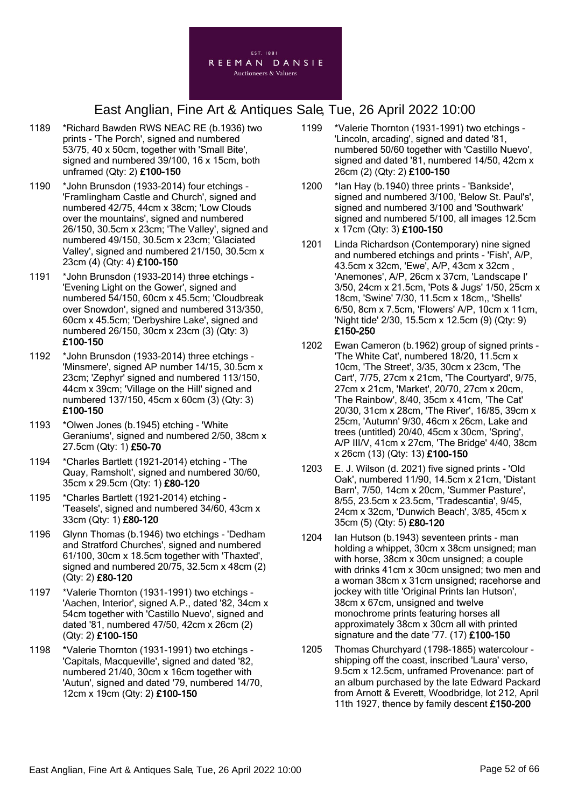

- 1189 \*Richard Bawden RWS NEAC RE (b.1936) two prints - 'The Porch', signed and numbered 53/75, 40 x 50cm, together with 'Small Bite', signed and numbered 39/100, 16 x 15cm, both unframed (Qty: 2) £100-150
- 1190 \*John Brunsdon (1933-2014) four etchings 'Framlingham Castle and Church', signed and numbered 42/75, 44cm x 38cm; 'Low Clouds over the mountains', signed and numbered 26/150, 30.5cm x 23cm; 'The Valley', signed and numbered 49/150, 30.5cm x 23cm; 'Glaciated Valley', signed and numbered 21/150, 30.5cm x 23cm (4) (Qty: 4) £100-150
- 1191 \*John Brunsdon (1933-2014) three etchings 'Evening Light on the Gower', signed and numbered 54/150, 60cm x 45.5cm; 'Cloudbreak over Snowdon', signed and numbered 313/350, 60cm x 45.5cm; 'Derbyshire Lake', signed and numbered 26/150, 30cm x 23cm (3) (Qty: 3) £100-150
- 1192 \*John Brunsdon (1933-2014) three etchings 'Minsmere', signed AP number 14/15, 30.5cm x 23cm; 'Zephyr' signed and numbered 113/150, 44cm x 39cm; 'Village on the Hill' signed and numbered 137/150, 45cm x 60cm (3) (Qty: 3) £100-150
- 1193 \*Olwen Jones (b.1945) etching 'White Geraniums', signed and numbered 2/50, 38cm x 27.5cm (Qty: 1) £50-70
- 1194 \*Charles Bartlett (1921-2014) etching 'The Quay, Ramsholt', signed and numbered 30/60, 35cm x 29.5cm (Qty: 1) £80-120
- 1195 \*Charles Bartlett (1921-2014) etching 'Teasels', signed and numbered 34/60, 43cm x 33cm (Qty: 1) £80-120
- 1196 Glynn Thomas (b.1946) two etchings 'Dedham and Stratford Churches', signed and numbered 61/100, 30cm x 18.5cm together with 'Thaxted', signed and numbered 20/75, 32.5cm x 48cm (2) (Qty: 2) £80-120
- 1197 \*Valerie Thornton (1931-1991) two etchings 'Aachen, Interior', signed A.P., dated '82, 34cm x 54cm together with 'Castillo Nuevo', signed and dated '81, numbered 47/50, 42cm x 26cm (2) (Qty: 2) £100-150
- 1198 \*Valerie Thornton (1931-1991) two etchings 'Capitals, Macqueville', signed and dated '82, numbered 21/40, 30cm x 16cm together with 'Autun', signed and dated '79, numbered 14/70, 12cm x 19cm (Qty: 2) £100-150
- 1199 \*Valerie Thornton (1931-1991) two etchings 'Lincoln, arcading', signed and dated '81, numbered 50/60 together with 'Castillo Nuevo', signed and dated '81, numbered 14/50, 42cm x 26cm (2) (Qty: 2) £100-150
- 1200 \*Ian Hay (b.1940) three prints 'Bankside', signed and numbered 3/100, 'Below St. Paul's', signed and numbered 3/100 and 'Southwark' signed and numbered 5/100, all images 12.5cm x 17cm (Qty: 3) £100-150
- 1201 Linda Richardson (Contemporary) nine signed and numbered etchings and prints - 'Fish', A/P, 43.5cm x 32cm, 'Ewe', A/P, 43cm x 32cm , 'Anemones', A/P, 26cm x 37cm, 'Landscape I' 3/50, 24cm x 21.5cm, 'Pots & Jugs' 1/50, 25cm x 18cm, 'Swine' 7/30, 11.5cm x 18cm,, 'Shells' 6/50, 8cm x 7.5cm, 'Flowers' A/P, 10cm x 11cm, 'Night tide' 2/30, 15.5cm x 12.5cm (9) (Qty: 9) £150-250
- 1202 Ewan Cameron (b.1962) group of signed prints 'The White Cat', numbered 18/20, 11.5cm x 10cm, 'The Street', 3/35, 30cm x 23cm, 'The Cart', 7/75, 27cm x 21cm, 'The Courtyard', 9/75, 27cm x 21cm, 'Market', 20/70, 27cm x 20cm, 'The Rainbow', 8/40, 35cm x 41cm, 'The Cat' 20/30, 31cm x 28cm, 'The River', 16/85, 39cm x 25cm, 'Autumn' 9/30, 46cm x 26cm, Lake and trees (untitled) 20/40, 45cm x 30cm, 'Spring', A/P III/V, 41cm x 27cm, 'The Bridge' 4/40, 38cm x 26cm (13) (Qty: 13) £100-150
- 1203 E. J. Wilson (d. 2021) five signed prints 'Old Oak', numbered 11/90, 14.5cm x 21cm, 'Distant Barn', 7/50, 14cm x 20cm, 'Summer Pasture', 8/55, 23.5cm x 23.5cm, 'Tradescantia', 9/45, 24cm x 32cm, 'Dunwich Beach', 3/85, 45cm x 35cm (5) (Qty: 5) £80-120
- 1204 Ian Hutson (b.1943) seventeen prints man holding a whippet, 30cm x 38cm unsigned; man with horse, 38cm x 30cm unsigned; a couple with drinks 41cm x 30cm unsigned; two men and a woman 38cm x 31cm unsigned; racehorse and jockey with title 'Original Prints Ian Hutson', 38cm x 67cm, unsigned and twelve monochrome prints featuring horses all approximately 38cm x 30cm all with printed signature and the date '77. (17) £100-150
- 1205 Thomas Churchyard (1798-1865) watercolour shipping off the coast, inscribed 'Laura' verso, 9.5cm x 12.5cm, unframed Provenance: part of an album purchased by the late Edward Packard from Arnott & Everett, Woodbridge, lot 212, April 11th 1927, thence by family descent £150-200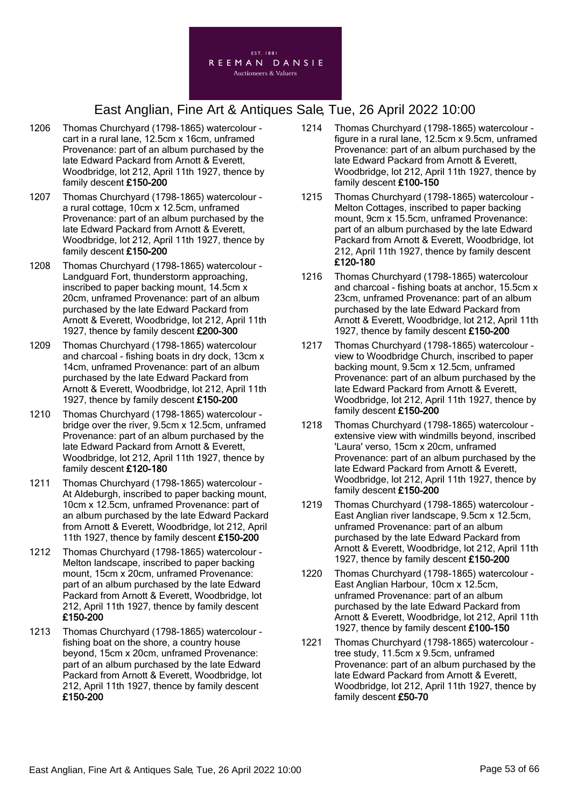

- 1206 Thomas Churchyard (1798-1865) watercolour cart in a rural lane, 12.5cm x 16cm, unframed Provenance: part of an album purchased by the late Edward Packard from Arnott & Everett, Woodbridge, lot 212, April 11th 1927, thence by family descent £150-200
- 1207 Thomas Churchyard (1798-1865) watercolour a rural cottage, 10cm x 12.5cm, unframed Provenance: part of an album purchased by the late Edward Packard from Arnott & Everett, Woodbridge, lot 212, April 11th 1927, thence by family descent £150-200
- 1208 Thomas Churchyard (1798-1865) watercolour Landguard Fort, thunderstorm approaching, inscribed to paper backing mount, 14.5cm x 20cm, unframed Provenance: part of an album purchased by the late Edward Packard from Arnott & Everett, Woodbridge, lot 212, April 11th 1927, thence by family descent £200-300
- 1209 Thomas Churchyard (1798-1865) watercolour and charcoal - fishing boats in dry dock, 13cm x 14cm, unframed Provenance: part of an album purchased by the late Edward Packard from Arnott & Everett, Woodbridge, lot 212, April 11th 1927, thence by family descent £150-200
- 1210 Thomas Churchyard (1798-1865) watercolour bridge over the river, 9.5cm x 12.5cm, unframed Provenance: part of an album purchased by the late Edward Packard from Arnott & Everett, Woodbridge, lot 212, April 11th 1927, thence by family descent £120-180
- 1211 Thomas Churchyard (1798-1865) watercolour At Aldeburgh, inscribed to paper backing mount, 10cm x 12.5cm, unframed Provenance: part of an album purchased by the late Edward Packard from Arnott & Everett, Woodbridge, lot 212, April 11th 1927, thence by family descent £150-200
- 1212 Thomas Churchyard (1798-1865) watercolour Melton landscape, inscribed to paper backing mount, 15cm x 20cm, unframed Provenance: part of an album purchased by the late Edward Packard from Arnott & Everett, Woodbridge, lot 212, April 11th 1927, thence by family descent £150-200
- 1213 Thomas Churchyard (1798-1865) watercolour fishing boat on the shore, a country house beyond, 15cm x 20cm, unframed Provenance: part of an album purchased by the late Edward Packard from Arnott & Everett, Woodbridge, lot 212, April 11th 1927, thence by family descent £150-200
- 1214 Thomas Churchyard (1798-1865) watercolour figure in a rural lane, 12.5cm x 9.5cm, unframed Provenance: part of an album purchased by the late Edward Packard from Arnott & Everett, Woodbridge, lot 212, April 11th 1927, thence by family descent £100-150
- 1215 Thomas Churchyard (1798-1865) watercolour Melton Cottages, inscribed to paper backing mount, 9cm x 15.5cm, unframed Provenance: part of an album purchased by the late Edward Packard from Arnott & Everett, Woodbridge, lot 212, April 11th 1927, thence by family descent £120-180
- 1216 Thomas Churchyard (1798-1865) watercolour and charcoal - fishing boats at anchor, 15.5cm x 23cm, unframed Provenance: part of an album purchased by the late Edward Packard from Arnott & Everett, Woodbridge, lot 212, April 11th 1927, thence by family descent £150-200
- 1217 Thomas Churchyard (1798-1865) watercolour view to Woodbridge Church, inscribed to paper backing mount, 9.5cm x 12.5cm, unframed Provenance: part of an album purchased by the late Edward Packard from Arnott & Everett, Woodbridge, lot 212, April 11th 1927, thence by family descent £150-200
- 1218 Thomas Churchyard (1798-1865) watercolour extensive view with windmills beyond, inscribed 'Laura' verso, 15cm x 20cm, unframed Provenance: part of an album purchased by the late Edward Packard from Arnott & Everett, Woodbridge, lot 212, April 11th 1927, thence by family descent £150-200
- 1219 Thomas Churchyard (1798-1865) watercolour East Anglian river landscape, 9.5cm x 12.5cm, unframed Provenance: part of an album purchased by the late Edward Packard from Arnott & Everett, Woodbridge, lot 212, April 11th 1927, thence by family descent £150-200
- 1220 Thomas Churchyard (1798-1865) watercolour East Anglian Harbour, 10cm x 12.5cm, unframed Provenance: part of an album purchased by the late Edward Packard from Arnott & Everett, Woodbridge, lot 212, April 11th 1927, thence by family descent £100-150
- 1221 Thomas Churchyard (1798-1865) watercolour tree study, 11.5cm x 9.5cm, unframed Provenance: part of an album purchased by the late Edward Packard from Arnott & Everett, Woodbridge, lot 212, April 11th 1927, thence by family descent £50-70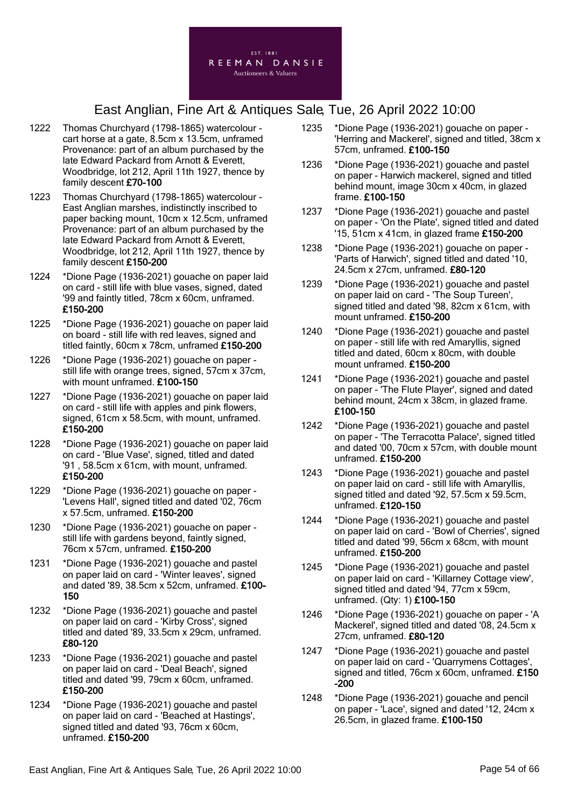

- 1222 Thomas Churchyard (1798-1865) watercolour cart horse at a gate, 8.5cm x 13.5cm, unframed Provenance: part of an album purchased by the late Edward Packard from Arnott & Everett, Woodbridge, lot 212, April 11th 1927, thence by family descent £70-100
- 1223 Thomas Churchyard (1798-1865) watercolour East Anglian marshes, indistinctly inscribed to paper backing mount, 10cm x 12.5cm, unframed Provenance: part of an album purchased by the late Edward Packard from Arnott & Everett, Woodbridge, lot 212, April 11th 1927, thence by family descent £150-200
- 1224 \*Dione Page (1936-2021) gouache on paper laid on card - still life with blue vases, signed, dated '99 and faintly titled, 78cm x 60cm, unframed. £150-200
- 1225 \*Dione Page (1936-2021) gouache on paper laid on board - still life with red leaves, signed and titled faintly, 60cm x 78cm, unframed £150-200
- 1226 \*Dione Page (1936-2021) gouache on paper still life with orange trees, signed, 57cm x 37cm, with mount unframed. £100-150
- 1227 \*Dione Page (1936-2021) gouache on paper laid on card - still life with apples and pink flowers, signed, 61cm x 58.5cm, with mount, unframed. £150-200
- 1228 \*Dione Page (1936-2021) gouache on paper laid on card - 'Blue Vase', signed, titled and dated '91 , 58.5cm x 61cm, with mount, unframed. £150-200
- 1229 \*Dione Page (1936-2021) gouache on paper 'Levens Hall', signed titled and dated '02, 76cm x 57.5cm, unframed. £150-200
- 1230 \*Dione Page (1936-2021) gouache on paper still life with gardens beyond, faintly signed, 76cm x 57cm, unframed. £150-200
- 1231 \*Dione Page (1936-2021) gouache and pastel on paper laid on card - 'Winter leaves', signed and dated '89, 38.5cm x 52cm, unframed. £100- 150
- 1232 \*Dione Page (1936-2021) gouache and pastel on paper laid on card - 'Kirby Cross', signed titled and dated '89, 33.5cm x 29cm, unframed. £80-120
- 1233 \*Dione Page (1936-2021) gouache and pastel on paper laid on card - 'Deal Beach', signed titled and dated '99, 79cm x 60cm, unframed. £150-200
- 1234 \*Dione Page (1936-2021) gouache and pastel on paper laid on card - 'Beached at Hastings', signed titled and dated '93, 76cm x 60cm, unframed. £150-200
- 1235 \*Dione Page (1936-2021) gouache on paper 'Herring and Mackerel', signed and titled, 38cm x 57cm, unframed. £100-150
- 1236 \*Dione Page (1936-2021) gouache and pastel on paper - Harwich mackerel, signed and titled behind mount, image 30cm x 40cm, in glazed frame. £100-150
- 1237 \*Dione Page (1936-2021) gouache and pastel on paper - 'On the Plate', signed titled and dated '15, 51cm x 41cm, in glazed frame £150-200
- 1238 \*Dione Page (1936-2021) gouache on paper 'Parts of Harwich', signed titled and dated '10, 24.5cm x 27cm, unframed. £80-120
- 1239 \*Dione Page (1936-2021) gouache and pastel on paper laid on card - 'The Soup Tureen', signed titled and dated '98, 82cm x 61cm, with mount unframed. £150-200
- 1240 \*Dione Page (1936-2021) gouache and pastel on paper - still life with red Amaryllis, signed titled and dated, 60cm x 80cm, with double mount unframed. £150-200
- 1241 \*Dione Page (1936-2021) gouache and pastel on paper - 'The Flute Player', signed and dated behind mount, 24cm x 38cm, in glazed frame. £100-150
- 1242 \*Dione Page (1936-2021) gouache and pastel on paper - 'The Terracotta Palace', signed titled and dated '00, 70cm x 57cm, with double mount unframed. £150-200
- 1243 \*Dione Page (1936-2021) gouache and pastel on paper laid on card - still life with Amaryllis, signed titled and dated '92, 57.5cm x 59.5cm, unframed. £120-150
- 1244 \*Dione Page (1936-2021) gouache and pastel on paper laid on card - 'Bowl of Cherries', signed titled and dated '99, 56cm x 68cm, with mount unframed. £150-200
- 1245 \*Dione Page (1936-2021) gouache and pastel on paper laid on card - 'Killarney Cottage view', signed titled and dated '94, 77cm x 59cm, unframed. (Qty: 1) £100-150
- 1246 \*Dione Page (1936-2021) gouache on paper 'A Mackerel', signed titled and dated '08, 24.5cm x 27cm, unframed. £80-120
- 1247 \*Dione Page (1936-2021) gouache and pastel on paper laid on card - 'Quarrymens Cottages', signed and titled, 76cm x 60cm, unframed. £150 -200
- 1248 \*Dione Page (1936-2021) gouache and pencil on paper - 'Lace', signed and dated '12, 24cm x 26.5cm, in glazed frame. £100-150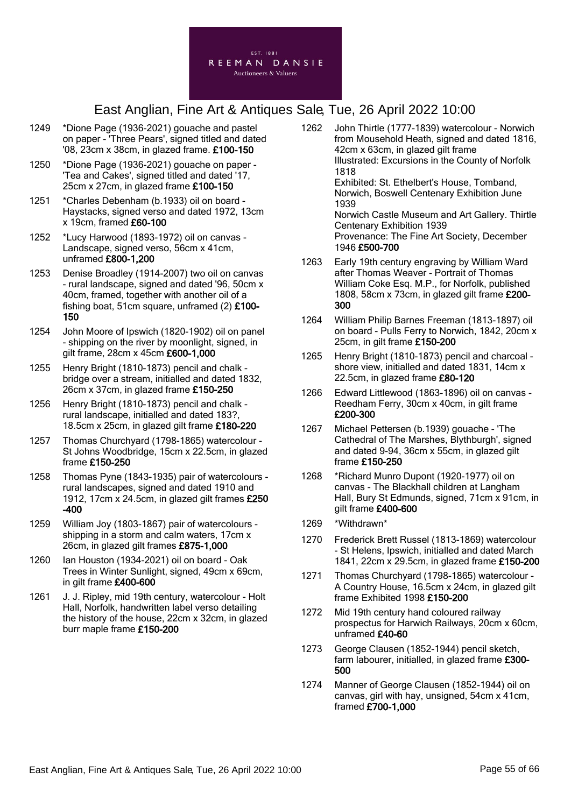

- 1249 \*Dione Page (1936-2021) gouache and pastel on paper - 'Three Pears', signed titled and dated '08, 23cm x 38cm, in glazed frame. £100-150
- 1250 \*Dione Page (1936-2021) gouache on paper 'Tea and Cakes', signed titled and dated '17, 25cm x 27cm, in glazed frame £100-150
- 1251 \*Charles Debenham (b.1933) oil on board Haystacks, signed verso and dated 1972, 13cm x 19cm, framed £60-100
- 1252 \*Lucy Harwood (1893-1972) oil on canvas Landscape, signed verso, 56cm x 41cm, unframed £800-1,200
- 1253 Denise Broadley (1914-2007) two oil on canvas - rural landscape, signed and dated '96, 50cm x 40cm, framed, together with another oil of a fishing boat, 51cm square, unframed (2) £100- 150
- 1254 John Moore of Ipswich (1820-1902) oil on panel - shipping on the river by moonlight, signed, in gilt frame, 28cm x 45cm £600-1,000
- 1255 Henry Bright (1810-1873) pencil and chalk bridge over a stream, initialled and dated 1832, 26cm x 37cm, in glazed frame £150-250
- 1256 Henry Bright (1810-1873) pencil and chalk rural landscape, initialled and dated 183?, 18.5cm x 25cm, in glazed gilt frame £180-220
- 1257 Thomas Churchyard (1798-1865) watercolour St Johns Woodbridge, 15cm x 22.5cm, in glazed frame £150-250
- 1258 Thomas Pyne (1843-1935) pair of watercolours rural landscapes, signed and dated 1910 and 1912, 17cm x 24.5cm, in glazed gilt frames £250 -400
- 1259 William Joy (1803-1867) pair of watercolours shipping in a storm and calm waters, 17cm x 26cm, in glazed gilt frames £875-1,000
- 1260 Ian Houston (1934-2021) oil on board Oak Trees in Winter Sunlight, signed, 49cm x 69cm, in gilt frame £400-600
- 1261 J. J. Ripley, mid 19th century, watercolour Holt Hall, Norfolk, handwritten label verso detailing the history of the house, 22cm x 32cm, in glazed burr maple frame £150-200
- 1262 John Thirtle (1777-1839) watercolour Norwich from Mousehold Heath, signed and dated 1816, 42cm x 63cm, in glazed gilt frame Illustrated: Excursions in the County of Norfolk 1818 Exhibited: St. Ethelbert's House, Tomband, Norwich, Boswell Centenary Exhibition June 1939 Norwich Castle Museum and Art Gallery. Thirtle Centenary Exhibition 1939 Provenance: The Fine Art Society, December 1946 £500-700 1263 Early 19th century engraving by William Ward
	- after Thomas Weaver Portrait of Thomas William Coke Esq. M.P., for Norfolk, published 1808, 58cm x 73cm, in glazed gilt frame £200- 300
	- 1264 William Philip Barnes Freeman (1813-1897) oil on board - Pulls Ferry to Norwich, 1842, 20cm x 25cm, in gilt frame £150-200
	- 1265 Henry Bright (1810-1873) pencil and charcoal shore view, initialled and dated 1831, 14cm x 22.5cm, in glazed frame £80-120
	- 1266 Edward Littlewood (1863-1896) oil on canvas Reedham Ferry, 30cm x 40cm, in gilt frame £200-300
	- 1267 Michael Pettersen (b.1939) gouache 'The Cathedral of The Marshes, Blythburgh', signed and dated 9-94, 36cm x 55cm, in glazed gilt frame £150-250
	- 1268 \*Richard Munro Dupont (1920-1977) oil on canvas - The Blackhall children at Langham Hall, Bury St Edmunds, signed, 71cm x 91cm, in gilt frame £400-600
	- 1269 \*Withdrawn\*
	- 1270 Frederick Brett Russel (1813-1869) watercolour - St Helens, Ipswich, initialled and dated March 1841, 22cm x 29.5cm, in glazed frame £150-200
	- 1271 Thomas Churchyard (1798-1865) watercolour A Country House, 16.5cm x 24cm, in glazed gilt frame Exhibited 1998 £150-200
	- 1272 Mid 19th century hand coloured railway prospectus for Harwich Railways, 20cm x 60cm, unframed £40-60
	- 1273 George Clausen (1852-1944) pencil sketch, farm labourer, initialled, in glazed frame £300- 500
	- 1274 Manner of George Clausen (1852-1944) oil on canvas, girl with hay, unsigned, 54cm x 41cm, framed £700-1,000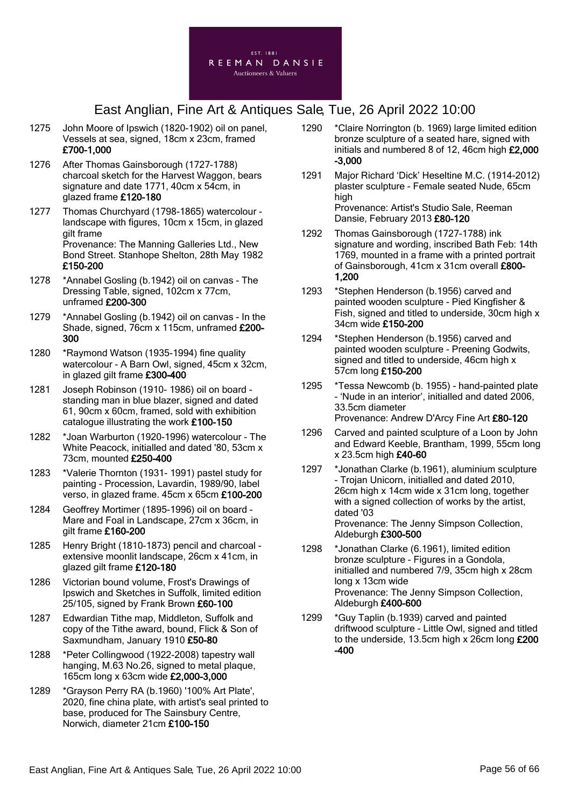

- 1275 John Moore of Ipswich (1820-1902) oil on panel, Vessels at sea, signed, 18cm x 23cm, framed £700-1,000
- 1276 After Thomas Gainsborough (1727-1788) charcoal sketch for the Harvest Waggon, bears signature and date 1771, 40cm x 54cm, in glazed frame £120-180
- 1277 Thomas Churchyard (1798-1865) watercolour landscape with figures, 10cm x 15cm, in glazed gilt frame Provenance: The Manning Galleries Ltd., New Bond Street. Stanhope Shelton, 28th May 1982 £150-200
- 1278 \*Annabel Gosling (b.1942) oil on canvas The Dressing Table, signed, 102cm x 77cm, unframed £200-300
- 1279 \*Annabel Gosling (b.1942) oil on canvas In the Shade, signed, 76cm x 115cm, unframed £200- 300
- 1280 \*Raymond Watson (1935-1994) fine quality watercolour - A Barn Owl, signed, 45cm x 32cm, in glazed gilt frame £300-400
- 1281 Joseph Robinson (1910- 1986) oil on board standing man in blue blazer, signed and dated 61, 90cm x 60cm, framed, sold with exhibition catalogue illustrating the work £100-150
- 1282 \*Joan Warburton (1920-1996) watercolour The White Peacock, initialled and dated '80, 53cm x 73cm, mounted £250-400
- 1283 \*Valerie Thornton (1931- 1991) pastel study for painting - Procession, Lavardin, 1989/90, label verso, in glazed frame. 45cm x 65cm £100-200
- 1284 Geoffrey Mortimer (1895-1996) oil on board Mare and Foal in Landscape, 27cm x 36cm, in gilt frame £160-200
- 1285 Henry Bright (1810-1873) pencil and charcoal extensive moonlit landscape, 26cm x 41cm, in glazed gilt frame £120-180
- 1286 Victorian bound volume, Frost's Drawings of Ipswich and Sketches in Suffolk, limited edition 25/105, signed by Frank Brown £60-100
- 1287 Edwardian Tithe map, Middleton, Suffolk and copy of the Tithe award, bound, Flick & Son of Saxmundham, January 1910 £50-80
- 1288 \*Peter Collingwood (1922-2008) tapestry wall hanging, M.63 No.26, signed to metal plaque, 165cm long x 63cm wide £2,000-3,000
- 1289 \*Grayson Perry RA (b.1960) '100% Art Plate', 2020, fine china plate, with artist's seal printed to base, produced for The Sainsbury Centre, Norwich, diameter 21cm £100-150
- 1290 \*Claire Norrington (b. 1969) large limited edition bronze sculpture of a seated hare, signed with initials and numbered 8 of 12, 46cm high £2,000 -3,000
- 1291 Major Richard 'Dick' Heseltine M.C. (1914-2012) plaster sculpture - Female seated Nude, 65cm high Provenance: Artist's Studio Sale, Reeman Dansie, February 2013 £80-120
- 1292 Thomas Gainsborough (1727-1788) ink signature and wording, inscribed Bath Feb: 14th 1769, mounted in a frame with a printed portrait of Gainsborough, 41cm x 31cm overall £800-1,200
- 1293 \*Stephen Henderson (b.1956) carved and painted wooden sculpture - Pied Kingfisher & Fish, signed and titled to underside, 30cm high x 34cm wide £150-200
- 1294 \*Stephen Henderson (b.1956) carved and painted wooden sculpture - Preening Godwits, signed and titled to underside, 46cm high x 57cm long £150-200
- 1295 \*Tessa Newcomb (b. 1955) hand-painted plate - 'Nude in an interior', initialled and dated 2006, 33.5cm diameter Provenance: Andrew D'Arcy Fine Art £80-120
- 1296 Carved and painted sculpture of a Loon by John and Edward Keeble, Brantham, 1999, 55cm long x 23.5cm high £40-60
- 1297 \*Jonathan Clarke (b.1961), aluminium sculpture - Trojan Unicorn, initialled and dated 2010, 26cm high x 14cm wide x 31cm long, together with a signed collection of works by the artist, dated '03 Provenance: The Jenny Simpson Collection, Aldeburgh £300-500
- 1298 \*Jonathan Clarke (6.1961), limited edition bronze sculpture - Figures in a Gondola, initialled and numbered 7/9, 35cm high x 28cm long x 13cm wide Provenance: The Jenny Simpson Collection, Aldeburgh £400-600
- 1299 \*Guy Taplin (b.1939) carved and painted driftwood sculpture - Little Owl, signed and titled to the underside, 13.5cm high x 26cm long £200 -400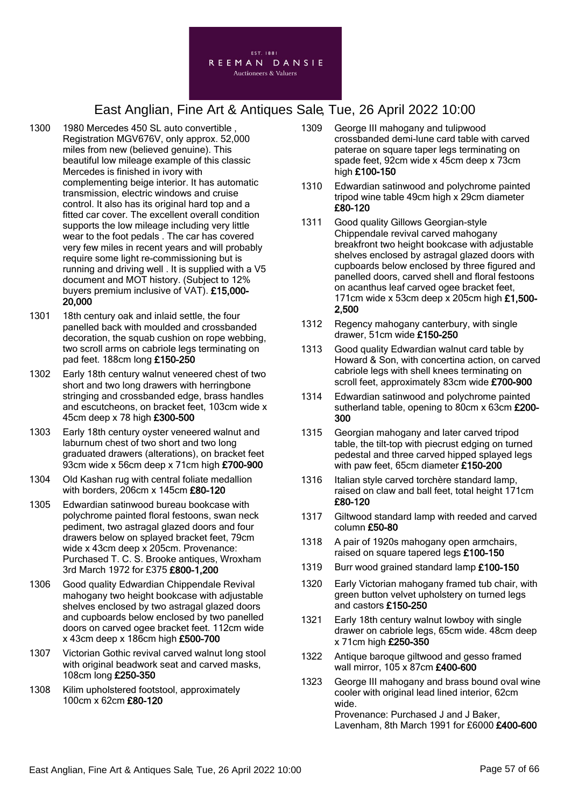

- 1300 1980 Mercedes 450 SL auto convertible Registration MGV676V, only approx. 52,000 miles from new (believed genuine). This beautiful low mileage example of this classic Mercedes is finished in ivory with complementing beige interior. It has automatic transmission, electric windows and cruise control. It also has its original hard top and a fitted car cover. The excellent overall condition supports the low mileage including very little wear to the foot pedals . The car has covered very few miles in recent years and will probably require some light re-commissioning but is running and driving well . It is supplied with a V5 document and MOT history. (Subject to 12% buyers premium inclusive of VAT). £15,000- 20,000
- 1301 18th century oak and inlaid settle, the four panelled back with moulded and crossbanded decoration, the squab cushion on rope webbing, two scroll arms on cabriole legs terminating on pad feet. 188cm long £150-250
- 1302 Early 18th century walnut veneered chest of two short and two long drawers with herringbone stringing and crossbanded edge, brass handles and escutcheons, on bracket feet, 103cm wide x 45cm deep x 78 high £300-500
- 1303 Early 18th century oyster veneered walnut and laburnum chest of two short and two long graduated drawers (alterations), on bracket feet 93cm wide x 56cm deep x 71cm high £700-900
- 1304 Old Kashan rug with central foliate medallion with borders, 206cm x 145cm £80-120
- 1305 Edwardian satinwood bureau bookcase with polychrome painted floral festoons, swan neck pediment, two astragal glazed doors and four drawers below on splayed bracket feet, 79cm wide x 43cm deep x 205cm. Provenance: Purchased T. C. S. Brooke antiques, Wroxham 3rd March 1972 for £375 £800-1,200
- 1306 Good quality Edwardian Chippendale Revival mahogany two height bookcase with adjustable shelves enclosed by two astragal glazed doors and cupboards below enclosed by two panelled doors on carved ogee bracket feet. 112cm wide x 43cm deep x 186cm high £500-700
- 1307 Victorian Gothic revival carved walnut long stool with original beadwork seat and carved masks, 108cm long £250-350
- 1308 Kilim upholstered footstool, approximately 100cm x 62cm £80-120
- 1309 George III mahogany and tulipwood crossbanded demi-lune card table with carved paterae on square taper legs terminating on spade feet, 92cm wide x 45cm deep x 73cm high £100-150
- 1310 Edwardian satinwood and polychrome painted tripod wine table 49cm high x 29cm diameter £80-120
- 1311 Good quality Gillows Georgian-style Chippendale revival carved mahogany breakfront two height bookcase with adjustable shelves enclosed by astragal glazed doors with cupboards below enclosed by three figured and panelled doors, carved shell and floral festoons on acanthus leaf carved ogee bracket feet, 171cm wide x 53cm deep x 205cm high £1,500- 2,500
- 1312 Regency mahogany canterbury, with single drawer, 51cm wide £150-250
- 1313 Good quality Edwardian walnut card table by Howard & Son, with concertina action, on carved cabriole legs with shell knees terminating on scroll feet, approximately 83cm wide £700-900
- 1314 Edwardian satinwood and polychrome painted sutherland table, opening to 80cm x 63cm £200- 300
- 1315 Georgian mahogany and later carved tripod table, the tilt-top with piecrust edging on turned pedestal and three carved hipped splayed legs with paw feet, 65cm diameter £150-200
- 1316 Italian style carved torchère standard lamp, raised on claw and ball feet, total height 171cm £80-120
- 1317 Giltwood standard lamp with reeded and carved column £50-80
- 1318 A pair of 1920s mahogany open armchairs, raised on square tapered legs £100-150
- 1319 Burr wood grained standard lamp £100-150
- 1320 Early Victorian mahogany framed tub chair, with green button velvet upholstery on turned legs and castors £150-250
- 1321 Early 18th century walnut lowboy with single drawer on cabriole legs, 65cm wide. 48cm deep x 71cm high £250-350
- 1322 Antique baroque giltwood and gesso framed wall mirror, 105 x 87cm £400-600
- 1323 George III mahogany and brass bound oval wine cooler with original lead lined interior, 62cm wide. Provenance: Purchased J and J Baker, Lavenham, 8th March 1991 for £6000 £400-600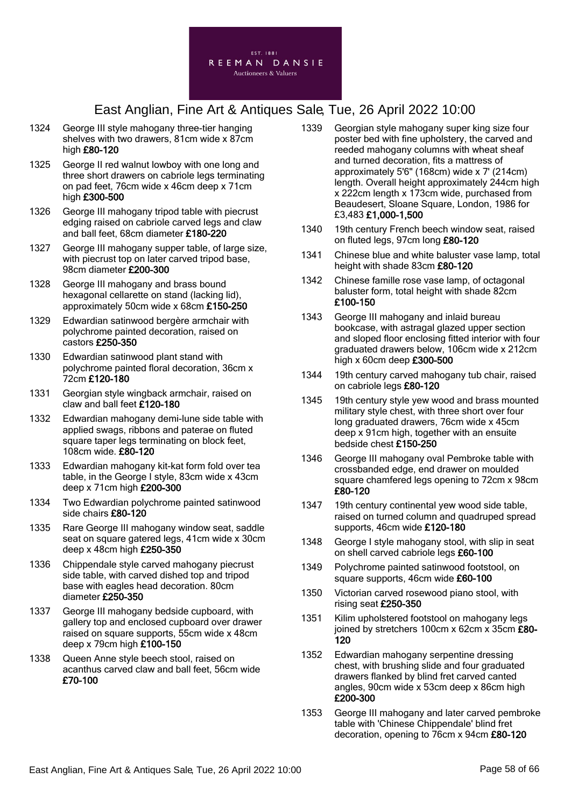

- 1324 George III style mahogany three-tier hanging shelves with two drawers, 81cm wide x 87cm high £80-120
- 1325 George II red walnut lowboy with one long and three short drawers on cabriole legs terminating on pad feet, 76cm wide x 46cm deep x 71cm high £300-500
- 1326 George III mahogany tripod table with piecrust edging raised on cabriole carved legs and claw and ball feet, 68cm diameter £180-220
- 1327 George III mahogany supper table, of large size, with piecrust top on later carved tripod base, 98cm diameter £200-300
- 1328 George III mahogany and brass bound hexagonal cellarette on stand (lacking lid), approximately 50cm wide x 68cm £150-250
- 1329 Edwardian satinwood bergère armchair with polychrome painted decoration, raised on castors £250-350
- 1330 Edwardian satinwood plant stand with polychrome painted floral decoration, 36cm x 72cm £120-180
- 1331 Georgian style wingback armchair, raised on claw and ball feet £120-180
- 1332 Edwardian mahogany demi-lune side table with applied swags, ribbons and paterae on fluted square taper legs terminating on block feet, 108cm wide. £80-120
- 1333 Edwardian mahogany kit-kat form fold over tea table, in the George I style, 83cm wide x 43cm deep x 71cm high £200-300
- 1334 Two Edwardian polychrome painted satinwood side chairs £80-120
- 1335 Rare George III mahogany window seat, saddle seat on square gatered legs, 41cm wide x 30cm deep x 48cm high £250-350
- 1336 Chippendale style carved mahogany piecrust side table, with carved dished top and tripod base with eagles head decoration. 80cm diameter £250-350
- 1337 George III mahogany bedside cupboard, with gallery top and enclosed cupboard over drawer raised on square supports, 55cm wide x 48cm deep x 79cm high £100-150
- 1338 Queen Anne style beech stool, raised on acanthus carved claw and ball feet, 56cm wide £70-100
- 1339 Georgian style mahogany super king size four poster bed with fine upholstery, the carved and reeded mahogany columns with wheat sheaf and turned decoration, fits a mattress of approximately 5'6" (168cm) wide x 7' (214cm) length. Overall height approximately 244cm high x 222cm length x 173cm wide, purchased from Beaudesert, Sloane Square, London, 1986 for £3,483 £1,000-1,500
- 1340 19th century French beech window seat, raised on fluted legs, 97cm long £80-120
- 1341 Chinese blue and white baluster vase lamp, total height with shade 83cm £80-120
- 1342 Chinese famille rose vase lamp, of octagonal baluster form, total height with shade 82cm £100-150
- 1343 George III mahogany and inlaid bureau bookcase, with astragal glazed upper section and sloped floor enclosing fitted interior with four graduated drawers below, 106cm wide x 212cm high x 60cm deep £300-500
- 1344 19th century carved mahogany tub chair, raised on cabriole legs £80-120
- 1345 19th century style yew wood and brass mounted military style chest, with three short over four long graduated drawers, 76cm wide x 45cm deep x 91cm high, together with an ensuite bedside chest £150-250
- 1346 George III mahogany oval Pembroke table with crossbanded edge, end drawer on moulded square chamfered legs opening to 72cm x 98cm £80-120
- 1347 19th century continental yew wood side table, raised on turned column and quadruped spread supports, 46cm wide £120-180
- 1348 George I style mahogany stool, with slip in seat on shell carved cabriole legs £60-100
- 1349 Polychrome painted satinwood footstool, on square supports, 46cm wide £60-100
- 1350 Victorian carved rosewood piano stool, with rising seat £250-350
- 1351 Kilim upholstered footstool on mahogany legs joined by stretchers 100cm x 62cm x 35cm £80- 120
- 1352 Edwardian mahogany serpentine dressing chest, with brushing slide and four graduated drawers flanked by blind fret carved canted angles, 90cm wide x 53cm deep x 86cm high £200-300
- 1353 George III mahogany and later carved pembroke table with 'Chinese Chippendale' blind fret decoration, opening to 76cm x 94cm £80-120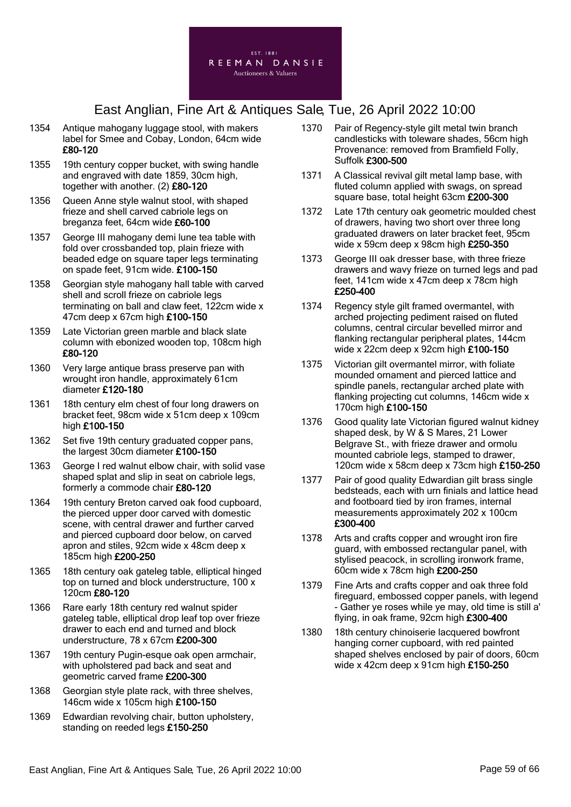

- 1354 Antique mahogany luggage stool, with makers label for Smee and Cobay, London, 64cm wide £80-120
- 1355 19th century copper bucket, with swing handle and engraved with date 1859, 30cm high, together with another. (2) £80-120
- 1356 Queen Anne style walnut stool, with shaped frieze and shell carved cabriole legs on breganza feet, 64cm wide £60-100
- 1357 George III mahogany demi lune tea table with fold over crossbanded top, plain frieze with beaded edge on square taper legs terminating on spade feet, 91cm wide. £100-150
- 1358 Georgian style mahogany hall table with carved shell and scroll frieze on cabriole legs terminating on ball and claw feet, 122cm wide x 47cm deep x 67cm high £100-150
- 1359 Late Victorian green marble and black slate column with ebonized wooden top, 108cm high £80-120
- 1360 Very large antique brass preserve pan with wrought iron handle, approximately 61cm diameter £120-180
- 1361 18th century elm chest of four long drawers on bracket feet, 98cm wide x 51cm deep x 109cm high £100-150
- 1362 Set five 19th century graduated copper pans, the largest 30cm diameter £100-150
- 1363 George I red walnut elbow chair, with solid vase shaped splat and slip in seat on cabriole legs, formerly a commode chair £80-120
- 1364 19th century Breton carved oak food cupboard, the pierced upper door carved with domestic scene, with central drawer and further carved and pierced cupboard door below, on carved apron and stiles, 92cm wide x 48cm deep x 185cm high £200-250
- 1365 18th century oak gateleg table, elliptical hinged top on turned and block understructure, 100 x 120cm £80-120
- 1366 Rare early 18th century red walnut spider gateleg table, elliptical drop leaf top over frieze drawer to each end and turned and block understructure, 78 x 67cm £200-300
- 1367 19th century Pugin-esque oak open armchair, with upholstered pad back and seat and geometric carved frame £200-300
- 1368 Georgian style plate rack, with three shelves, 146cm wide x 105cm high £100-150
- 1369 Edwardian revolving chair, button upholstery, standing on reeded legs £150-250
- 1370 Pair of Regency-style gilt metal twin branch candlesticks with toleware shades, 56cm high Provenance: removed from Bramfield Folly, Suffolk £300-500
- 1371 A Classical revival gilt metal lamp base, with fluted column applied with swags, on spread square base, total height 63cm £200-300
- 1372 Late 17th century oak geometric moulded chest of drawers, having two short over three long graduated drawers on later bracket feet, 95cm wide x 59cm deep x 98cm high £250-350
- 1373 George III oak dresser base, with three frieze drawers and wavy frieze on turned legs and pad feet, 141cm wide x 47cm deep x 78cm high £250-400
- 1374 Regency style gilt framed overmantel, with arched projecting pediment raised on fluted columns, central circular bevelled mirror and flanking rectangular peripheral plates, 144cm wide x 22cm deep x 92cm high £100-150
- 1375 Victorian gilt overmantel mirror, with foliate mounded ornament and pierced lattice and spindle panels, rectangular arched plate with flanking projecting cut columns, 146cm wide x 170cm high £100-150
- 1376 Good quality late Victorian figured walnut kidney shaped desk, by W & S Mares, 21 Lower Belgrave St., with frieze drawer and ormolu mounted cabriole legs, stamped to drawer, 120cm wide x 58cm deep x 73cm high £150-250
- 1377 Pair of good quality Edwardian gilt brass single bedsteads, each with urn finials and lattice head and footboard tied by iron frames, internal measurements approximately 202 x 100cm £300-400
- 1378 Arts and crafts copper and wrought iron fire guard, with embossed rectangular panel, with stylised peacock, in scrolling ironwork frame, 60cm wide x 78cm high £200-250
- 1379 Fine Arts and crafts copper and oak three fold fireguard, embossed copper panels, with legend - Gather ye roses while ye may, old time is still a' flying, in oak frame, 92cm high £300-400
- 1380 18th century chinoiserie lacquered bowfront hanging corner cupboard, with red painted shaped shelves enclosed by pair of doors, 60cm wide x 42cm deep x 91cm high £150-250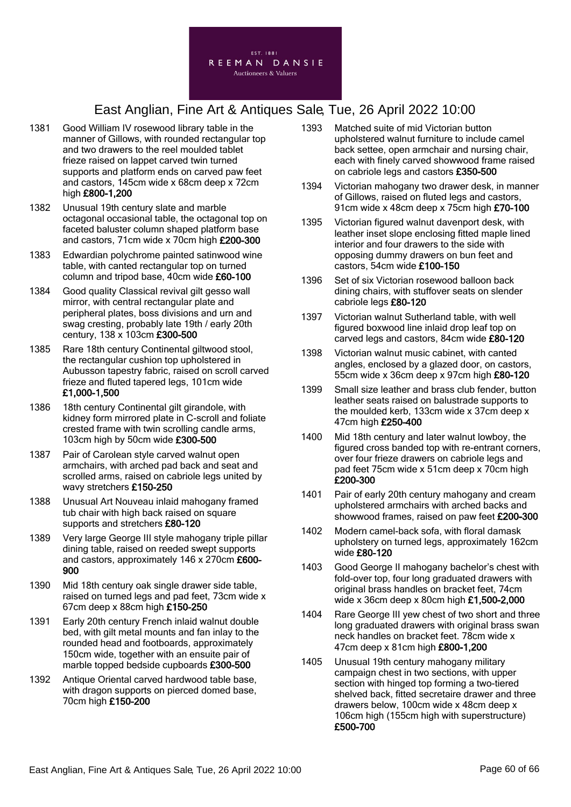

- 1381 Good William IV rosewood library table in the manner of Gillows, with rounded rectangular top and two drawers to the reel moulded tablet frieze raised on lappet carved twin turned supports and platform ends on carved paw feet and castors, 145cm wide x 68cm deep x 72cm high £800-1,200
- 1382 Unusual 19th century slate and marble octagonal occasional table, the octagonal top on faceted baluster column shaped platform base and castors, 71cm wide x 70cm high £200-300
- 1383 Edwardian polychrome painted satinwood wine table, with canted rectangular top on turned column and tripod base, 40cm wide £60-100
- 1384 Good quality Classical revival gilt gesso wall mirror, with central rectangular plate and peripheral plates, boss divisions and urn and swag cresting, probably late 19th / early 20th century, 138 x 103cm £300-500
- 1385 Rare 18th century Continental giltwood stool, the rectangular cushion top upholstered in Aubusson tapestry fabric, raised on scroll carved frieze and fluted tapered legs, 101cm wide £1,000-1,500
- 1386 18th century Continental gilt girandole, with kidney form mirrored plate in C-scroll and foliate crested frame with twin scrolling candle arms, 103cm high by 50cm wide £300-500
- 1387 Pair of Carolean style carved walnut open armchairs, with arched pad back and seat and scrolled arms, raised on cabriole legs united by wavy stretchers £150-250
- 1388 Unusual Art Nouveau inlaid mahogany framed tub chair with high back raised on square supports and stretchers £80-120
- 1389 Very large George III style mahogany triple pillar dining table, raised on reeded swept supports and castors, approximately 146 x 270cm £600- 900
- 1390 Mid 18th century oak single drawer side table, raised on turned legs and pad feet, 73cm wide x 67cm deep x 88cm high £150-250
- 1391 Early 20th century French inlaid walnut double bed, with gilt metal mounts and fan inlay to the rounded head and footboards, approximately 150cm wide, together with an ensuite pair of marble topped bedside cupboards £300-500
- 1392 Antique Oriental carved hardwood table base, with dragon supports on pierced domed base, 70cm high £150-200
- 1393 Matched suite of mid Victorian button upholstered walnut furniture to include camel back settee, open armchair and nursing chair, each with finely carved showwood frame raised on cabriole legs and castors £350-500
- 1394 Victorian mahogany two drawer desk, in manner of Gillows, raised on fluted legs and castors, 91cm wide x 48cm deep x 75cm high £70-100
- 1395 Victorian figured walnut davenport desk, with leather inset slope enclosing fitted maple lined interior and four drawers to the side with opposing dummy drawers on bun feet and castors, 54cm wide £100-150
- 1396 Set of six Victorian rosewood balloon back dining chairs, with stuffover seats on slender cabriole legs £80-120
- 1397 Victorian walnut Sutherland table, with well figured boxwood line inlaid drop leaf top on carved legs and castors, 84cm wide £80-120
- 1398 Victorian walnut music cabinet, with canted angles, enclosed by a glazed door, on castors, 55cm wide x 36cm deep x 97cm high  $£80-120$
- 1399 Small size leather and brass club fender, button leather seats raised on balustrade supports to the moulded kerb, 133cm wide x 37cm deep x 47cm high £250-400
- 1400 Mid 18th century and later walnut lowboy, the figured cross banded top with re-entrant corners, over four frieze drawers on cabriole legs and pad feet 75cm wide x 51cm deep x 70cm high £200-300
- 1401 Pair of early 20th century mahogany and cream upholstered armchairs with arched backs and showwood frames, raised on paw feet £200-300
- 1402 Modern camel-back sofa, with floral damask upholstery on turned legs, approximately 162cm wide £80-120
- 1403 Good George II mahogany bachelor's chest with fold-over top, four long graduated drawers with original brass handles on bracket feet, 74cm wide x 36cm deep x 80cm high £1,500-2,000
- 1404 Rare George III yew chest of two short and three long graduated drawers with original brass swan neck handles on bracket feet. 78cm wide x 47cm deep x 81cm high £800-1,200
- 1405 Unusual 19th century mahogany military campaign chest in two sections, with upper section with hinged top forming a two-tiered shelved back, fitted secretaire drawer and three drawers below, 100cm wide x 48cm deep x 106cm high (155cm high with superstructure) £500-700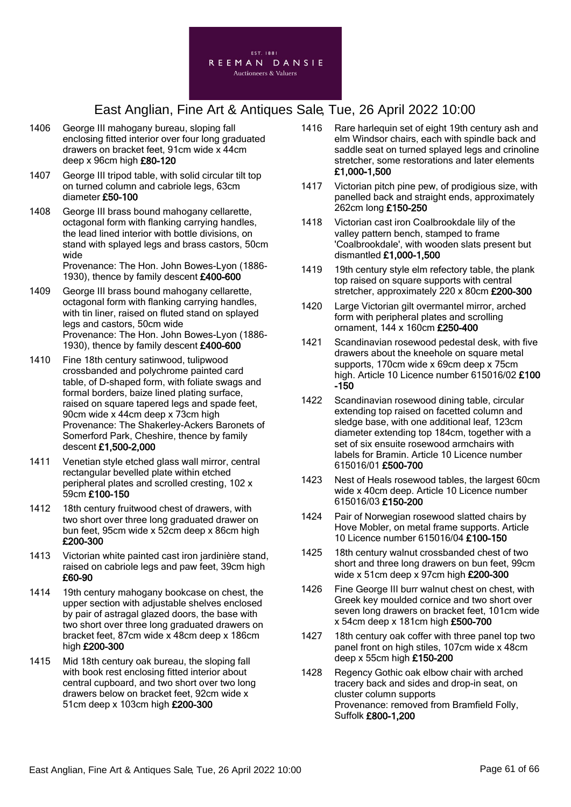

- 1406 George III mahogany bureau, sloping fall enclosing fitted interior over four long graduated drawers on bracket feet, 91cm wide x 44cm deep x 96cm high £80-120
- 1407 George III tripod table, with solid circular tilt top on turned column and cabriole legs, 63cm diameter £50-100
- 1408 George III brass bound mahogany cellarette, octagonal form with flanking carrying handles, the lead lined interior with bottle divisions, on stand with splayed legs and brass castors, 50cm wide Provenance: The Hon. John Bowes-Lyon (1886-

1930), thence by family descent £400-600

- 1409 George III brass bound mahogany cellarette, octagonal form with flanking carrying handles, with tin liner, raised on fluted stand on splayed legs and castors, 50cm wide Provenance: The Hon. John Bowes-Lyon (1886- 1930), thence by family descent £400-600
- 1410 Fine 18th century satinwood, tulipwood crossbanded and polychrome painted card table, of D-shaped form, with foliate swags and formal borders, baize lined plating surface, raised on square tapered legs and spade feet, 90cm wide x 44cm deep x 73cm high Provenance: The Shakerley-Ackers Baronets of Somerford Park, Cheshire, thence by family descent £1,500-2,000
- 1411 Venetian style etched glass wall mirror, central rectangular bevelled plate within etched peripheral plates and scrolled cresting, 102 x 59cm £100-150
- 1412 18th century fruitwood chest of drawers, with two short over three long graduated drawer on bun feet, 95cm wide x 52cm deep x 86cm high £200-300
- 1413 Victorian white painted cast iron jardinière stand, raised on cabriole legs and paw feet, 39cm high £60-90
- 1414 19th century mahogany bookcase on chest, the upper section with adjustable shelves enclosed by pair of astragal glazed doors, the base with two short over three long graduated drawers on bracket feet, 87cm wide x 48cm deep x 186cm high £200-300
- 1415 Mid 18th century oak bureau, the sloping fall with book rest enclosing fitted interior about central cupboard, and two short over two long drawers below on bracket feet, 92cm wide x 51cm deep x 103cm high £200-300
- 1416 Rare harlequin set of eight 19th century ash and elm Windsor chairs, each with spindle back and saddle seat on turned splayed legs and crinoline stretcher, some restorations and later elements £1,000-1,500
- 1417 Victorian pitch pine pew, of prodigious size, with panelled back and straight ends, approximately 262cm long £150-250
- 1418 Victorian cast iron Coalbrookdale lily of the valley pattern bench, stamped to frame 'Coalbrookdale', with wooden slats present but dismantled £1,000-1,500
- 1419 19th century style elm refectory table, the plank top raised on square supports with central stretcher, approximately 220 x 80cm £200-300
- 1420 Large Victorian gilt overmantel mirror, arched form with peripheral plates and scrolling ornament, 144 x 160cm £250-400
- 1421 Scandinavian rosewood pedestal desk, with five drawers about the kneehole on square metal supports, 170cm wide x 69cm deep x 75cm high. Article 10 Licence number 615016/02 £100 -150
- 1422 Scandinavian rosewood dining table, circular extending top raised on facetted column and sledge base, with one additional leaf, 123cm diameter extending top 184cm, together with a set of six ensuite rosewood armchairs with labels for Bramin. Article 10 Licence number 615016/01 £500-700
- 1423 Nest of Heals rosewood tables, the largest 60cm wide x 40cm deep. Article 10 Licence number 615016/03 £150-200
- 1424 Pair of Norwegian rosewood slatted chairs by Hove Mobler, on metal frame supports. Article 10 Licence number 615016/04 £100-150
- 1425 18th century walnut crossbanded chest of two short and three long drawers on bun feet, 99cm wide x 51cm deep x 97cm high £200-300
- 1426 Fine George III burr walnut chest on chest, with Greek key moulded cornice and two short over seven long drawers on bracket feet, 101cm wide x 54cm deep x 181cm high £500-700
- 1427 18th century oak coffer with three panel top two panel front on high stiles, 107cm wide x 48cm deep x 55cm high £150-200
- 1428 Regency Gothic oak elbow chair with arched tracery back and sides and drop-in seat, on cluster column supports Provenance: removed from Bramfield Folly, Suffolk £800-1,200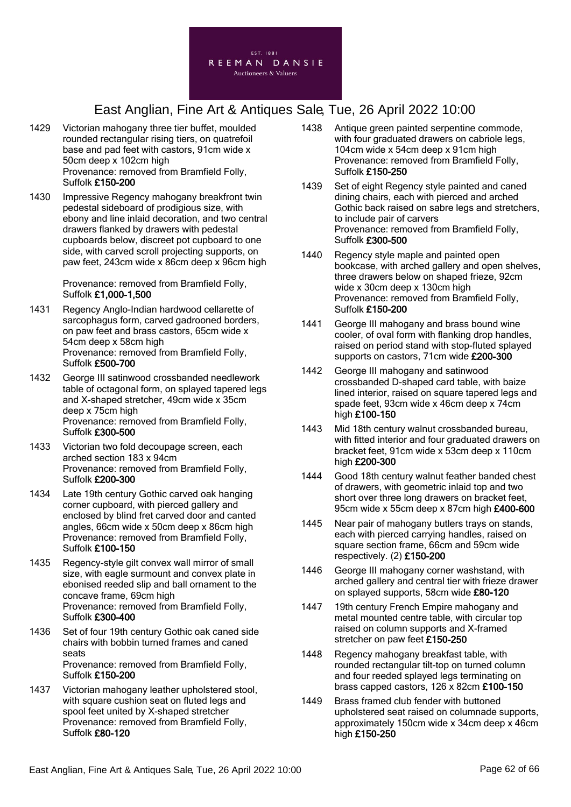

- 1429 Victorian mahogany three tier buffet, moulded rounded rectangular rising tiers, on quatrefoil base and pad feet with castors, 91cm wide x 50cm deep x 102cm high Provenance: removed from Bramfield Folly, Suffolk £150-200
- 1430 Impressive Regency mahogany breakfront twin pedestal sideboard of prodigious size, with ebony and line inlaid decoration, and two central drawers flanked by drawers with pedestal cupboards below, discreet pot cupboard to one side, with carved scroll projecting supports, on paw feet, 243cm wide x 86cm deep x 96cm high

Provenance: removed from Bramfield Folly, Suffolk £1,000-1,500

- 1431 Regency Anglo-Indian hardwood cellarette of sarcophagus form, carved gadrooned borders, on paw feet and brass castors, 65cm wide x 54cm deep x 58cm high Provenance: removed from Bramfield Folly, Suffolk £500-700
- 1432 George III satinwood crossbanded needlework table of octagonal form, on splayed tapered legs and X-shaped stretcher, 49cm wide x 35cm deep x 75cm high Provenance: removed from Bramfield Folly, Suffolk £300-500
- 1433 Victorian two fold decoupage screen, each arched section 183 x 94cm Provenance: removed from Bramfield Folly, Suffolk £200-300
- 1434 Late 19th century Gothic carved oak hanging corner cupboard, with pierced gallery and enclosed by blind fret carved door and canted angles, 66cm wide x 50cm deep x 86cm high Provenance: removed from Bramfield Folly, Suffolk £100-150
- 1435 Regency-style gilt convex wall mirror of small size, with eagle surmount and convex plate in ebonised reeded slip and ball ornament to the concave frame, 69cm high Provenance: removed from Bramfield Folly, Suffolk £300-400
- 1436 Set of four 19th century Gothic oak caned side chairs with bobbin turned frames and caned seats Provenance: removed from Bramfield Folly, Suffolk £150-200
- 1437 Victorian mahogany leather upholstered stool, with square cushion seat on fluted legs and spool feet united by X-shaped stretcher Provenance: removed from Bramfield Folly, Suffolk £80-120
- 1438 Antique green painted serpentine commode, with four graduated drawers on cabriole legs, 104cm wide x 54cm deep x 91cm high Provenance: removed from Bramfield Folly, Suffolk £150-250
- 1439 Set of eight Regency style painted and caned dining chairs, each with pierced and arched Gothic back raised on sabre legs and stretchers, to include pair of carvers Provenance: removed from Bramfield Folly, Suffolk £300-500
- 1440 Regency style maple and painted open bookcase, with arched gallery and open shelves, three drawers below on shaped frieze, 92cm wide x 30cm deep x 130cm high Provenance: removed from Bramfield Folly, Suffolk £150-200
- 1441 George III mahogany and brass bound wine cooler, of oval form with flanking drop handles, raised on period stand with stop-fluted splayed supports on castors, 71cm wide £200-300
- 1442 George III mahogany and satinwood crossbanded D-shaped card table, with baize lined interior, raised on square tapered legs and spade feet, 93cm wide x 46cm deep x 74cm high £100-150
- 1443 Mid 18th century walnut crossbanded bureau, with fitted interior and four graduated drawers on bracket feet, 91cm wide x 53cm deep x 110cm high £200-300
- 1444 Good 18th century walnut feather banded chest of drawers, with geometric inlaid top and two short over three long drawers on bracket feet, 95cm wide x 55cm deep x 87cm high £400-600
- 1445 Near pair of mahogany butlers trays on stands, each with pierced carrying handles, raised on square section frame, 66cm and 59cm wide respectively. (2) £150-200
- 1446 George III mahogany corner washstand, with arched gallery and central tier with frieze drawer on splayed supports, 58cm wide £80-120
- 1447 19th century French Empire mahogany and metal mounted centre table, with circular top raised on column supports and X-framed stretcher on paw feet £150-250
- 1448 Regency mahogany breakfast table, with rounded rectangular tilt-top on turned column and four reeded splayed legs terminating on brass capped castors, 126 x 82cm £100-150
- 1449 Brass framed club fender with buttoned upholstered seat raised on columnade supports, approximately 150cm wide x 34cm deep x 46cm high £150-250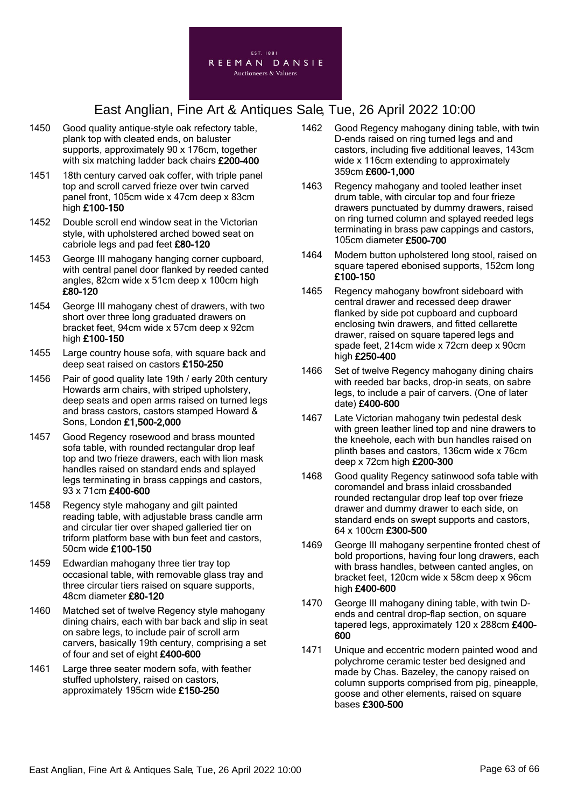

- 1450 Good quality antique-style oak refectory table, plank top with cleated ends, on baluster supports, approximately 90 x 176cm, together with six matching ladder back chairs £200-400
- 1451 18th century carved oak coffer, with triple panel top and scroll carved frieze over twin carved panel front, 105cm wide x 47cm deep x 83cm high £100-150
- 1452 Double scroll end window seat in the Victorian style, with upholstered arched bowed seat on cabriole legs and pad feet £80-120
- 1453 George III mahogany hanging corner cupboard, with central panel door flanked by reeded canted angles, 82cm wide x 51cm deep x 100cm high £80-120
- 1454 George III mahogany chest of drawers, with two short over three long graduated drawers on bracket feet, 94cm wide x 57cm deep x 92cm high £100-150
- 1455 Large country house sofa, with square back and deep seat raised on castors £150-250
- 1456 Pair of good quality late 19th / early 20th century Howards arm chairs, with striped upholstery, deep seats and open arms raised on turned legs and brass castors, castors stamped Howard & Sons, London £1,500-2,000
- 1457 Good Regency rosewood and brass mounted sofa table, with rounded rectangular drop leaf top and two frieze drawers, each with lion mask handles raised on standard ends and splayed legs terminating in brass cappings and castors, 93 x 71cm £400-600
- 1458 Regency style mahogany and gilt painted reading table, with adjustable brass candle arm and circular tier over shaped galleried tier on triform platform base with bun feet and castors, 50cm wide £100-150
- 1459 Edwardian mahogany three tier tray top occasional table, with removable glass tray and three circular tiers raised on square supports, 48cm diameter £80-120
- 1460 Matched set of twelve Regency style mahogany dining chairs, each with bar back and slip in seat on sabre legs, to include pair of scroll arm carvers, basically 19th century, comprising a set of four and set of eight £400-600
- 1461 Large three seater modern sofa, with feather stuffed upholstery, raised on castors, approximately 195cm wide £150-250
- 1462 Good Regency mahogany dining table, with twin D-ends raised on ring turned legs and and castors, including five additional leaves, 143cm wide x 116cm extending to approximately 359cm £600-1,000
- 1463 Regency mahogany and tooled leather inset drum table, with circular top and four frieze drawers punctuated by dummy drawers, raised on ring turned column and splayed reeded legs terminating in brass paw cappings and castors, 105cm diameter £500-700
- 1464 Modern button upholstered long stool, raised on square tapered ebonised supports, 152cm long £100-150
- 1465 Regency mahogany bowfront sideboard with central drawer and recessed deep drawer flanked by side pot cupboard and cupboard enclosing twin drawers, and fitted cellarette drawer, raised on square tapered legs and spade feet, 214cm wide x 72cm deep x 90cm high £250-400
- 1466 Set of twelve Regency mahogany dining chairs with reeded bar backs, drop-in seats, on sabre legs, to include a pair of carvers. (One of later date) £400-600
- 1467 Late Victorian mahogany twin pedestal desk with green leather lined top and nine drawers to the kneehole, each with bun handles raised on plinth bases and castors, 136cm wide x 76cm deep x 72cm high £200-300
- 1468 Good quality Regency satinwood sofa table with coromandel and brass inlaid crossbanded rounded rectangular drop leaf top over frieze drawer and dummy drawer to each side, on standard ends on swept supports and castors, 64 x 100cm £300-500
- 1469 George III mahogany serpentine fronted chest of bold proportions, having four long drawers, each with brass handles, between canted angles, on bracket feet, 120cm wide x 58cm deep x 96cm high £400-600
- 1470 George III mahogany dining table, with twin Dends and central drop-flap section, on square tapered legs, approximately 120 x 288cm £400- 600
- 1471 Unique and eccentric modern painted wood and polychrome ceramic tester bed designed and made by Chas. Bazeley, the canopy raised on column supports comprised from pig, pineapple, goose and other elements, raised on square bases £300-500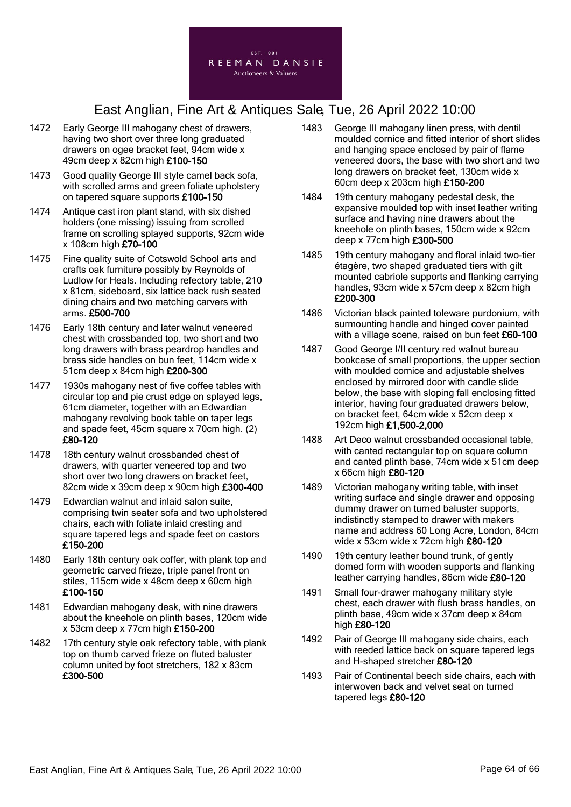

- 1472 Early George III mahogany chest of drawers, having two short over three long graduated drawers on ogee bracket feet, 94cm wide x 49cm deep x 82cm high £100-150
- 1473 Good quality George III style camel back sofa, with scrolled arms and green foliate upholstery on tapered square supports £100-150
- 1474 Antique cast iron plant stand, with six dished holders (one missing) issuing from scrolled frame on scrolling splayed supports, 92cm wide x 108cm high £70-100
- 1475 Fine quality suite of Cotswold School arts and crafts oak furniture possibly by Reynolds of Ludlow for Heals. Including refectory table, 210 x 81cm, sideboard, six lattice back rush seated dining chairs and two matching carvers with arms. £500-700
- 1476 Early 18th century and later walnut veneered chest with crossbanded top, two short and two long drawers with brass peardrop handles and brass side handles on bun feet, 114cm wide x 51cm deep x 84cm high £200-300
- 1477 1930s mahogany nest of five coffee tables with circular top and pie crust edge on splayed legs, 61cm diameter, together with an Edwardian mahogany revolving book table on taper legs and spade feet, 45cm square x 70cm high. (2) £80-120
- 1478 18th century walnut crossbanded chest of drawers, with quarter veneered top and two short over two long drawers on bracket feet, 82cm wide x 39cm deep x 90cm high £300-400
- 1479 Edwardian walnut and inlaid salon suite, comprising twin seater sofa and two upholstered chairs, each with foliate inlaid cresting and square tapered legs and spade feet on castors £150-200
- 1480 Early 18th century oak coffer, with plank top and geometric carved frieze, triple panel front on stiles, 115cm wide x 48cm deep x 60cm high £100-150
- 1481 Edwardian mahogany desk, with nine drawers about the kneehole on plinth bases, 120cm wide x 53cm deep x 77cm high £150-200
- 1482 17th century style oak refectory table, with plank top on thumb carved frieze on fluted baluster column united by foot stretchers, 182 x 83cm £300-500
- 1483 George III mahogany linen press, with dentil moulded cornice and fitted interior of short slides and hanging space enclosed by pair of flame veneered doors, the base with two short and two long drawers on bracket feet, 130cm wide x 60cm deep x 203cm high £150-200
- 1484 19th century mahogany pedestal desk, the expansive moulded top with inset leather writing surface and having nine drawers about the kneehole on plinth bases, 150cm wide x 92cm deep x 77cm high £300-500
- 1485 19th century mahogany and floral inlaid two-tier étagère, two shaped graduated tiers with gilt mounted cabriole supports and flanking carrying handles, 93cm wide x 57cm deep x 82cm high £200-300
- 1486 Victorian black painted toleware purdonium, with surmounting handle and hinged cover painted with a village scene, raised on bun feet £60-100
- 1487 Good George I/II century red walnut bureau bookcase of small proportions, the upper section with moulded cornice and adjustable shelves enclosed by mirrored door with candle slide below, the base with sloping fall enclosing fitted interior, having four graduated drawers below, on bracket feet, 64cm wide x 52cm deep x 192cm high £1,500-2,000
- 1488 Art Deco walnut crossbanded occasional table, with canted rectangular top on square column and canted plinth base, 74cm wide x 51cm deep x 66cm high £80-120
- 1489 Victorian mahogany writing table, with inset writing surface and single drawer and opposing dummy drawer on turned baluster supports, indistinctly stamped to drawer with makers name and address 60 Long Acre, London, 84cm wide x 53cm wide x 72cm high £80-120
- 1490 19th century leather bound trunk, of gently domed form with wooden supports and flanking leather carrying handles, 86cm wide £80-120
- 1491 Small four-drawer mahogany military style chest, each drawer with flush brass handles, on plinth base, 49cm wide x 37cm deep x 84cm high £80-120
- 1492 Pair of George III mahogany side chairs, each with reeded lattice back on square tapered legs and H-shaped stretcher £80-120
- 1493 Pair of Continental beech side chairs, each with interwoven back and velvet seat on turned tapered legs £80-120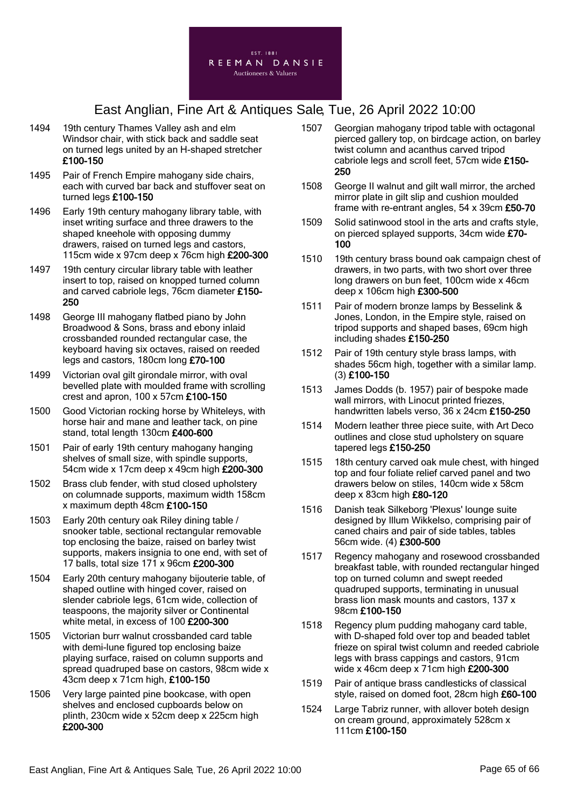

- 1494 19th century Thames Valley ash and elm Windsor chair, with stick back and saddle seat on turned legs united by an H-shaped stretcher £100-150
- 1495 Pair of French Empire mahogany side chairs, each with curved bar back and stuffover seat on turned legs £100-150
- 1496 Early 19th century mahogany library table, with inset writing surface and three drawers to the shaped kneehole with opposing dummy drawers, raised on turned legs and castors, 115cm wide x 97cm deep x 76cm high £200-300
- 1497 19th century circular library table with leather insert to top, raised on knopped turned column and carved cabriole legs, 76cm diameter £150- 250
- 1498 George III mahogany flatbed piano by John Broadwood & Sons, brass and ebony inlaid crossbanded rounded rectangular case, the keyboard having six octaves, raised on reeded legs and castors, 180cm long £70-100
- 1499 Victorian oval gilt girondale mirror, with oval bevelled plate with moulded frame with scrolling crest and apron, 100 x 57cm £100-150
- 1500 Good Victorian rocking horse by Whiteleys, with horse hair and mane and leather tack, on pine stand, total length 130cm £400-600
- 1501 Pair of early 19th century mahogany hanging shelves of small size, with spindle supports, 54cm wide x 17cm deep x 49cm high £200-300
- 1502 Brass club fender, with stud closed upholstery on columnade supports, maximum width 158cm x maximum depth 48cm £100-150
- 1503 Early 20th century oak Riley dining table / snooker table, sectional rectangular removable top enclosing the baize, raised on barley twist supports, makers insignia to one end, with set of 17 balls, total size 171 x 96cm £200-300
- 1504 Early 20th century mahogany bijouterie table, of shaped outline with hinged cover, raised on slender cabriole legs, 61cm wide, collection of teaspoons, the majority silver or Continental white metal, in excess of 100 £200-300
- 1505 Victorian burr walnut crossbanded card table with demi-lune figured top enclosing baize playing surface, raised on column supports and spread quadruped base on castors, 98cm wide x 43cm deep x 71cm high, £100-150
- 1506 Very large painted pine bookcase, with open shelves and enclosed cupboards below on plinth, 230cm wide x 52cm deep x 225cm high £200-300
- 1507 Georgian mahogany tripod table with octagonal pierced gallery top, on birdcage action, on barley twist column and acanthus carved tripod cabriole legs and scroll feet, 57cm wide £150- 250
- 1508 George II walnut and gilt wall mirror, the arched mirror plate in gilt slip and cushion moulded frame with re-entrant angles, 54 x 39cm £50-70
- 1509 Solid satinwood stool in the arts and crafts style, on pierced splayed supports, 34cm wide £70- 100
- 1510 19th century brass bound oak campaign chest of drawers, in two parts, with two short over three long drawers on bun feet, 100cm wide x 46cm deep x 106cm high £300-500
- 1511 Pair of modern bronze lamps by Besselink & Jones, London, in the Empire style, raised on tripod supports and shaped bases, 69cm high including shades £150-250
- 1512 Pair of 19th century style brass lamps, with shades 56cm high, together with a similar lamp. (3) £100-150
- 1513 James Dodds (b. 1957) pair of bespoke made wall mirrors, with Linocut printed friezes, handwritten labels verso, 36 x 24cm £150-250
- 1514 Modern leather three piece suite, with Art Deco outlines and close stud upholstery on square tapered legs £150-250
- 1515 18th century carved oak mule chest, with hinged top and four foliate relief carved panel and two drawers below on stiles, 140cm wide x 58cm deep x 83cm high £80-120
- 1516 Danish teak Silkeborg 'Plexus' lounge suite designed by Illum Wikkelso, comprising pair of caned chairs and pair of side tables, tables 56cm wide. (4) £300-500
- 1517 Regency mahogany and rosewood crossbanded breakfast table, with rounded rectangular hinged top on turned column and swept reeded quadruped supports, terminating in unusual brass lion mask mounts and castors, 137 x 98cm £100-150
- 1518 Regency plum pudding mahogany card table, with D-shaped fold over top and beaded tablet frieze on spiral twist column and reeded cabriole legs with brass cappings and castors, 91cm wide x 46cm deep x 71cm high £200-300
- 1519 Pair of antique brass candlesticks of classical style, raised on domed foot, 28cm high £60-100
- 1524 Large Tabriz runner, with allover boteh design on cream ground, approximately 528cm x 111cm £100-150